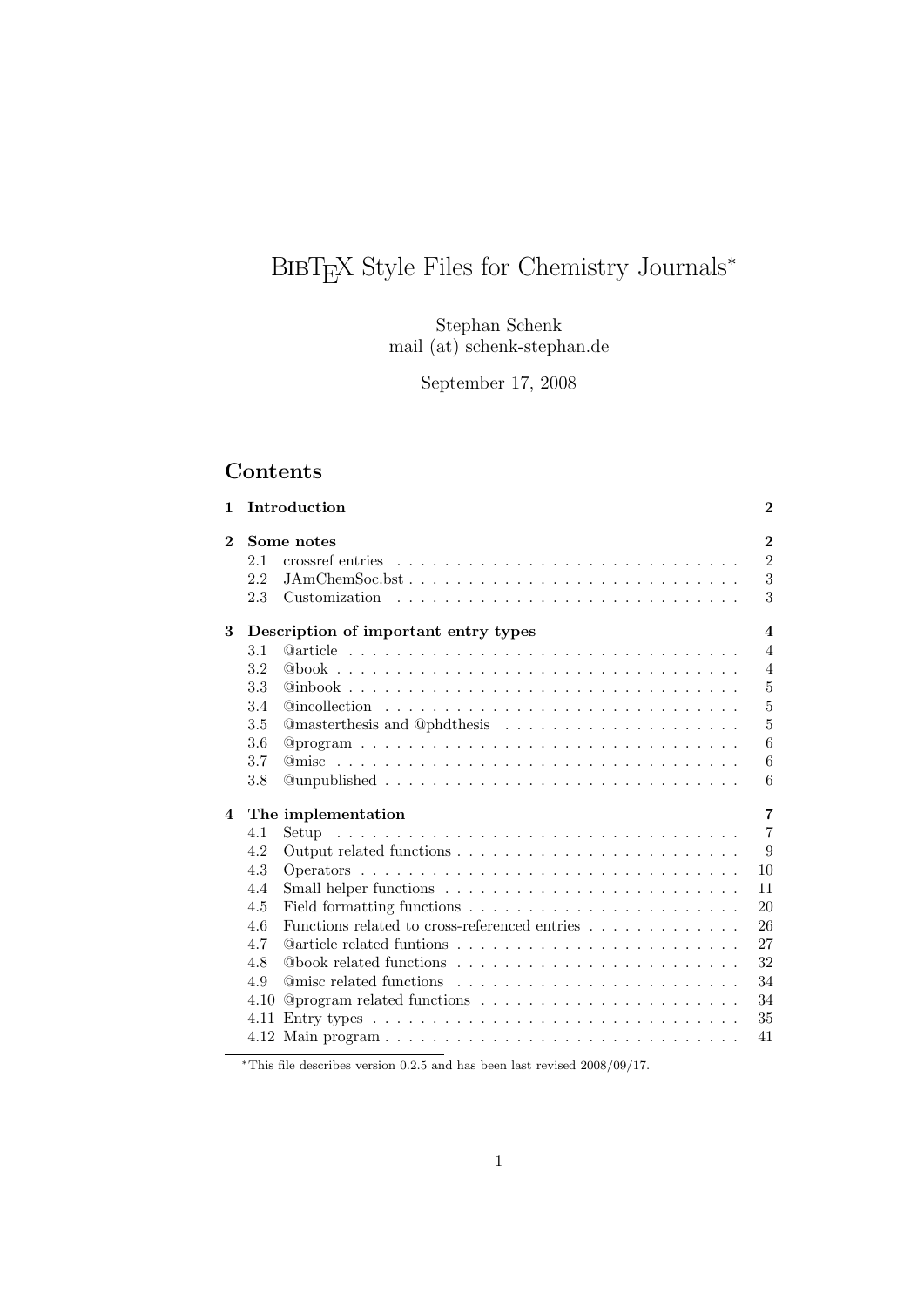# BIBT<sub>E</sub>X Style Files for Chemistry Journals<sup>∗</sup>

Stephan Schenk mail (at) schenk-stephan.de

September 17, 2008

# Contents

| $\mathbf{1}$   |      | Introduction                                                                                   | $\bf{2}$                |
|----------------|------|------------------------------------------------------------------------------------------------|-------------------------|
| $\mathbf 2$    |      | Some notes                                                                                     | $\mathbf{2}$            |
|                | 2.1  |                                                                                                | $\overline{2}$          |
|                | 2.2  | $JAmChemSoc.bst. \ldots \ldots \ldots \ldots \ldots \ldots \ldots \ldots \ldots \ldots$        | 3                       |
|                | 2.3  | Customization $\ldots \ldots \ldots \ldots \ldots \ldots \ldots \ldots \ldots \ldots$          | 3                       |
| 3              |      | Description of important entry types                                                           | $\overline{\mathbf{4}}$ |
|                | 3.1  |                                                                                                | $\overline{4}$          |
|                | 3.2  |                                                                                                | $\overline{4}$          |
|                | 3.3  |                                                                                                | $\overline{5}$          |
|                | 3.4  | $@incoilection \ldots \ldots \ldots \ldots \ldots \ldots \ldots \ldots \ldots \ldots$          | $\overline{5}$          |
|                | 3.5  |                                                                                                | $\overline{5}$          |
|                | 3.6  | $@program \ldots \ldots \ldots \ldots \ldots \ldots \ldots \ldots \ldots \ldots \ldots \ldots$ | 6                       |
|                | 3.7  |                                                                                                | 6                       |
|                | 3.8  | $@unpublished \ldots \ldots \ldots \ldots \ldots \ldots \ldots \ldots \ldots \ldots \ldots$    | 6                       |
| $\overline{4}$ |      | The implementation                                                                             | $\overline{7}$          |
|                | 4.1  | Setup                                                                                          | $\overline{7}$          |
|                | 4.2  |                                                                                                | 9                       |
|                | 4.3  |                                                                                                | 10                      |
|                | 4.4  |                                                                                                | 11                      |
|                | 4.5  |                                                                                                | 20                      |
|                | 4.6  |                                                                                                | 26                      |
|                | 4.7  |                                                                                                | 27                      |
|                | 4.8  |                                                                                                | 32                      |
|                | 4.9  |                                                                                                | 34                      |
|                | 4.10 |                                                                                                | 34                      |
|                | 4.11 | Entry types $\ldots \ldots \ldots \ldots \ldots \ldots \ldots \ldots \ldots \ldots$            | 35                      |
|                |      |                                                                                                | 41                      |

 $*$ This file describes version 0.2.5 and has been last revised 2008/09/17.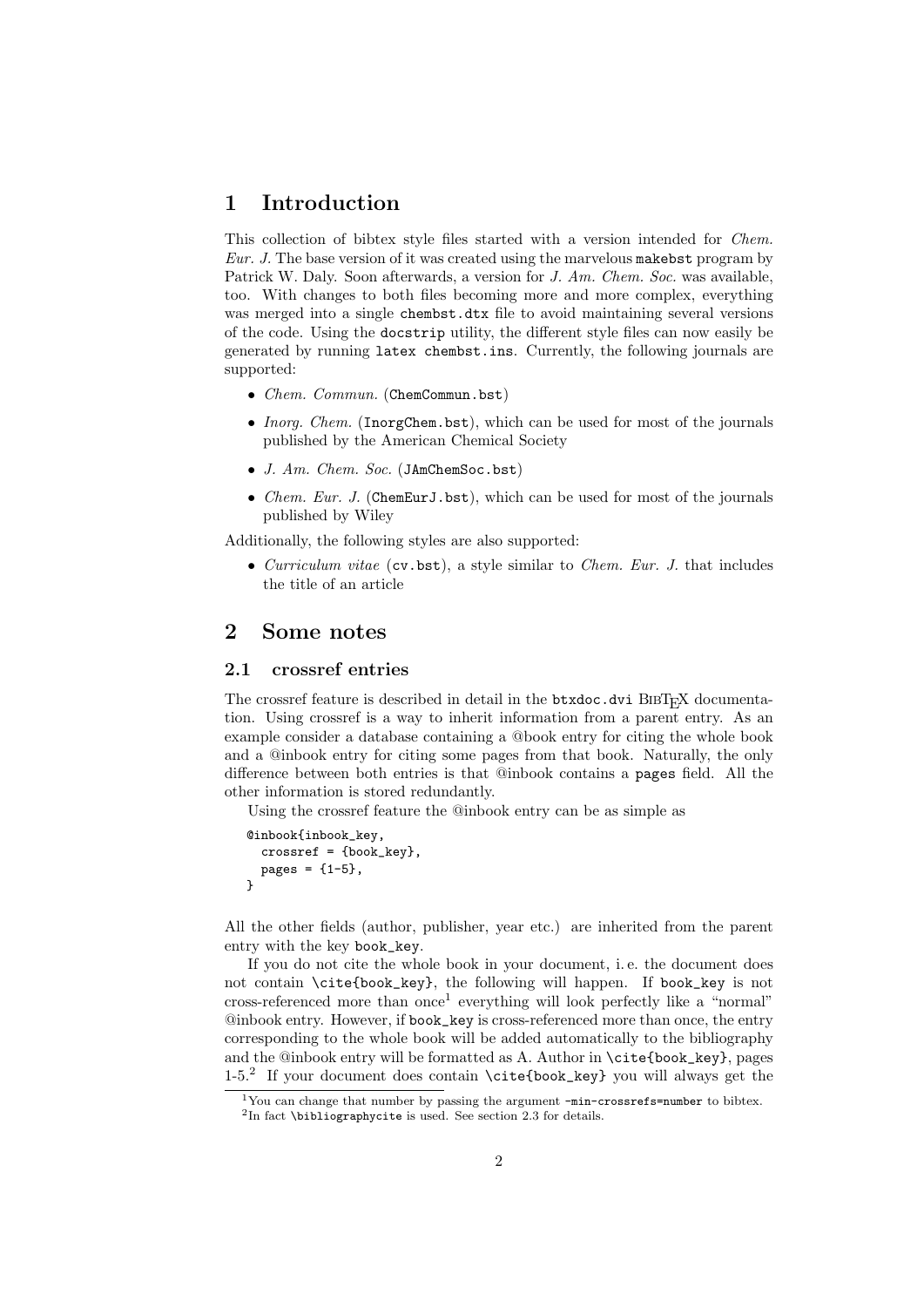## 1 Introduction

This collection of bibtex style files started with a version intended for *Chem.* Eur. J. The base version of it was created using the marvelous makebst program by Patrick W. Daly. Soon afterwards, a version for J. Am. Chem. Soc. was available, too. With changes to both files becoming more and more complex, everything was merged into a single chembst.dtx file to avoid maintaining several versions of the code. Using the docstrip utility, the different style files can now easily be generated by running latex chembst.ins. Currently, the following journals are supported:

- Chem. Commun. (ChemCommun.bst)
- Inorg. Chem. (InorgChem.bst), which can be used for most of the journals published by the American Chemical Society
- J. Am. Chem. Soc. (JAmChemSoc.bst)
- *Chem. Eur. J.* (ChemEurJ.bst), which can be used for most of the journals published by Wiley

Additionally, the following styles are also supported:

• Curriculum vitae (cv.bst), a style similar to Chem. Eur. J. that includes the title of an article

## 2 Some notes

#### 2.1 crossref entries

The crossref feature is described in detail in the btxdoc.dvi BIBT<sub>E</sub>X documentation. Using crossref is a way to inherit information from a parent entry. As an example consider a database containing a @book entry for citing the whole book and a @inbook entry for citing some pages from that book. Naturally, the only difference between both entries is that @inbook contains a pages field. All the other information is stored redundantly.

Using the crossref feature the @inbook entry can be as simple as

```
@inbook{inbook_key,
  crossref = {book_key},
 pages = {1-5},}
```
All the other fields (author, publisher, year etc.) are inherited from the parent entry with the key book\_key.

If you do not cite the whole book in your document, i. e. the document does not contain \cite{book\_key}, the following will happen. If book\_key is not cross-referenced more than once<sup>1</sup> everything will look perfectly like a "normal" @inbook entry. However, if book\_key is cross-referenced more than once, the entry corresponding to the whole book will be added automatically to the bibliography and the @inbook entry will be formatted as A. Author in \cite{book\_key}, pages 1-5.<sup>2</sup> If your document does contain \cite{book\_key} you will always get the

<sup>1</sup>You can change that number by passing the argument -min-crossrefs=number to bibtex. <sup>2</sup>In fact \bibliographycite is used. See section 2.3 for details.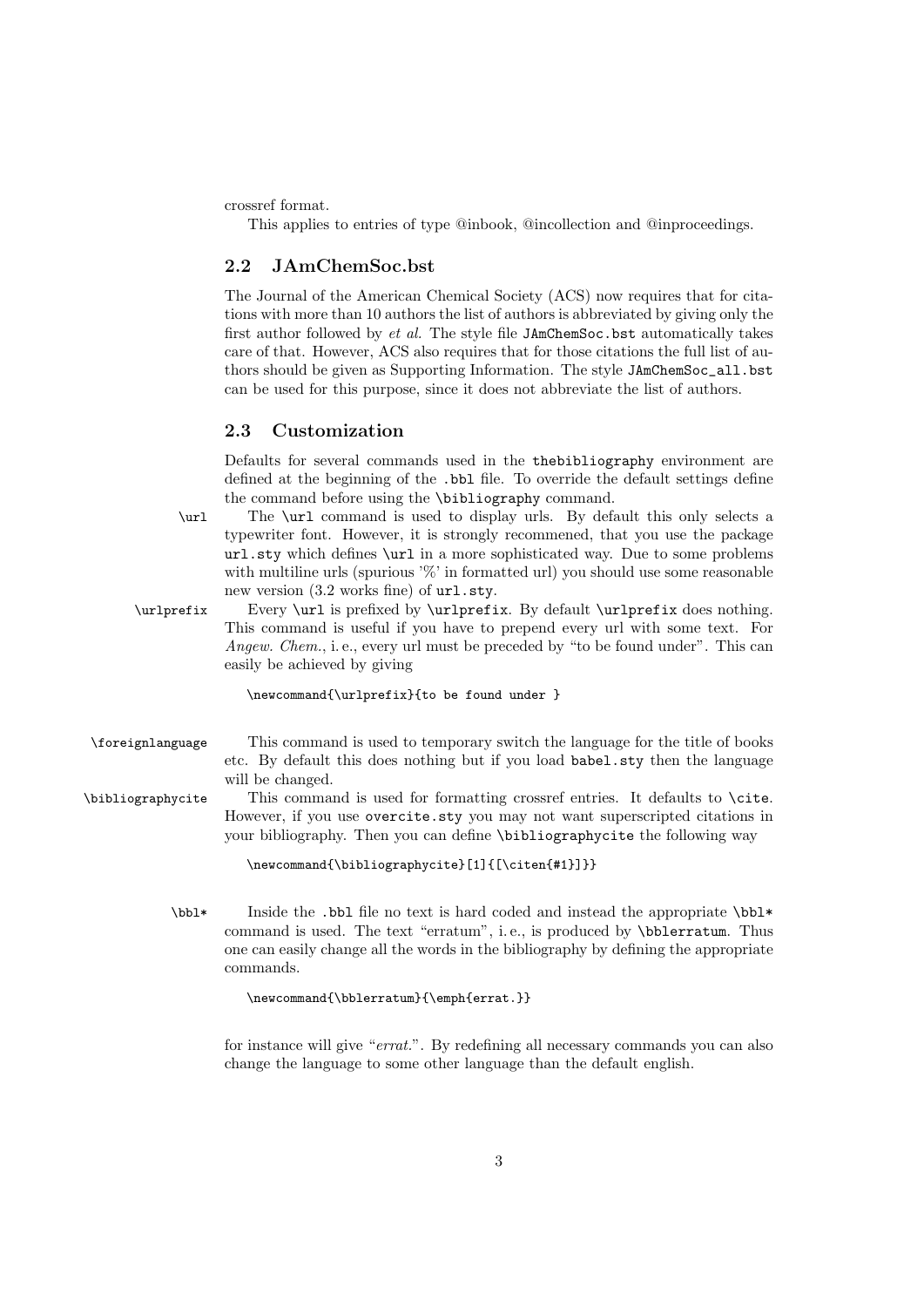crossref format.

This applies to entries of type @inbook, @incollection and @inproceedings.

## 2.2 JAmChemSoc.bst

The Journal of the American Chemical Society (ACS) now requires that for citations with more than 10 authors the list of authors is abbreviated by giving only the first author followed by  $et$  al. The style file JAmChemSoc.bst automatically takes care of that. However, ACS also requires that for those citations the full list of authors should be given as Supporting Information. The style JAmChemSoc\_all.bst can be used for this purpose, since it does not abbreviate the list of authors.

### 2.3 Customization

Defaults for several commands used in the thebibliography environment are defined at the beginning of the .bbl file. To override the default settings define the command before using the \bibliography command.

\url The \url command is used to display urls. By default this only selects a typewriter font. However, it is strongly recommened, that you use the package url.sty which defines \url in a more sophisticated way. Due to some problems with multiline urls (spurious  $\%$  in formatted url) you should use some reasonable new version (3.2 works fine) of  $url.stv.$ 

\urlprefix Every \url is prefixed by \urlprefix. By default \urlprefix does nothing. This command is useful if you have to prepend every url with some text. For Angew. Chem., i.e., every url must be preceded by "to be found under". This can easily be achieved by giving

```
\newcommand{\urlprefix}{to be found under }
```
\foreignlanguage This command is used to temporary switch the language for the title of books etc. By default this does nothing but if you load babel.sty then the language will be changed.

\bibliographycite This command is used for formatting crossref entries. It defaults to \cite. However, if you use overcite.sty you may not want superscripted citations in your bibliography. Then you can define \bibliographycite the following way

```
\newcommand{\bibliographycite}[1]{[\citen{#1}]}}
```
\bbl\* Inside the .bbl file no text is hard coded and instead the appropriate \bbl\* command is used. The text "erratum", i. e., is produced by \bblerratum. Thus one can easily change all the words in the bibliography by defining the appropriate commands.

```
\newcommand{\bblerratum}{\emph{errat.}}
```
for instance will give "errat.". By redefining all necessary commands you can also change the language to some other language than the default english.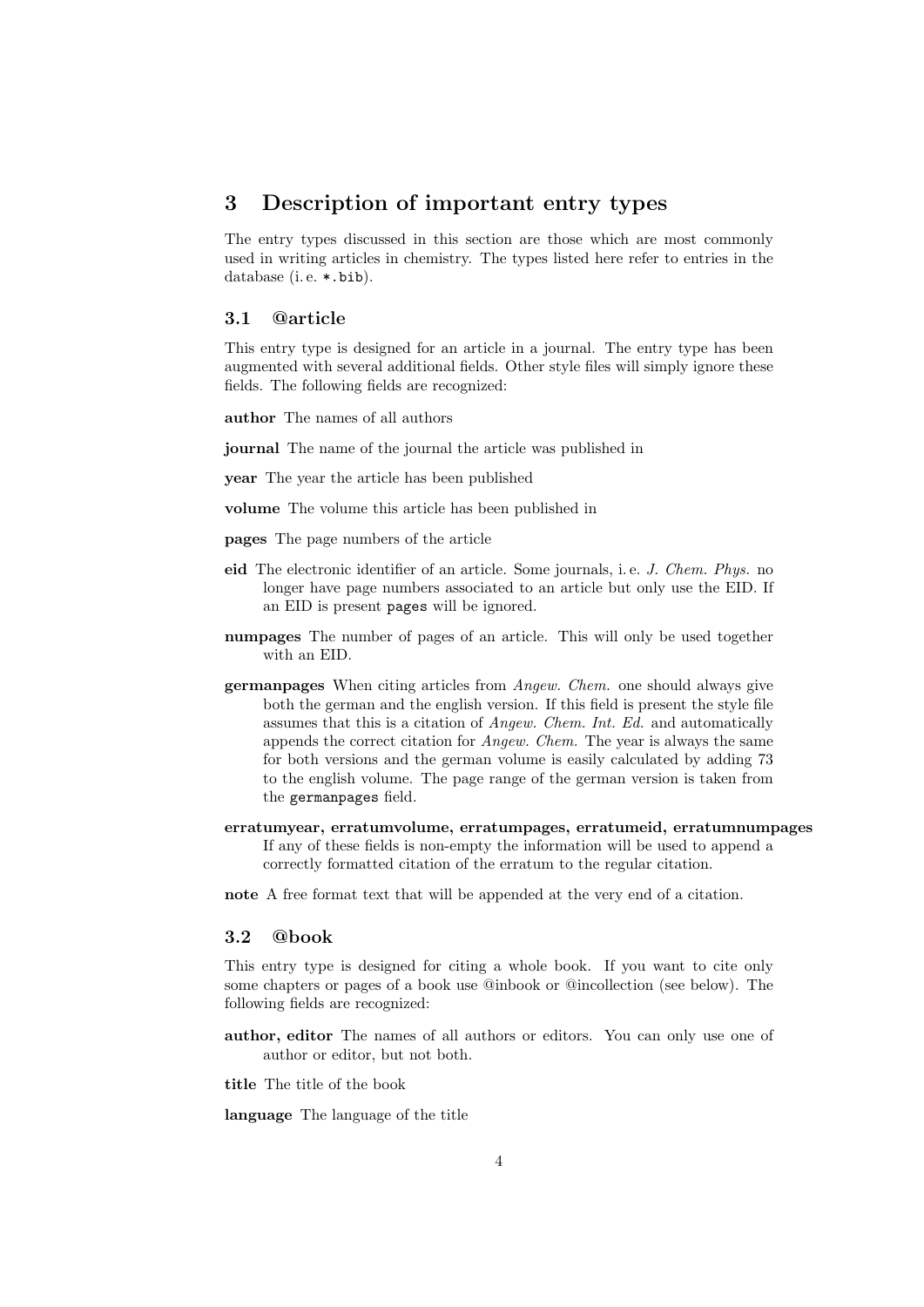## 3 Description of important entry types

The entry types discussed in this section are those which are most commonly used in writing articles in chemistry. The types listed here refer to entries in the database (i.e. \*.bib).

### 3.1 @article

This entry type is designed for an article in a journal. The entry type has been augmented with several additional fields. Other style files will simply ignore these fields. The following fields are recognized:

author The names of all authors

journal The name of the journal the article was published in

year The year the article has been published

volume The volume this article has been published in

pages The page numbers of the article

- eid The electronic identifier of an article. Some journals, i. e. J. Chem. Phys. no longer have page numbers associated to an article but only use the EID. If an EID is present pages will be ignored.
- numpages The number of pages of an article. This will only be used together with an EID.
- germanpages When citing articles from Angew. Chem. one should always give both the german and the english version. If this field is present the style file assumes that this is a citation of Angew. Chem. Int. Ed. and automatically appends the correct citation for Angew. Chem. The year is always the same for both versions and the german volume is easily calculated by adding 73 to the english volume. The page range of the german version is taken from the germanpages field.
- erratumyear, erratumvolume, erratumpages, erratumeid, erratumnumpages If any of these fields is non-empty the information will be used to append a correctly formatted citation of the erratum to the regular citation.
- note A free format text that will be appended at the very end of a citation.

#### 3.2 @book

This entry type is designed for citing a whole book. If you want to cite only some chapters or pages of a book use @inbook or @incollection (see below). The following fields are recognized:

author, editor The names of all authors or editors. You can only use one of author or editor, but not both.

title The title of the book

language The language of the title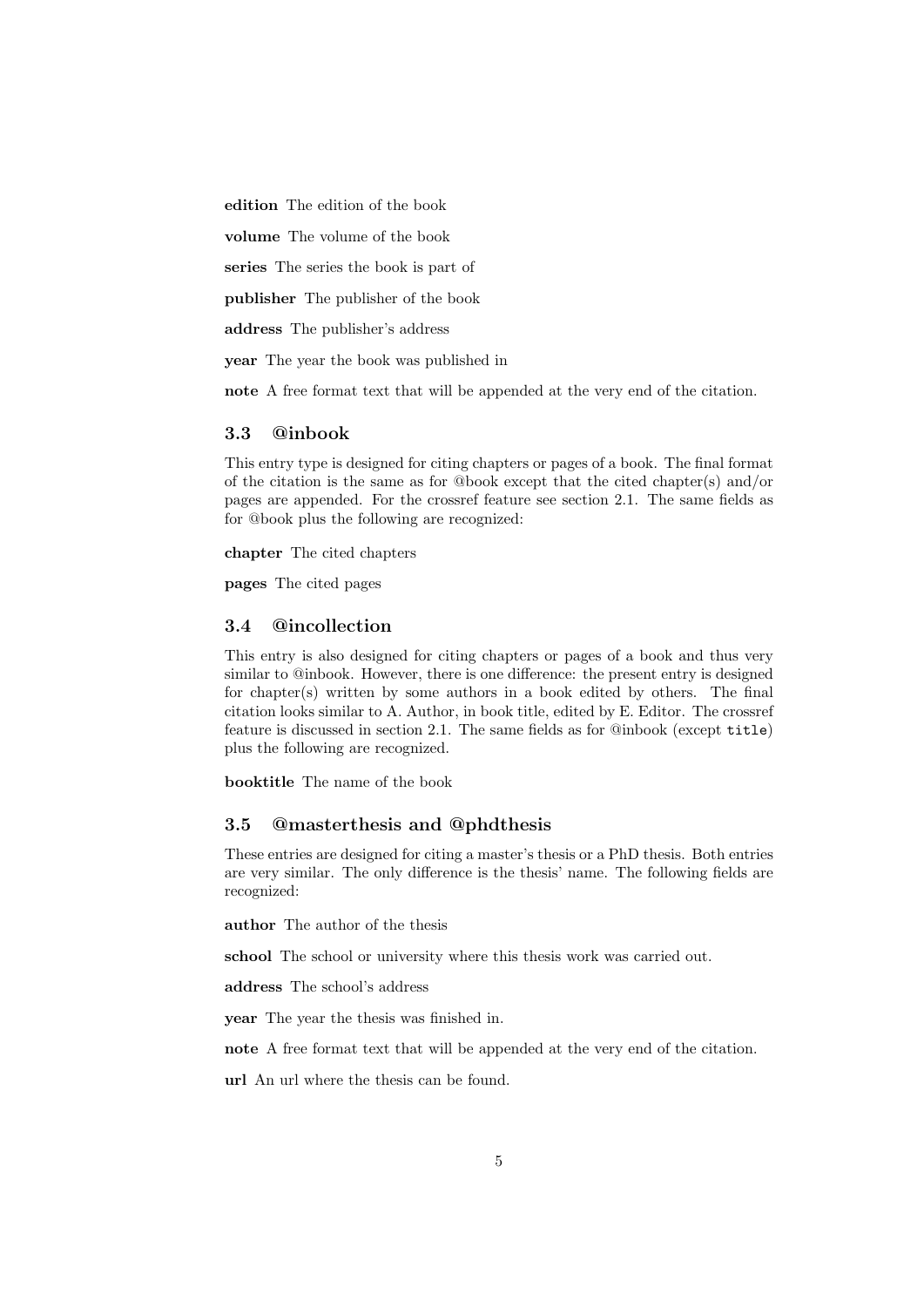edition The edition of the book

volume The volume of the book

series The series the book is part of

publisher The publisher of the book

address The publisher's address

year The year the book was published in

note A free format text that will be appended at the very end of the citation.

## 3.3 @inbook

This entry type is designed for citing chapters or pages of a book. The final format of the citation is the same as for  $@book$  except that the cited chapter(s) and/or pages are appended. For the crossref feature see section 2.1. The same fields as for @book plus the following are recognized:

chapter The cited chapters

pages The cited pages

## 3.4 @incollection

This entry is also designed for citing chapters or pages of a book and thus very similar to @inbook. However, there is one difference: the present entry is designed for chapter(s) written by some authors in a book edited by others. The final citation looks similar to A. Author, in book title, edited by E. Editor. The crossref feature is discussed in section 2.1. The same fields as for @inbook (except title) plus the following are recognized.

booktitle The name of the book

#### 3.5 @masterthesis and @phdthesis

These entries are designed for citing a master's thesis or a PhD thesis. Both entries are very similar. The only difference is the thesis' name. The following fields are recognized:

author The author of the thesis

school The school or university where this thesis work was carried out.

address The school's address

year The year the thesis was finished in.

note A free format text that will be appended at the very end of the citation.

url An url where the thesis can be found.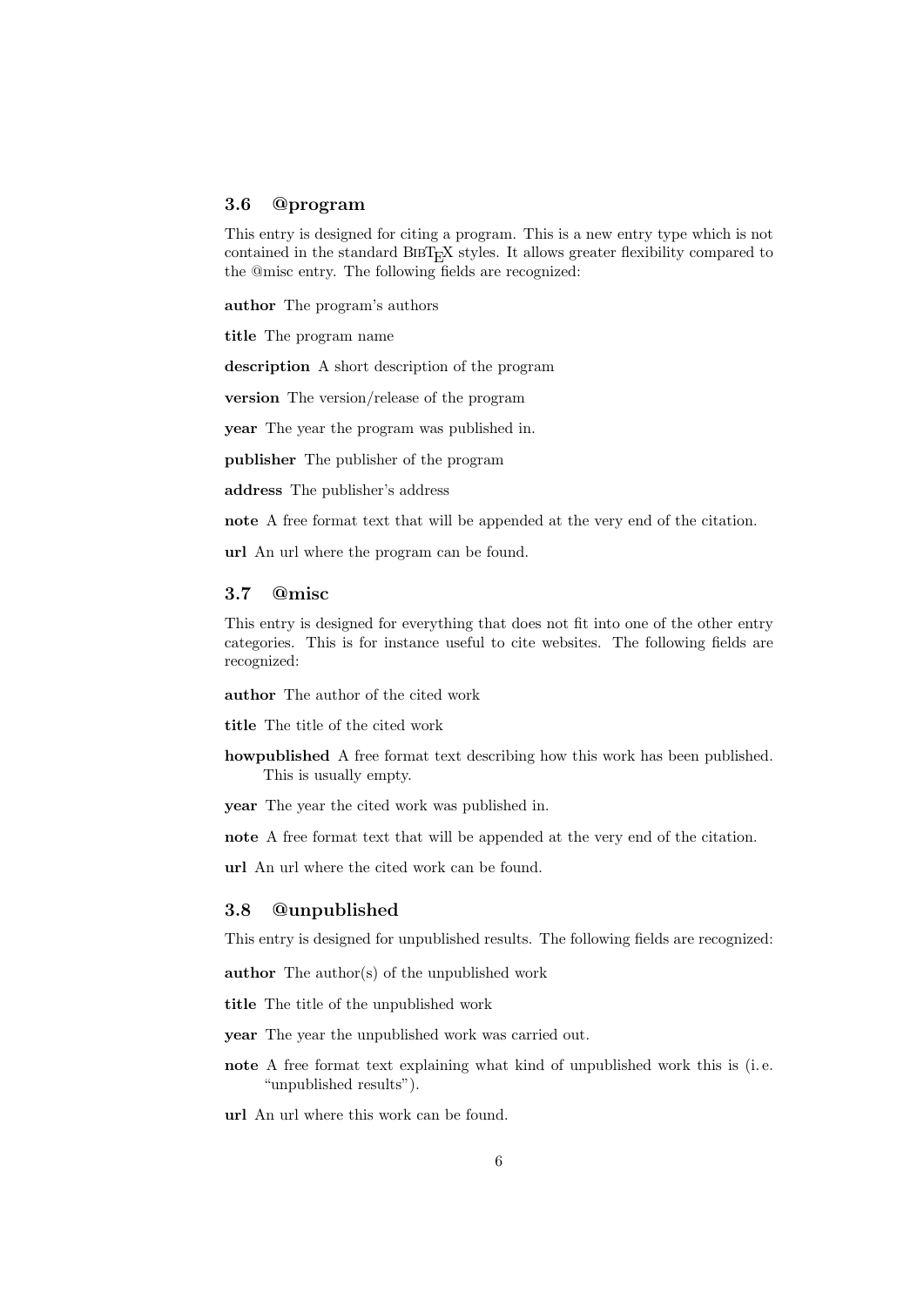#### 3.6 @program

This entry is designed for citing a program. This is a new entry type which is not contained in the standard BIBT<sub>E</sub>X styles. It allows greater flexibility compared to the @misc entry. The following fields are recognized:

author The program's authors

title The program name

description A short description of the program

version The version/release of the program

year The year the program was published in.

publisher The publisher of the program

address The publisher's address

note A free format text that will be appended at the very end of the citation.

url An url where the program can be found.

#### 3.7 @misc

This entry is designed for everything that does not fit into one of the other entry categories. This is for instance useful to cite websites. The following fields are recognized:

author The author of the cited work

title The title of the cited work

- howpublished A free format text describing how this work has been published. This is usually empty.
- year The year the cited work was published in.

note A free format text that will be appended at the very end of the citation.

url An url where the cited work can be found.

#### 3.8 @unpublished

This entry is designed for unpublished results. The following fields are recognized:

author The author(s) of the unpublished work

title The title of the unpublished work

- year The year the unpublished work was carried out.
- note A free format text explaining what kind of unpublished work this is (i. e. "unpublished results").

url An url where this work can be found.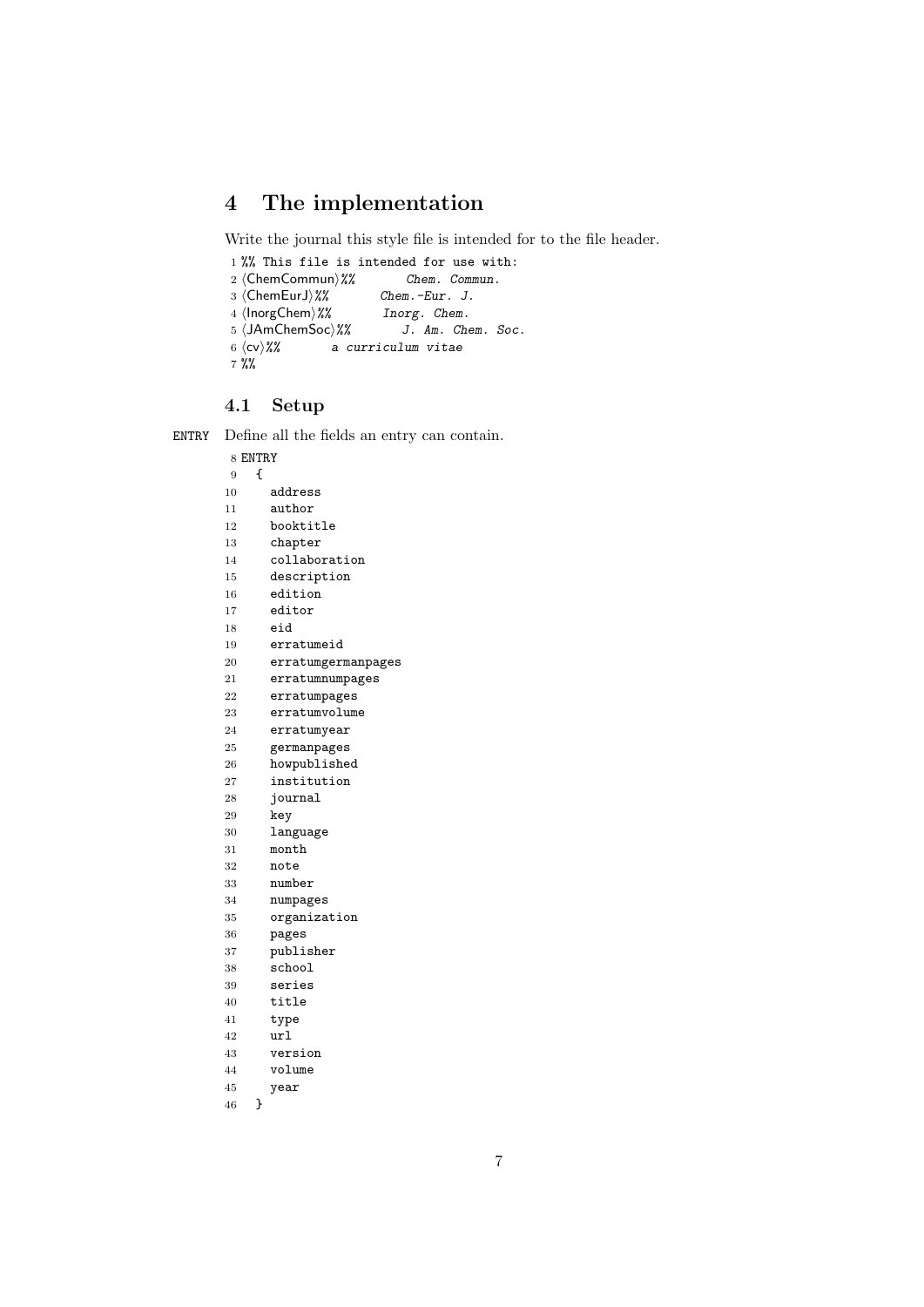# 4 The implementation

Write the journal this style file is intended for to the file header.

```
1 %% This file is intended for use with:<br>2 \langleChemCommun\rangle% Chem. Commun.
2 (ChemCommun)%% Chem. Comm<br>3 (ChemEurJ)%% Chem.-Eur. J.
3 \langleChemEurJ\rangle%%<br>4 \langleInorgChem\rangle%%
                                       Inorg. Chem.
5 \langle JAmChemSoc\rangle\% J. Am. Chem. Soc.<br>6 \langle cv\rangle\% a curriculum vitae
                     a curriculum vitae
7 %%
```
## 4.1 Setup

ENTRY Define all the fields an entry can contain.

|    | 8 ENTRY |                    |
|----|---------|--------------------|
| 9  | ſ       |                    |
| 10 |         | address            |
| 11 |         | author             |
| 12 |         | booktitle          |
| 13 |         | chapter            |
| 14 |         | collaboration      |
| 15 |         | description        |
| 16 |         | edition            |
| 17 |         | editor             |
| 18 |         | eid                |
| 19 |         | erratumeid         |
| 20 |         | erratumgermanpages |
| 21 |         | erratumnumpages    |
| 22 |         | erratumpages       |
| 23 |         | erratumvolume      |
| 24 |         | erratumyear        |
| 25 |         | germanpages        |
| 26 |         | howpublished       |
| 27 |         | institution        |
| 28 |         | journal            |
| 29 |         | key                |
| 30 |         | language           |
| 31 |         | month              |
| 32 |         | note               |
| 33 |         | number             |
| 34 |         | numpages           |
| 35 |         | organization       |
| 36 |         | pages              |
| 37 |         | publisher          |
| 38 |         | school             |
| 39 |         | series             |
| 40 |         | title              |
| 41 |         | type               |
| 42 |         | url                |
| 43 |         | version            |
| 44 |         | volume             |
| 45 |         | year               |
| 46 | }       |                    |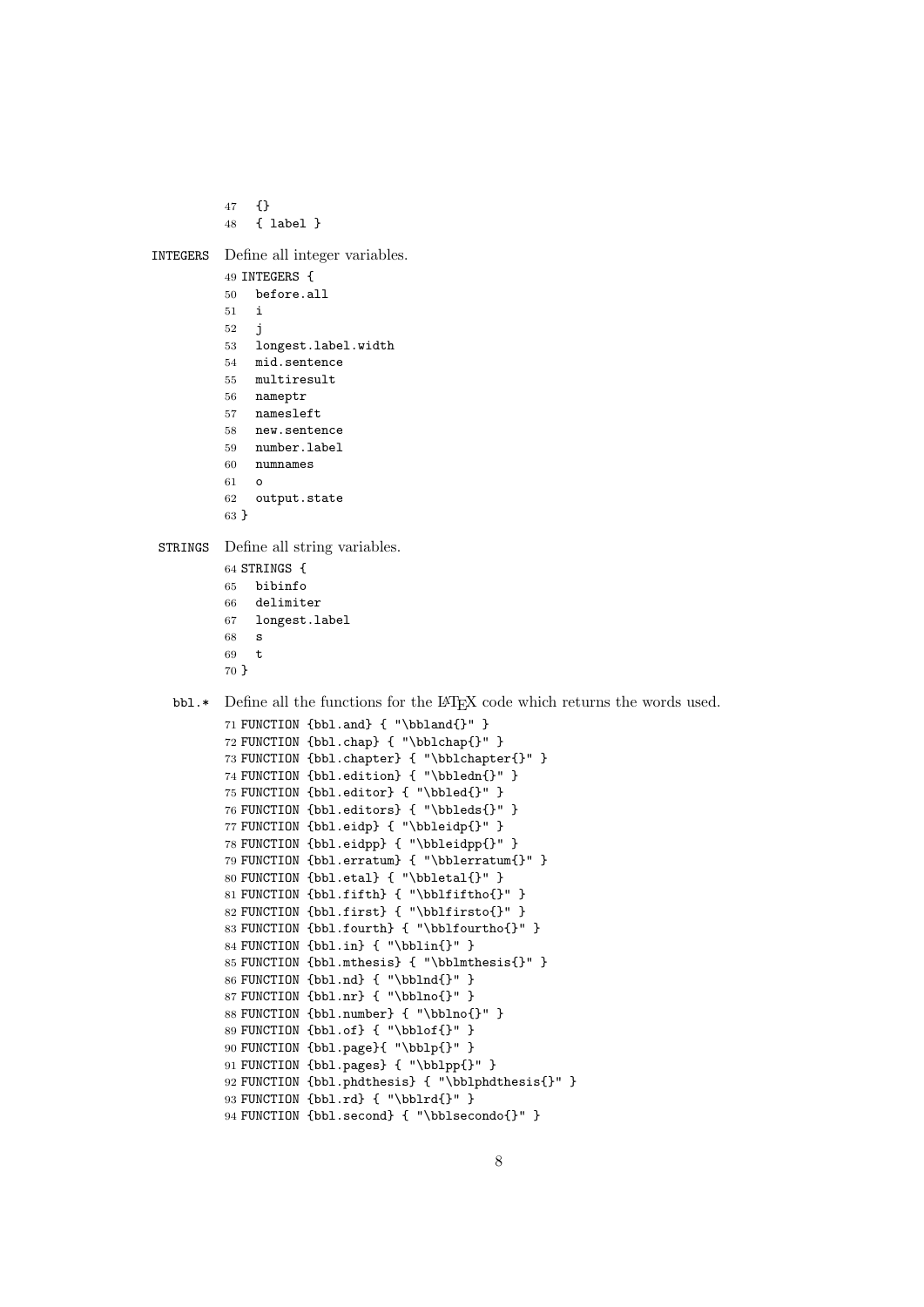```
47 {}
         48 { label }
INTEGERS Define all integer variables.
         49 INTEGERS {
         50 before.all
         51 i
         52 j
         53 longest.label.width
         54 mid.sentence
         55 multiresult
         56 nameptr
         57 namesleft
          58 new.sentence
         59 number.label
         60 numnames
         61 o
         62 output.state
         63 }
STRINGS Define all string variables.
         64 STRINGS {
         65 bibinfo
         66 delimiter
             longest.label
         68 s
          69 t
          70 }
  bbl.* Define all the functions for the LATEX code which returns the words used.
          71 FUNCTION {bbl.and} { "\bbland{}" }
          72 FUNCTION {bbl.chap} { "\bblchap{}" }
          73 FUNCTION {bbl.chapter} { "\bblchapter{}" }
          74 FUNCTION {bbl.edition} { "\bbledn{}" }
          75 FUNCTION {bbl.editor} { "\bbled{}" }
          76 FUNCTION {bbl.editors} { "\bbleds{}" }
          77 FUNCTION {bbl.eidp} { "\bbleidp{}" }
          78 FUNCTION {bbl.eidpp} { "\bbleidpp{}" }
         79 FUNCTION {bbl.erratum} { "\bblerratum{}" }
          80 FUNCTION {bbl.etal} { "\bbletal{}" }
         81 FUNCTION {bbl.fifth} { "\bblfiftho{}" }
         82 FUNCTION {bbl.first} { "\bblfirsto{}" }
         83 FUNCTION {bbl.fourth} { "\bblfourtho{}" }
          84 FUNCTION {bbl.in} { "\bblin{}" }
          85 FUNCTION {bbl.mthesis} { "\bblmthesis{}" }
          86 FUNCTION {bbl.nd} { "\bblnd{}" }
         87 FUNCTION {bbl.nr} { "\bblno{}" }
          88 FUNCTION {bbl.number} { "\bblno{}" }
          89 FUNCTION {bbl.of} { "\bblof{}" }
         90 FUNCTION {bbl.page}{ "\bblp{}" }
          91 FUNCTION {bbl.pages} { "\bblpp{}" }
         92 FUNCTION {bbl.phdthesis} { "\bblphdthesis{}" }
```
 FUNCTION {bbl.rd} { "\bblrd{}" } FUNCTION {bbl.second} { "\bblsecondo{}" }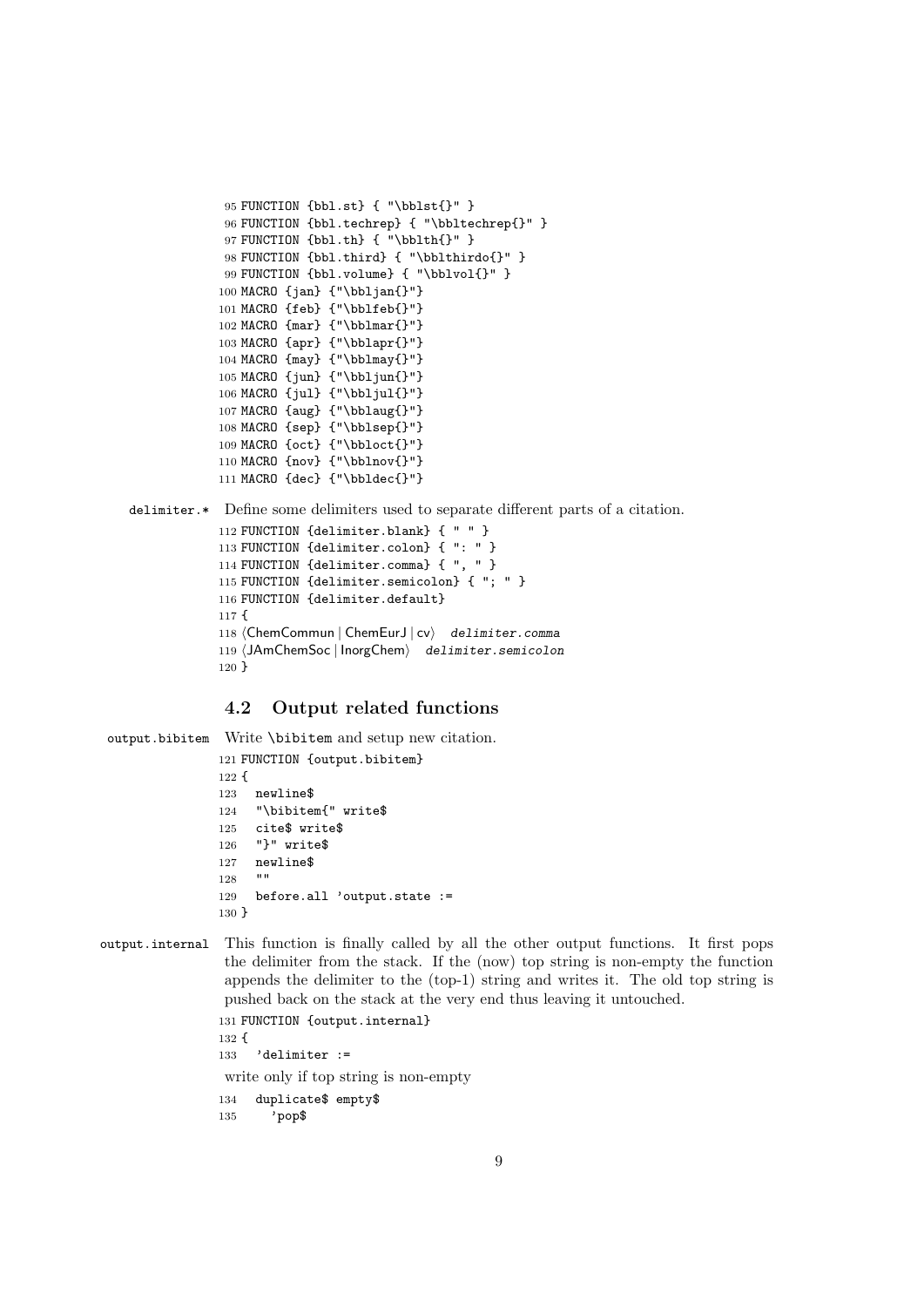```
95 FUNCTION {bbl.st} { "\bblst{}" }
96 FUNCTION {bbl.techrep} { "\bbltechrep{}" }
97 FUNCTION {bbl.th} { "\bblth{}" }
98 FUNCTION {bbl.third} { "\bblthirdo{}" }
99 FUNCTION {bbl.volume} { "\bblvol{}" }
100 MACRO {jan} {"\bbljan{}"}
101 MACRO {feb} {"\bblfeb{}"}
102 MACRO {mar} {"\bblmar{}"}
103 MACRO {apr} {"\bblapr{}"}
104 MACRO {may} {"\bblmay{}"}
105 MACRO {jun} {"\bbljun{}"}
106 MACRO {jul} {"\bbljul{}"}
107 MACRO {aug} {"\bblaug{}"}
108 MACRO {sep} {"\bblsep{}"}
109 MACRO {oct} {"\bbloct{}"}
110 MACRO {nov} {"\bblnov{}"}
111 MACRO {dec} {"\bbldec{}"}
```
delimiter.\* Define some delimiters used to separate different parts of a citation.

```
112 FUNCTION {delimiter.blank} { " " }
113 FUNCTION {delimiter.colon} { ": " }
114 FUNCTION {delimiter.comma} { ", " }
115 FUNCTION {delimiter.semicolon} { "; " }
116 FUNCTION {delimiter.default}
117 {
118 (ChemCommun | ChemEurJ | cv) delimiter.comma
119 (JAmChemSoc | InorgChem) delimiter.semicolon
120 }
```
## 4.2 Output related functions

```
output.bibitem Write \bibitem and setup new citation.
               121 FUNCTION {output.bibitem}
               122 {
               123 newline$
               124 "\bibitem{" write$
               125 cite$ write$
               126 "}" write$
               127 newline$
               128 ""
               129 before.all 'output.state :=
               130 }
```

```
output.internal This function is finally called by all the other output functions. It first pops
                  the delimiter from the stack. If the (now) top string is non-empty the function
                  appends the delimiter to the (top-1) string and writes it. The old top string is
                  pushed back on the stack at the very end thus leaving it untouched.
                 131 FUNCTION {output.internal}
```

```
132 {
133 'delimiter :=
write only if top string is non-empty
134 duplicate$ empty$
135 'pop$
```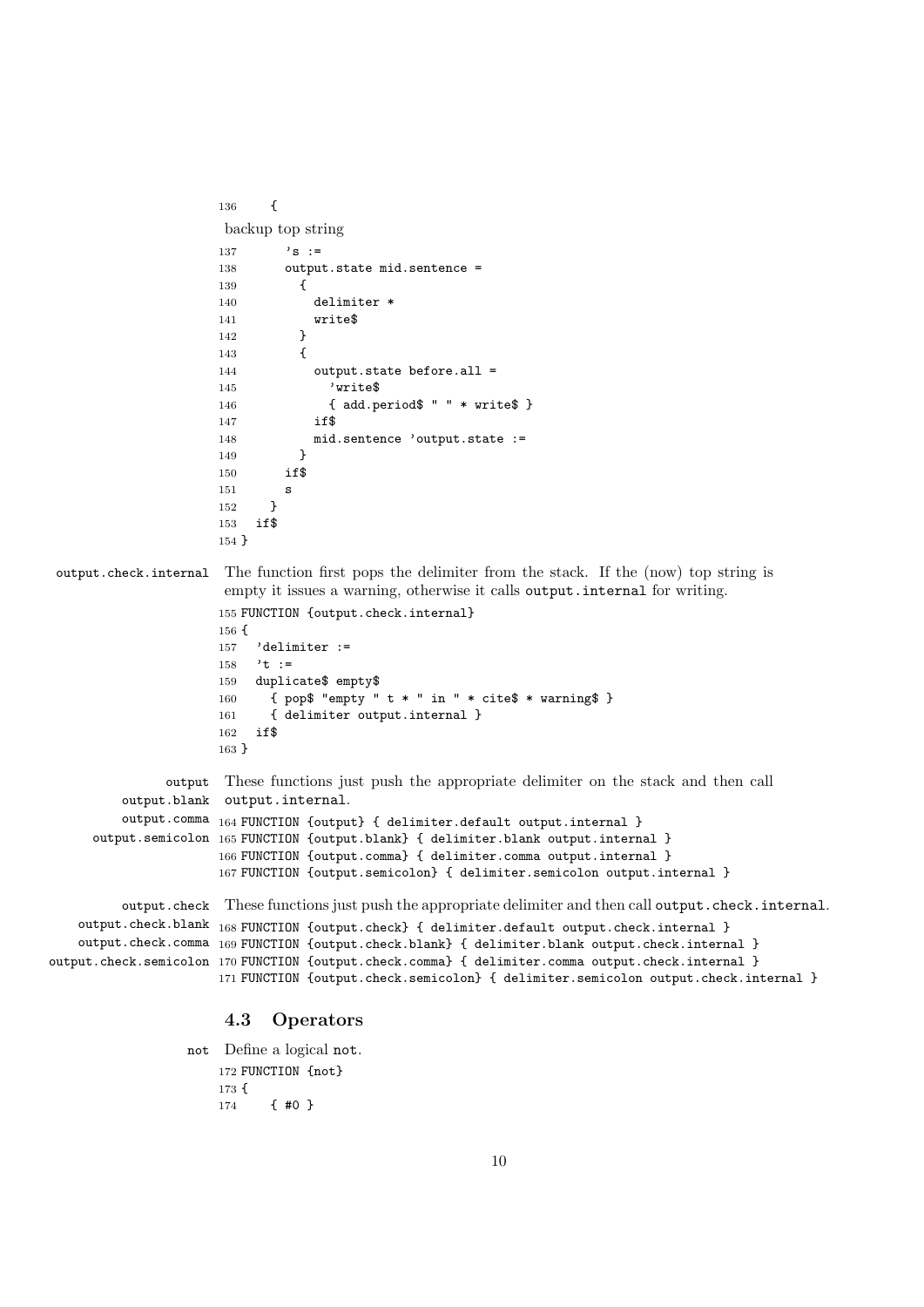```
136 {
                      backup top string
                     137 \cdot s :=
                     138 output.state mid.sentence =
                     139 {
                     140 delimiter *
                     141 write$
                     142 }
                     143 {
                     144 output.state before.all =
                     145 'write$
                     146 { add.period$ " " * write$ }
                     147 if$
                     148 mid.sentence 'output.state :=
                     140 \lambda150 if$
                     151 \alpha152 }
                     153 if$
                     154 }
output.check.internal The function first pops the delimiter from the stack. If the (now) top string is
                      empty it issues a warning, otherwise it calls output.internal for writing.
                      155 FUNCTION {output.check.internal}
                     156 {
                     157 'delimiter :=
                     158 't :=
                     159 duplicate$ empty$
                     160 { pop$ "empty " t * " in " * cite$ * warning$ }
                     161 { delimiter output.internal }
                     162 if$
                     163 }
               output
These functions just push the appropriate delimiter on the stack and then call
         output.blank
output.internal.
         output.comma 164 FUNCTION {output} { delimiter.default output.internal }
     output.semicolon
165 FUNCTION {output.blank} { delimiter.blank output.internal }
                     166 FUNCTION {output.comma} { delimiter.comma output.internal }
                     167 FUNCTION {output.semicolon} { delimiter.semicolon output.internal }
         output.check
These functions just push the appropriate delimiter and then call output.check.internal.
   output.check.blank _{168} FUNCTION {output.check} { delimiter.default output.check.internal }
   output.check.comma
169 FUNCTION {output.check.blank} { delimiter.blank output.check.internal }
output.check.semicolon
170 FUNCTION {output.check.comma} { delimiter.comma output.check.internal }
                     171 FUNCTION {output.check.semicolon} { delimiter.semicolon output.check.internal }
                      4.3 Operators
```
not Define a logical not. FUNCTION {not} { { #0 }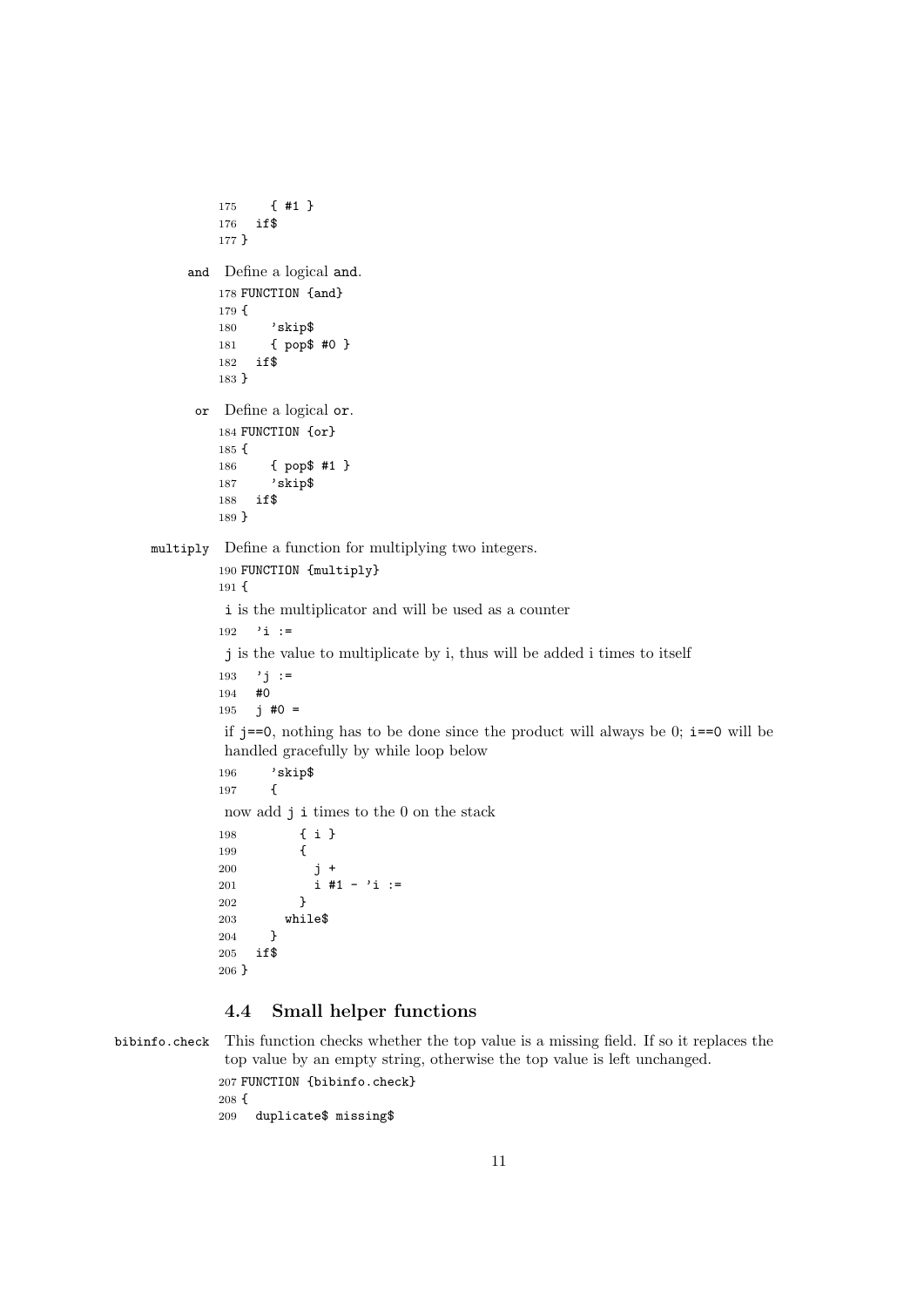```
175 { #1 }
         176 if$
         177 }
     and Define a logical and.
         178 FUNCTION {and}
         179 {
         180 'skip$
         181 { pop$ #0 }
         182 if$
         183 }
     or Define a logical or.
         184 FUNCTION {or}
         185 {
         186 { pop$ #1 }
         187 'skip$
         188 if$
         189 }
multiply Define a function for multiplying two integers.
         190 FUNCTION {multiply}
         191 {
         i is the multiplicator and will be used as a counter
         192 'i :=
         j is the value to multiplicate by i, thus will be added i times to itself
         193 'i :=
         194 #0
         195 j \#0 =if j == 0, nothing has to be done since the product will always be 0; i == 0 will be
         handled gracefully by while loop below
         196 'skip$
         197 {
         now add j i times to the 0 on the stack
         198 { i }
         199 {
         200 j +
         201 i #1 - 'i :=
         202 }
         203 while$
         204 }
         205 if$
         206 }
```
## 4.4 Small helper functions

bibinfo.check This function checks whether the top value is a missing field. If so it replaces the top value by an empty string, otherwise the top value is left unchanged. FUNCTION {bibinfo.check} { duplicate\$ missing\$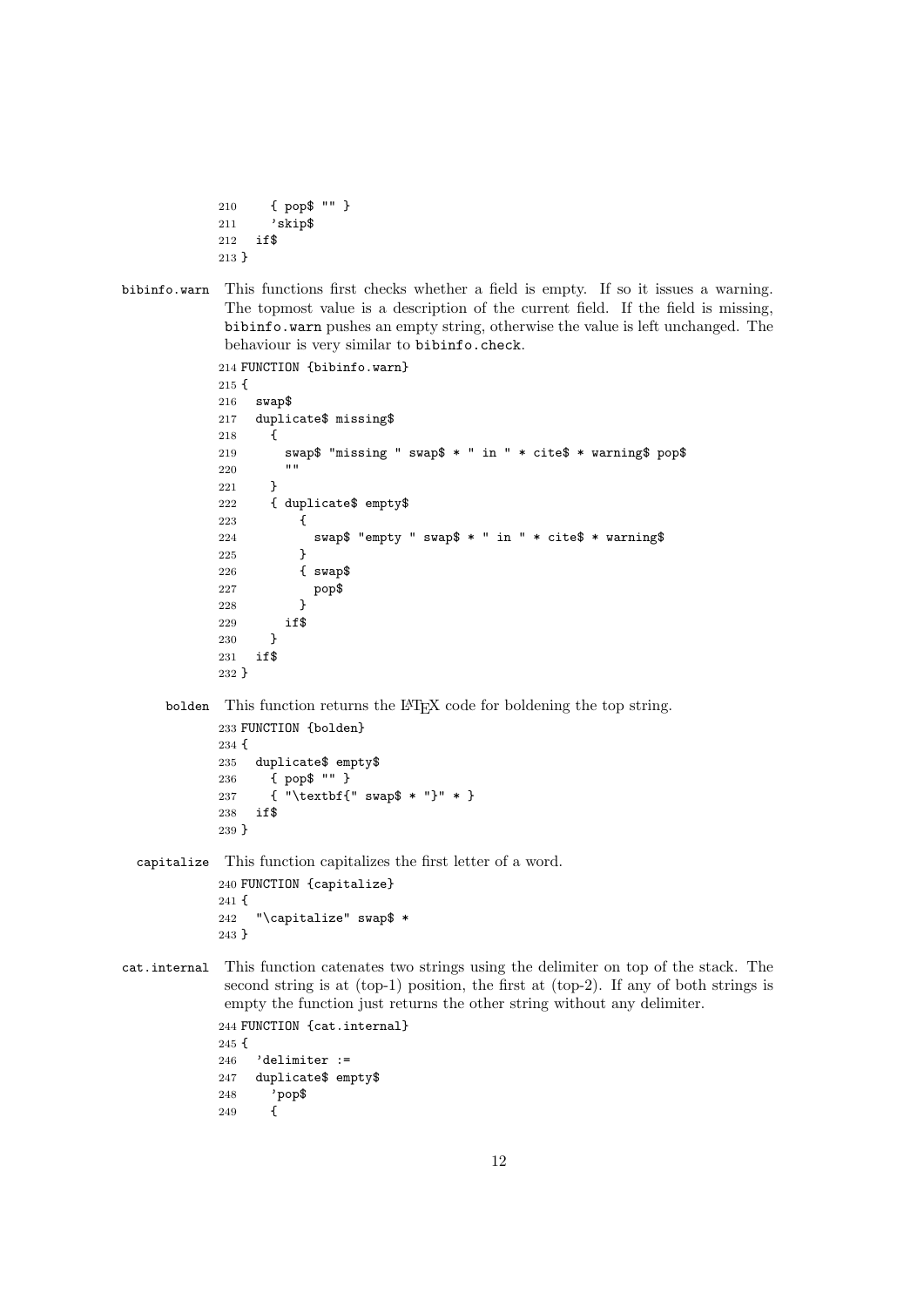```
210 { pop$ "" }
211 'skip$
212 if$
213 }
```
bibinfo.warn This functions first checks whether a field is empty. If so it issues a warning. The topmost value is a description of the current field. If the field is missing, bibinfo.warn pushes an empty string, otherwise the value is left unchanged. The behaviour is very similar to bibinfo.check.

```
214 FUNCTION {bibinfo.warn}
215 {
216 swap$
217 duplicate$ missing$
218 {
219 swap$ "missing " swap$ * " in " * cite$ * warning$ pop$<br>220 = ""
220221 }
222 { duplicate$ empty$
223 {
224 swap$ "empty " swap$ * " in " * cite$ * warning$
225 }
226 { swap$
227 pop$
228 }
229 if$
230 }
231 if$
232 }
```
bolden This function returns the LATEX code for boldening the top string.

```
233 FUNCTION {bolden}
234 {
235 duplicate$ empty$
236 { pop$ "" }
237 { "\textbf{" swap$ * "}" * }
238 if$
239 }
```
capitalize This function capitalizes the first letter of a word. FUNCTION {capitalize} { "\capitalize" swap\$ \* }

cat.internal This function catenates two strings using the delimiter on top of the stack. The second string is at (top-1) position, the first at (top-2). If any of both strings is empty the function just returns the other string without any delimiter. FUNCTION {cat.internal} { 'delimiter := duplicate\$ empty\$ 'pop\$ {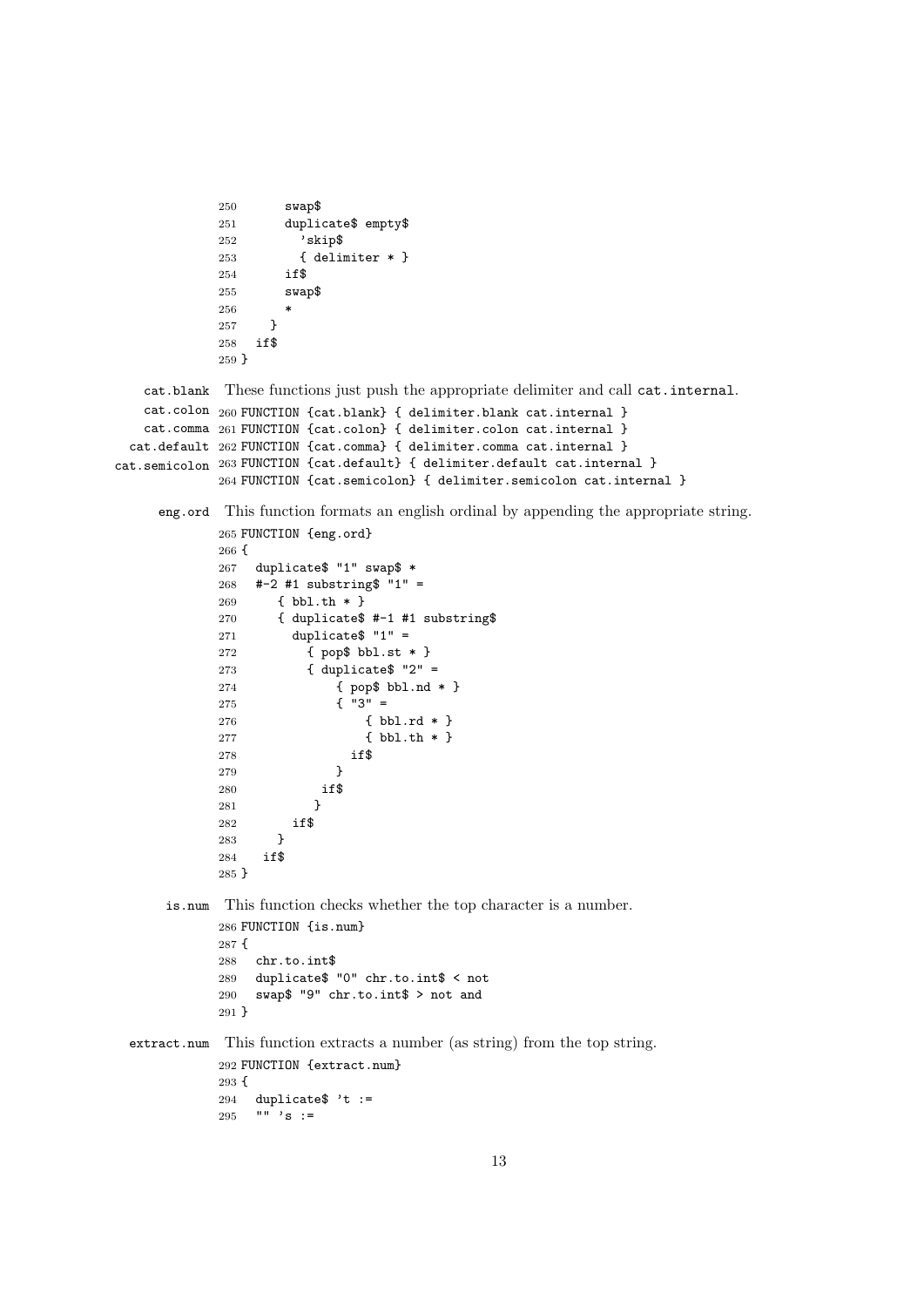```
250 swap$
            251 duplicate$ empty$
            252 'skip$
            253 { delimiter * }
            254 if$
            255 swap$
            256 *
            257 }
            258 if$
            259 }
   cat.blank
These functions just push the appropriate delimiter and call cat.internal.
   cat.colon
260 FUNCTION {cat.blank} { delimiter.blank cat.internal }
   cat.comma
261 FUNCTION {cat.colon} { delimiter.colon cat.internal }
 cat.default
262 FUNCTION {cat.comma} { delimiter.comma cat.internal }
cat.semicolon
263 FUNCTION {cat.default} { delimiter.default cat.internal }
            264 FUNCTION {cat.semicolon} { delimiter.semicolon cat.internal }
     eng.ord This function formats an english ordinal by appending the appropriate string.
            265 FUNCTION {eng.ord}
            266\, { 267\,duplicate$ "1" swap$ *
            268 \#-2 #1 substring$ "1" =
            269 { bbl.th * }
            270 { duplicate$ #-1 #1 substring$
            271 duplicate$ "1" =
            272 { pop$ bbl.st * }
            273 { duplicate$ "2" =
            274 { pop$ bbl.nd * }
            275 \{ 99 = 275276 { bbl.rd * }
            277 { bbl.th * }
            278 if$
            279 }
            280 if$
            281 }
            282 if$
            283 }
            284 if$
            285 }
      is.num This function checks whether the top character is a number.
            286 FUNCTION {is.num}
            287 {
            288 chr.to.int$
            289 duplicate$ "0" chr.to.int$ < not
            290 swap$ "9" chr.to.int$ > not and
            291 }
 extract.num This function extracts a number (as string) from the top string.
            292 FUNCTION {extract.num}
            293 {
            294 duplicate$ 't :=<br>295 "" 's :=
                \mathbb{R}^3 's :=
```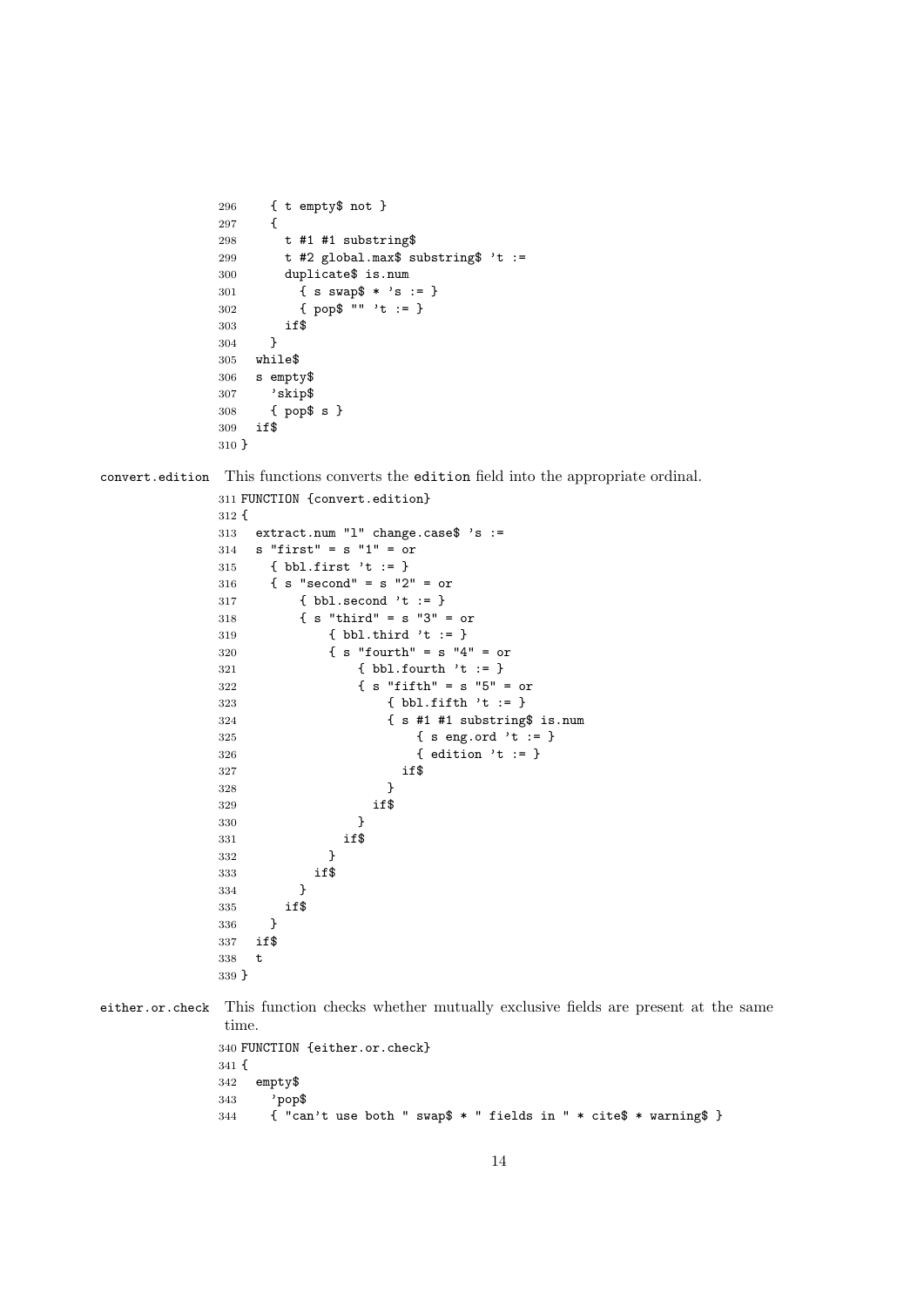```
296 { t empty$ not }
297 {
298 t #1 #1 substring$
299 t #2 global.max$ substring$ 't :=
300 duplicate$ is.num
301 { s swap$ * 's := }
302 { pop$ "" 't := }
303 if$
304 }
305 while$
306 s empty$
307 'skip$
308 { pop$ s }
309 if$
310 }
```
convert.edition This functions converts the edition field into the appropriate ordinal.

```
311 FUNCTION {convert.edition}
312 {
313 extract.num "l" change.case$ 's :=
314 s "first" = s "1" = or
315 { bbl.first 't := }
316 { s "second" = s "2" = or
317 { bbl.second 't := }
318 { s "third" = s "3" = or
319 { bbl.third 't := }
320 \{ s \text{ "fourth" = } s \text{ "4" = or} \}321 { bbl.fourth 't := }
322 \{ s \text{ "fifth" = } s \text{ "5" = or}323 { bbl.fifth 't := }
324 { s #1 #1 substring$ is.num
325 { s eng.ord 't := }
326 { edition 't := }
327 if $
328 }
329 if$
330 }
331 if$
332 }
333 if$<br>334 }
334 }
335 if$
336 }
337 if$
338 t
339 }
```
either.or.check This function checks whether mutually exclusive fields are present at the same time.

```
340 FUNCTION {either.or.check}
341 {
342 empty$
343 'pop$
344 { "can't use both " swap$ * " fields in " * cite$ * warning$ }
```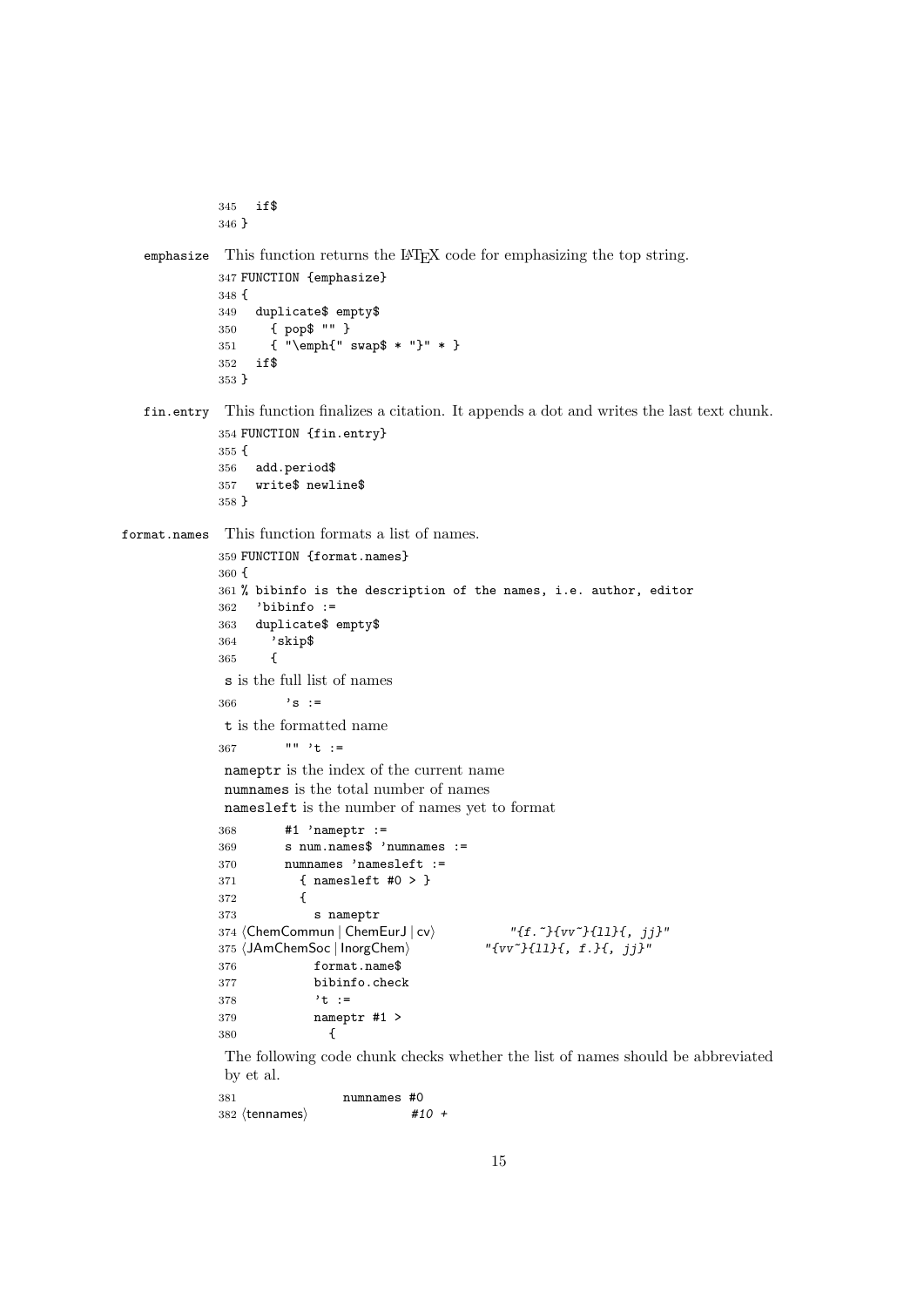```
345 if$
346 }
```
emphasize This function returns the LAT<sub>EX</sub> code for emphasizing the top string.

```
347 FUNCTION {emphasize}
348 {
349 duplicate$ empty$
350 { pop$ "" }
351 { "\emph{" swap$ * "}" * }
352 if$
353 }
```
fin.entry This function finalizes a citation. It appends a dot and writes the last text chunk. FUNCTION {fin.entry}

```
355 {
356 add.period$
357 write$ newline$
358 }
```
format.names This function formats a list of names.

```
359 FUNCTION {format.names}
360 {
361 % bibinfo is the description of the names, i.e. author, editor
362 'bibinfo :=
363 duplicate$ empty$
364 'skip$
365 {
s is the full list of names
366 's :=
t is the formatted name
367 "" 't :=
nameptr is the index of the current name
numnames is the total number of names
namesleft is the number of names yet to format
368 #1 'nameptr :=
369 s num.names$ 'numnames :=
370 numnames 'namesleft :=
371 { namesleft #0 > }
372 {
373 s nameptr
374 \langleChemCommun | ChemEurJ | cv\rangle "{f.~}{vv~}{11}{, jj}"<br>375 \langleJAmChemSoc | InorgChem\rangle "{vv~}{11}{, f.}{, jj}"
375 (JAmChemSoc | InorgChem)
376 format.name$
377 bibinfo.check
378 't :=
379 nameptr #1 >
380 {
```
The following code chunk checks whether the list of names should be abbreviated by et al.

 numnames #0  $382 \text{ (tennames)}$  #10 +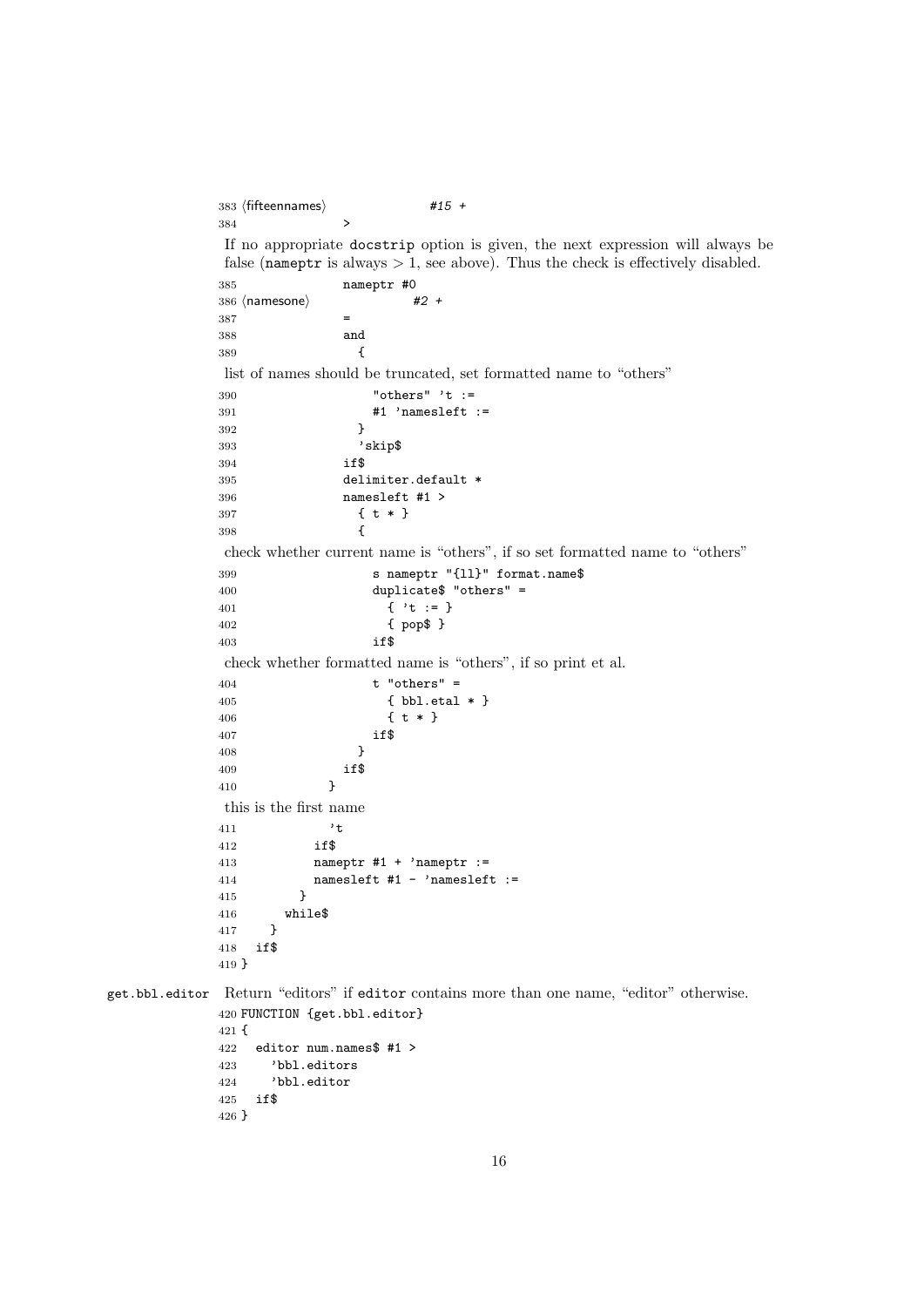```
383 \langle fifteennames\rangle #15 +
           384 >
           If no appropriate docstrip option is given, the next expression will always be
           false (nameptr is always > 1, see above). Thus the check is effectively disabled.
           385 nameptr #0
           386 \text{ (namesone)} #2 +
           387 =
           388 and
           389 {
           list of names should be truncated, set formatted name to "others"
           390 "others" 't :=
           391 #1 'namesleft :=
           392 }
           393 'skip$
           394 if$
           395 delimiter.default *
           396 namesleft #1 >
           397 { t * }
           398 {
           check whether current name is "others", if so set formatted name to "others"
           399 s nameptr "{ll}" format.name$
           400 duplicate$ "others" =
           401 { 't := }
           402 { pop$ }
           403 if$
           check whether formatted name is "others", if so print et al.
           404 t "others" =
           405 { bbl.etal * }
           406 { t * }
           407 if$
           408 }
           409 if$
           410 }
           this is the first name
           411 't
           412 if$
           413 nameptr #1 + 'nameptr :=
           414 namesleft #1 - 'nameslet :=
           415 }
           416 while$
           417 }
           418 if$
           419 }
get.bbl.editor Return "editors" if editor contains more than one name, "editor" otherwise.
           420 FUNCTION {get.bbl.editor}
           421 {
           422 editor num.names$ #1 >
           423 'bbl.editors
           424 'bbl.editor
           425 if$
           426 }
```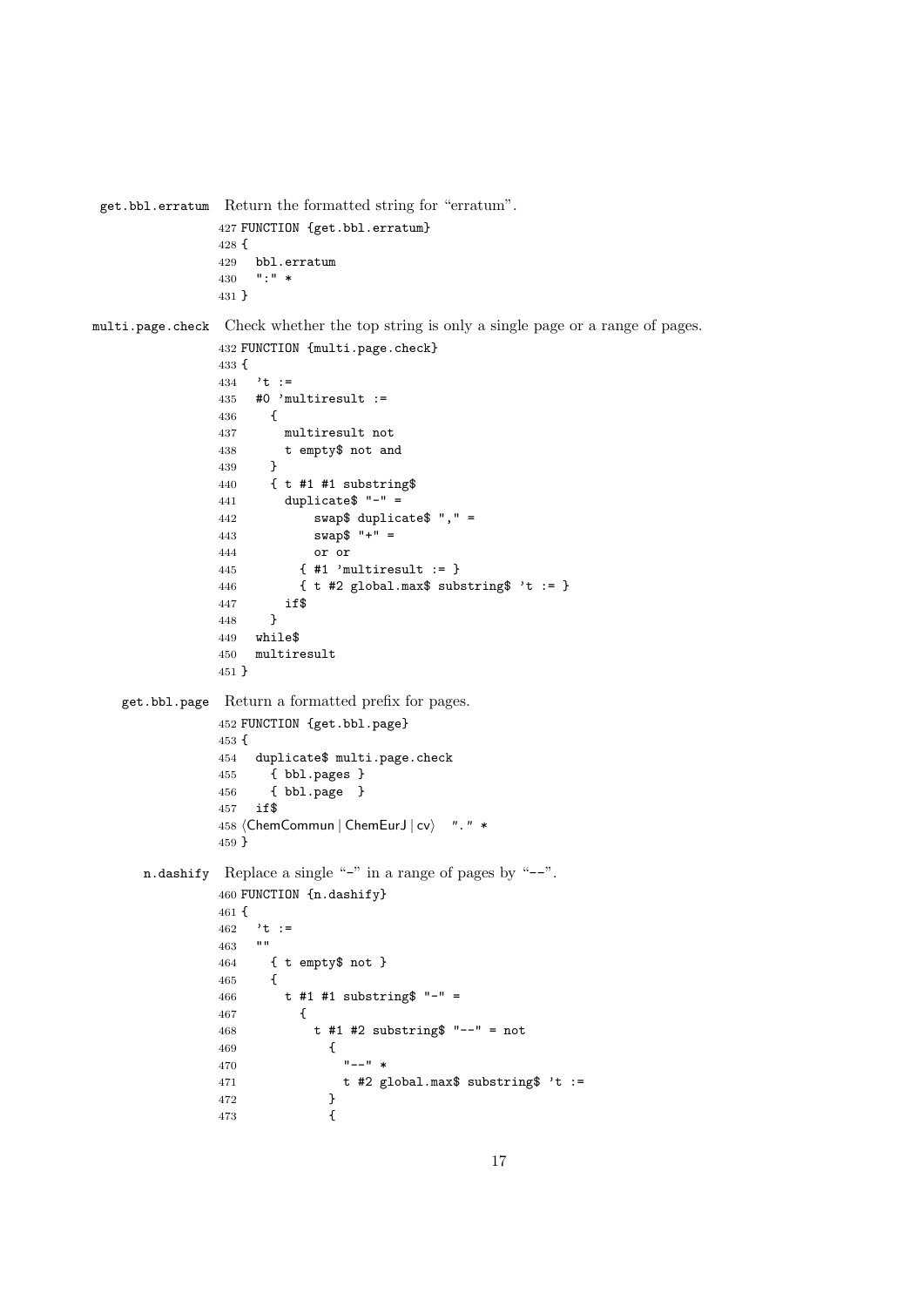```
get.bbl.erratum Return the formatted string for "erratum".
                427 FUNCTION {get.bbl.erratum}
                428 {
                429 bbl.erratum
                430 ":" *
                431 }
multi.page.check Check whether the top string is only a single page or a range of pages.
                432 FUNCTION {multi.page.check}
                433 {
                434 't :=
                435 #0 'multiresult :=
                436 {
                437 multiresult not
                438 t empty$ not and
                439 }
                440 { t #1 #1 substring$
                441 duplicate "-" =442 swap$ duplicate$ "," =
                443 swap$ " +" =444 or or
                445 { #1 'multiresult := }
                446 \{ t \#2 \text{ global.max$ substring" 't := } \}447 if$<br>448 }
                448 }
                449 while$
                450 multiresult
                451 }
   get.bbl.page Return a formatted prefix for pages.
                452 FUNCTION {get.bbl.page}
                453 {
                454 duplicate$ multi.page.check
                455 { bbl.pages }
                456 { bbl.page }
                457 if$
                458 (ChemCommun | ChemEurJ | cv) ". " *
                459 }
      n.dashify Replace a single "-" in a range of pages by "--".
                460 FUNCTION {n.dashify}
                461 {
                462 't :=
                463
                464 { t empty$ not }
                465 {
                466 t #1 #1 substring$ "-" =
                467 {
                468 t #1 #2 substring$ "--" = not
                469 {
                470 "--" *471 t #2 global.max$ substring$ 't := 472472 }<br>473 }
                473 {
```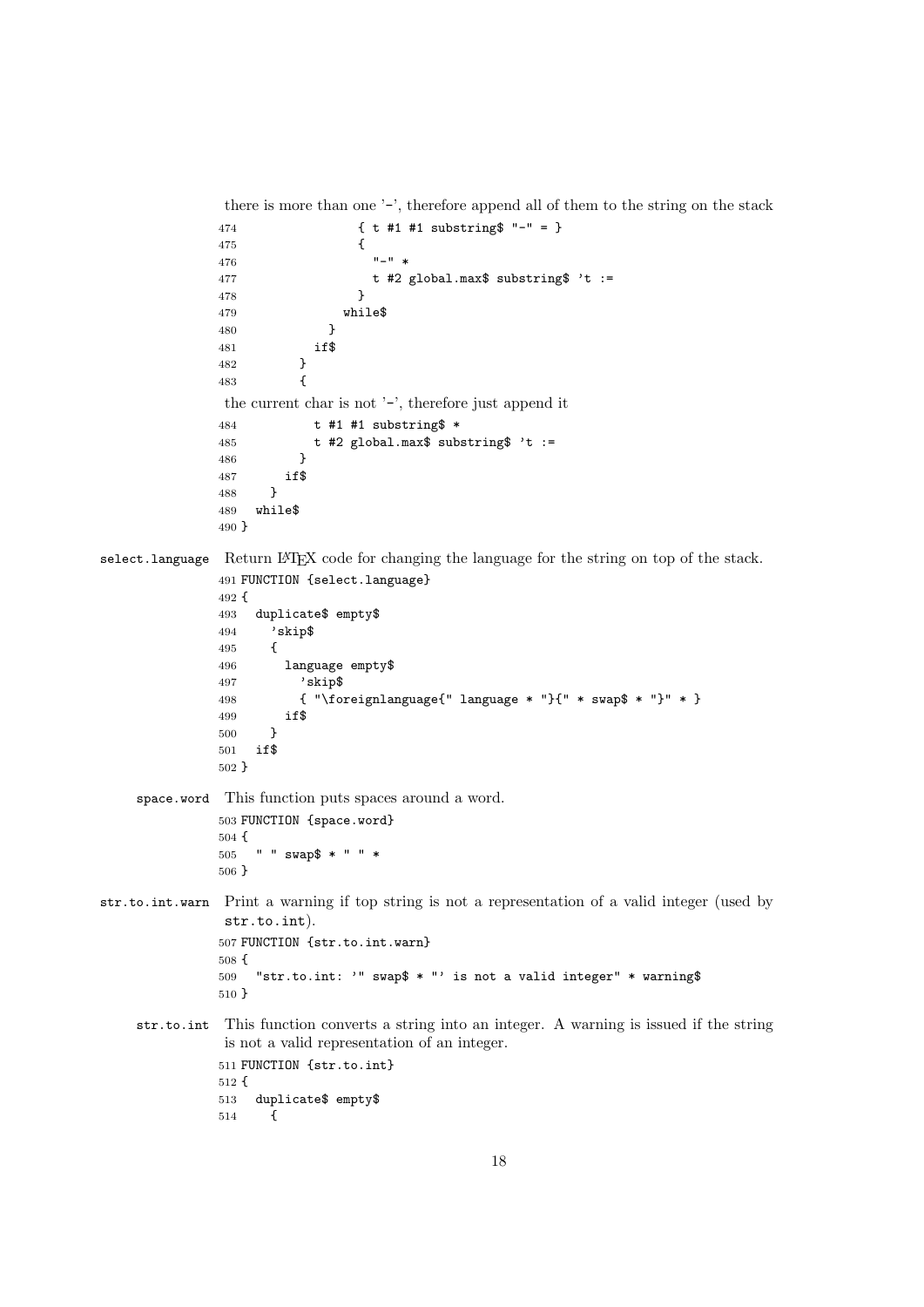```
there is more than one '-', therefore append all of them to the string on the stack
               474 { t #1 #1 substring$ "-" = }
               475 {
               476 "-" *477 t #2 global.max$ substring$ 't := 478 }
               478 }
               479 while$
               480 }
               481 if $<br>482    }
               482
               483 {
                the current char is not '-', therefore just append it
               484 t #1 #1 substring$ *
               485 t #2 global.max$ substring$ 't := 486486
               487 if $
               488 }
               489 while$
               490 }
select.language Return LAT<sub>E</sub>X code for changing the language for the string on top of the stack.
               491 FUNCTION {select.language}
               492 {
               493 duplicate$ empty$
               494 'skip$
               495 {
               496 language empty$
               497 'skip$
               498 { "\foreignlanguage{" language * "}{" * swap$ * "}" * }
               499 if$
               500 }
               501 if$
               502 }
    space.word This function puts spaces around a word.
               503 FUNCTION {space.word}
               504 {
               505 " " swap$ * " " *
               506 }
str.to.int.warn Print a warning if top string is not a representation of a valid integer (used by
                str.to.int).
               507 FUNCTION {str.to.int.warn}
               508 {
               509 "str.to.int: '" swap$ * "' is not a valid integer" * warning$
               510 }
    str.to.int This function converts a string into an integer. A warning is issued if the string
                is not a valid representation of an integer.
               511 FUNCTION {str.to.int}
               512 {
               513 duplicate$ empty$
               514 {
```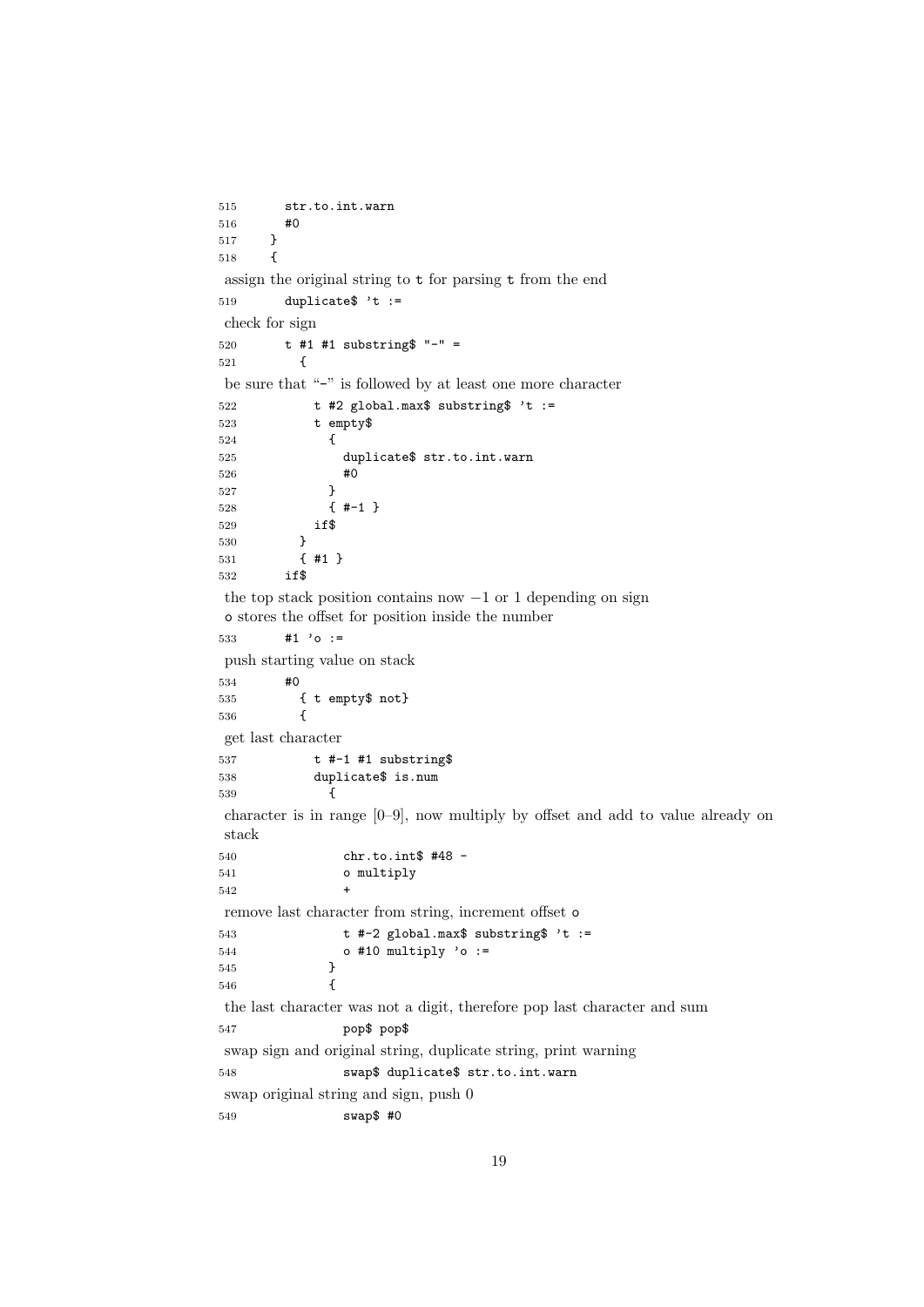```
515 str.to.int.warn
516 #0<br>517 }
517 }
518 {
assign the original string to t for parsing t from the end
519 duplicate * t :=check for sign
520 t #1 #1 substring$ "-" =
521 {
be sure that "-" is followed by at least one more character
522 t #2 global.max$ substring$ 't :=
523 t empty$
524 {
525 duplicate$ str.to.int.warn
526 #0<br>527 }
527
528 { #-1 }
529 if$
530 }
531 { #1 }
532 if$
the top stack position contains now −1 or 1 depending on sign
o stores the offset for position inside the number
533 #1 'o :=
push starting value on stack
534 #0
535 { t empty$ not}
536 {
get last character
537 t #-1 #1 substring$
538 duplicate$ is.num
539 {
character is in range [0–9], now multiply by offset and add to value already on
stack
540 chr.to.int$ #48 -
541 o multiply
542
remove last character from string, increment offset o
543 t #-2 global.max$ substring$ 't :=
544 o #10 multiply 'o :=<br>545 }
545 }
546 {
the last character was not a digit, therefore pop last character and sum
547 pop$ pop$
swap sign and original string, duplicate string, print warning
548 swap$ duplicate$ str.to.int.warn
swap original string and sign, push 0
549 swap$ #0
```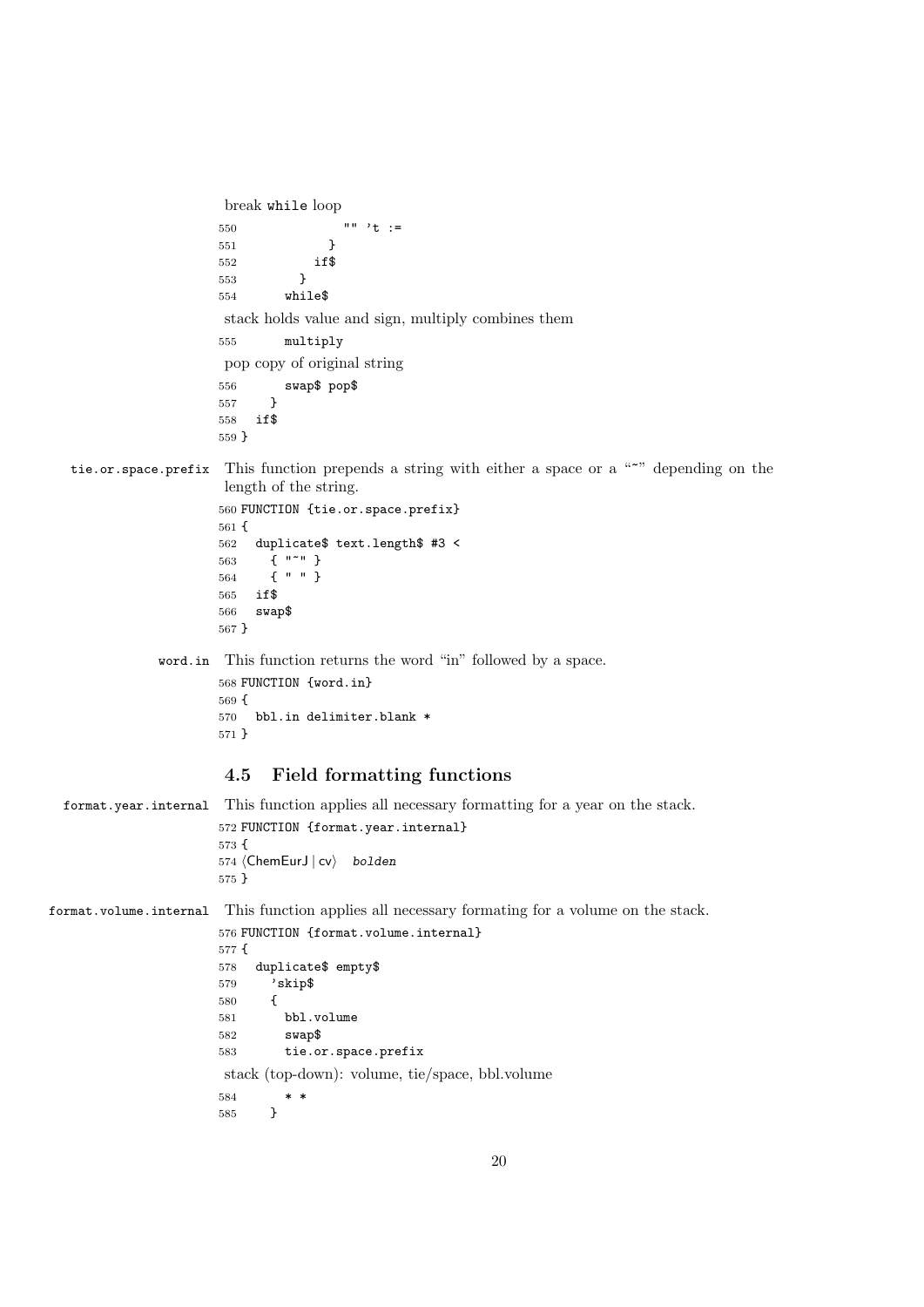```
break while loop
                               550 \qquad \qquad \qquad \qquad \qquad \qquad \qquad \qquad \qquad \qquad \qquad \qquad \qquad \qquad \qquad \qquad \qquad \qquad \qquad \qquad \qquad \qquad \qquad \qquad \qquad \qquad \qquad \qquad \qquad \qquad \qquad \qquad \qquad \qquad \qquad \qquad \qquad \qquad \qquad \qquad \qquad \qquad \qquad \qquad \qquad \qquad \qquad \qquad 551 }
                              552 if $
                               553 }
                               554 while$
                               stack holds value and sign, multiply combines them
                              555 multiply
                                pop copy of original string
                               556 swap$ pop$
                               557 }
                               558 if$
                               559 }
    tie.or.space.prefix This function prepends a string with either a space or a "~" depending on the
                                length of the string.
                               560 FUNCTION {tie.or.space.prefix}
                               561 {
                               562 duplicate$ text.length$ #3 <
                               563 { "~" }
                               564 { " " }
                               565 if$
                              566 swap$
                              567 }
                    word.in This function returns the word "in" followed by a space.
                              568 FUNCTION {word.in}
                              569 {
                              570 bbl.in delimiter.blank *
                              571 }
                                4.5 Field formatting functions
  format.year.internal This function applies all necessary formatting for a year on the stack.
                               572 FUNCTION {format.year.internal}
                              573 {
                              574 (ChemEurJ | cv) bolden
                              575 }
format.volume.internal This function applies all necessary formating for a volume on the stack.
                               576 FUNCTION {format.volume.internal}
                              577 {
                              578 duplicate$ empty$
                               579 'skip$
                               580 {
                               581 bbl.volume
                               582 swap$
                              583 tie.or.space.prefix
                               stack (top-down): volume, tie/space, bbl.volume
                               \begin{array}{c} 584 \\ 585 \end{array} }
                               585 }
```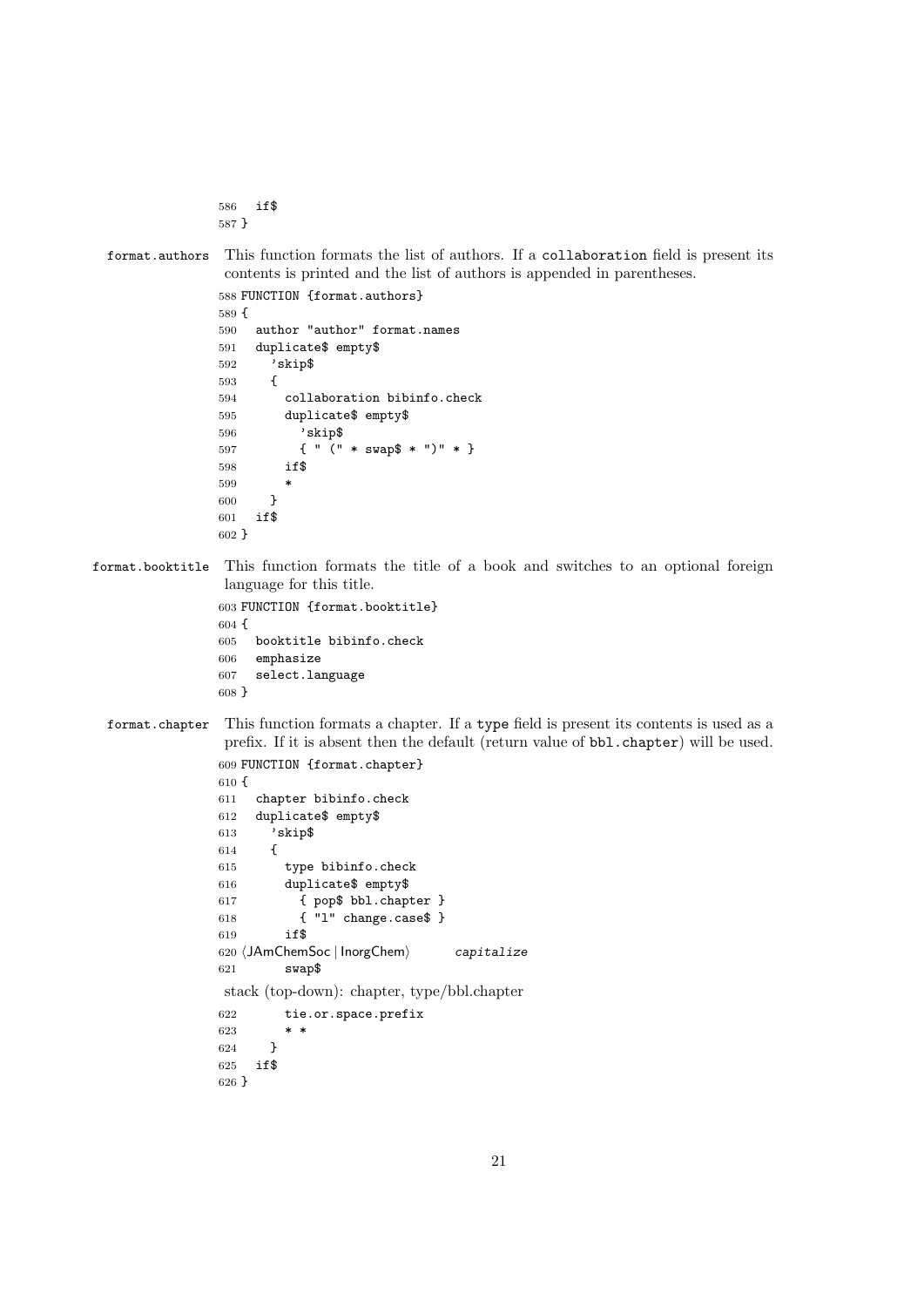```
586 if$
587 }
```

```
format.authors This function formats the list of authors. If a collaboration field is present its
                 contents is printed and the list of authors is appended in parentheses.
```

```
588 FUNCTION {format.authors}
589 {
590 author "author" format.names
591 duplicate$ empty$
592 'skip$
593 {
594 collaboration bibinfo.check
595 duplicate$ empty$
596 'skip$
597 { " (" * swap$ * ")" * }
598 if$
599
600 }
601 if$
602 }
```
format.booktitle This function formats the title of a book and switches to an optional foreign language for this title.

```
603 FUNCTION {format.booktitle}
604 {
605 booktitle bibinfo.check
606 emphasize
607 select.language
608 }
```

```
format.chapter This function formats a chapter. If a type field is present its contents is used as a
                 prefix. If it is absent then the default (return value of bbl.chapter) will be used.
                609 FUNCTION {format.chapter}
```

```
610 {
611 chapter bibinfo.check
612 duplicate$ empty$
613 'skip$
614 {
615 type bibinfo.check
616 duplicate$ empty$
617 { pop$ bbl.chapter }
618 { "l" change.case$ }
619 if$
620 \langleJAmChemSoc | InorgChem\rangle capitalize
621 swap$
stack (top-down): chapter, type/bbl.chapter
622 tie.or.space.prefix
623 * *
624 }
625 if$
626 }
```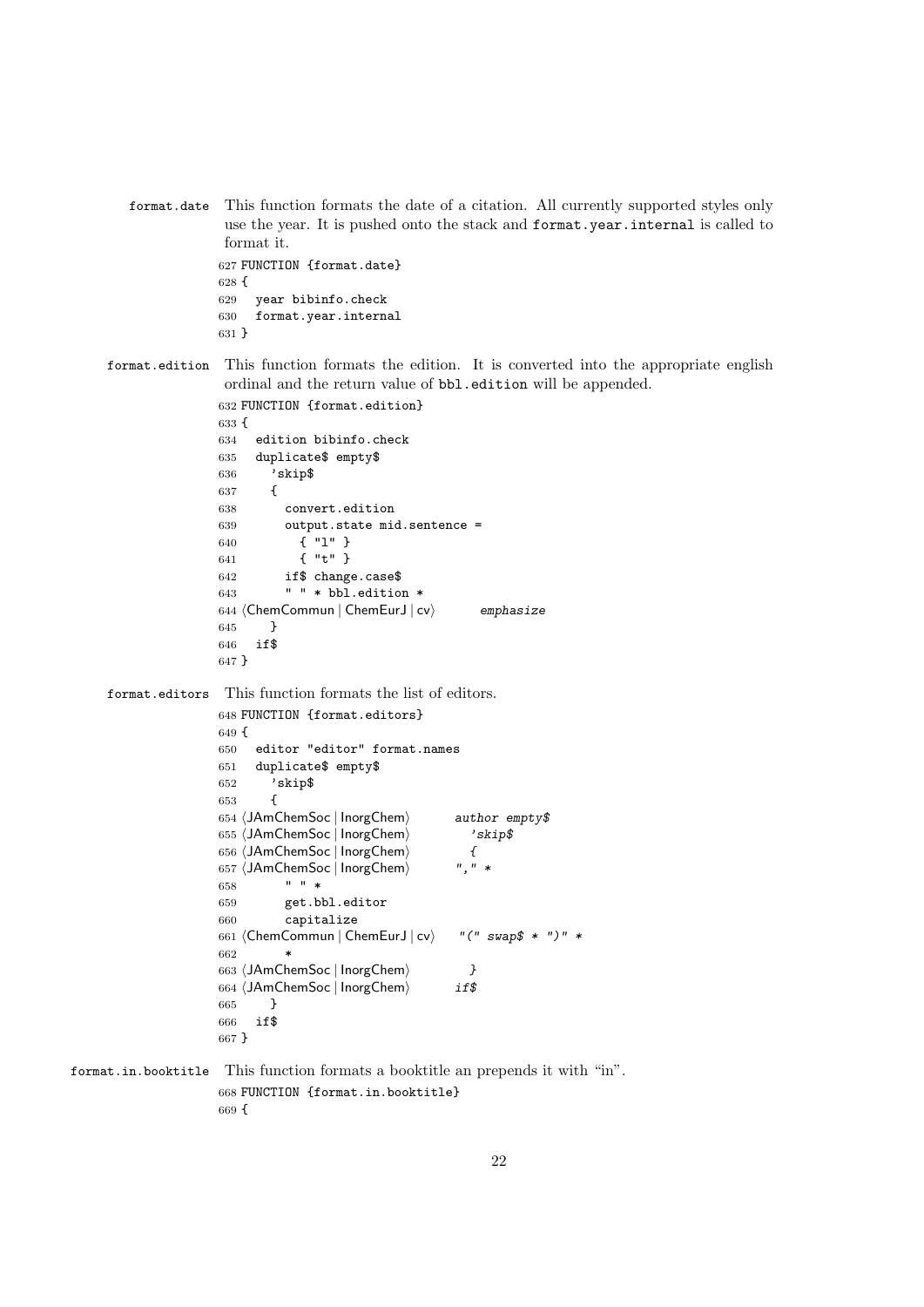format.date This function formats the date of a citation. All currently supported styles only use the year. It is pushed onto the stack and format.year.internal is called to format it. FUNCTION {format.date}

 { year bibinfo.check format.year.internal }

format.edition This function formats the edition. It is converted into the appropriate english ordinal and the return value of bbl.edition will be appended.

```
632 FUNCTION {format.edition}
633 {
634 edition bibinfo.check
635 duplicate$ empty$
636 'skip$
637 {
638 convert.edition
639 output.state mid.sentence =
640 { "l" }
641 { "t" }
642 if$ change.case$
643 " " * bbl.edition *
644 (ChemCommun | ChemEurJ | cv) emphasize
645 }
646 if$
647 }
```
format.editors This function formats the list of editors.

```
648 FUNCTION {format.editors}
649 {
650 editor "editor" format.names
651 duplicate$ empty$
652 'skip$
653 {
654 (JAmChemSoc | InorgChem) author empty$
655 (JAmChemSoc | InorgChem) 'skip$
656 (JAmChemSoc | InorgChem) {
657 (JAmChemSoc | InorgChem) ", " *
658 " " *
659 get.bbl.editor
660 capitalize
661 (ChemCommun | ChemEurJ | cv) '' (" swap$ * ")" *
662 *
663 (JAmChemSoc | InorgChem) }
664 (JAmChemSoc | InorgChem) if$
665 }
666 if$
667 }
```
format.in.booktitle This function formats a booktitle an prepends it with "in". FUNCTION {format.in.booktitle} {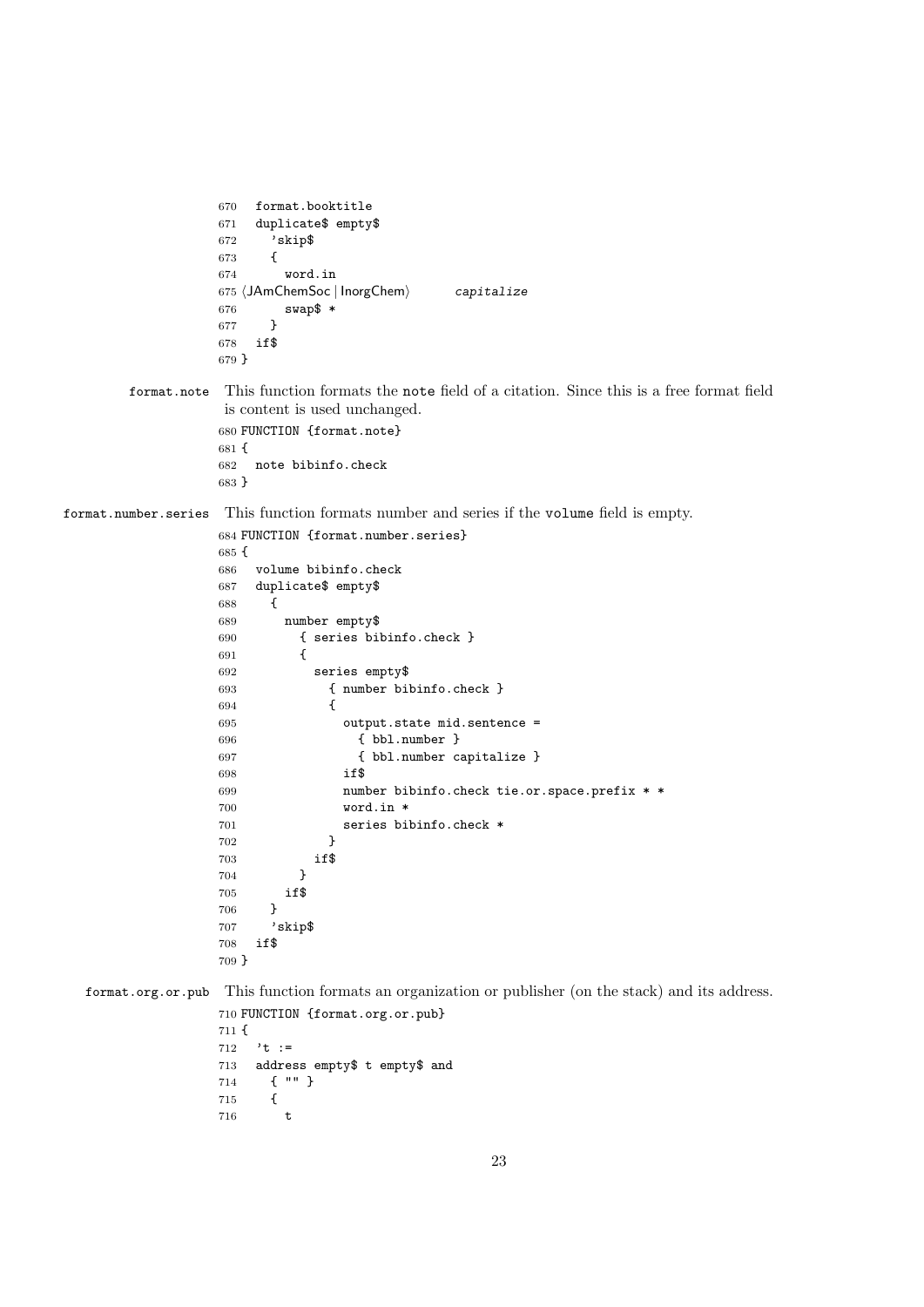```
670 format.booktitle
                  671 duplicate$ empty$
                  672 'skip$
                  673 {
                  674 word.in
                  675 \langle JAmChemSoc | InorgChem\rangle capitalize
                  676 swap$ *
                  677 }
                  678 if$
                  679 }
        format.note This function formats the note field of a citation. Since this is a free format field
                   is content is used unchanged.
                  680 FUNCTION {format.note}
                  681 {
                  682 note bibinfo.check
                  683 }
format.number.series This function formats number and series if the volume field is empty.
                  684 FUNCTION {format.number.series}
                  685 {
                  686 volume bibinfo.check
                  687 duplicate$ empty$
                  688 {
                  689 number empty$
                  690 { series bibinfo.check }
                  691 {
                  692 series empty$
                  693 { number bibinfo.check }
                  694 {
                  695 output.state mid.sentence =
                  696 { bbl.number }
                  697 { bbl.number capitalize }
                  698 if$
                  699 number bibinfo.check tie.or.space.prefix * *
                  700 word.in *
                  701 series bibinfo.check *<br>
702 }
                  702 }
                  703 if$
                  704 }
                  705 if$
                  706 }
                  707 'skip$
                  708 if$
                  709 }
  format.org.or.pub This function formats an organization or publisher (on the stack) and its address.
                  710 FUNCTION {format.org.or.pub}
                  711 {
                  712 't :=
                  713 address empty$ t empty$ and
                  714 { "" }
                  715 {
                  716 t
```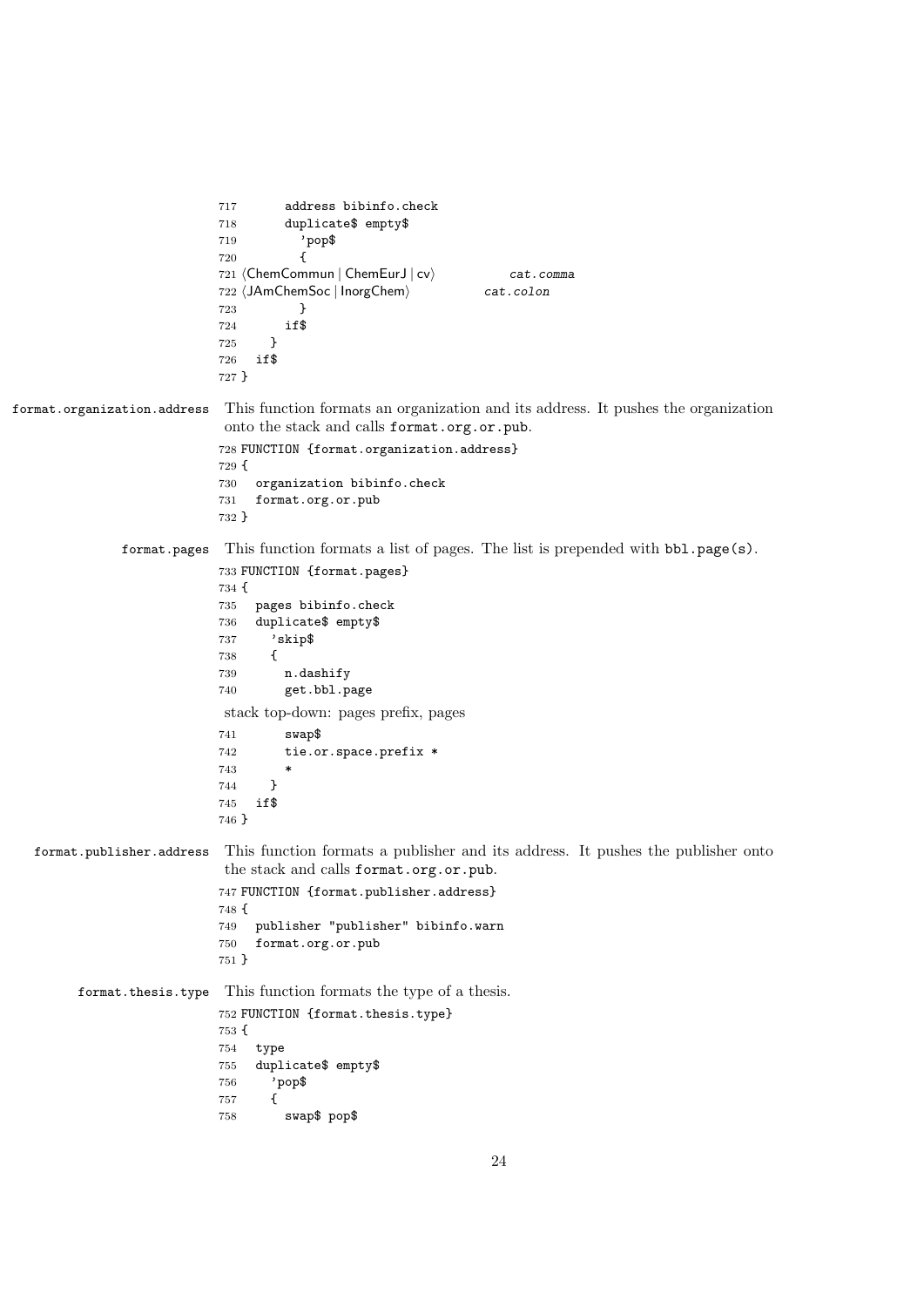```
717 address bibinfo.check
                          718 duplicate$ empty$
                          719 'pop$
                          720 {
                          721 (ChemCommun | ChemEurJ | cv) cat.comma
                          722 (JAmChemSoc | InorgChem) cat.colon
                           723 }
                           724 if$
                           725 }
                           726 if$
                           727 }
format.organization.address This function formats an organization and its address. It pushes the organization
                           onto the stack and calls format.org.or.pub.
                           728 FUNCTION {format.organization.address}
                           729 {
                           730 organization bibinfo.check
                           731 format.org.or.pub
                           732 }
              format.pages This function formats a list of pages. The list is prepended with bbl.page(s).
                           733 FUNCTION {format.pages}
                           734 {
                           735 pages bibinfo.check
                           736 duplicate$ empty$
                           737 'skip$
                          738 {
                           739 n.dashify
                           740 get.bbl.page
                           stack top-down: pages prefix, pages
                           741 swap$
                          742 tie.or.space.prefix *
                           743 *
                           744 }
                           745 if$
                           746 }
  format.publisher.address This function formats a publisher and its address. It pushes the publisher onto
                           the stack and calls format.org.or.pub.
                           747 FUNCTION {format.publisher.address}
                           748 {
                          749 publisher "publisher" bibinfo.warn
                          750 format.org.or.pub
                          751 }
        format.thesis.type This function formats the type of a thesis.
                           752 FUNCTION {format.thesis.type}
                          753 {
                          754 type
                           755 duplicate$ empty$
                          756 'pop$
                           757 {
                           758 swap$ pop$
```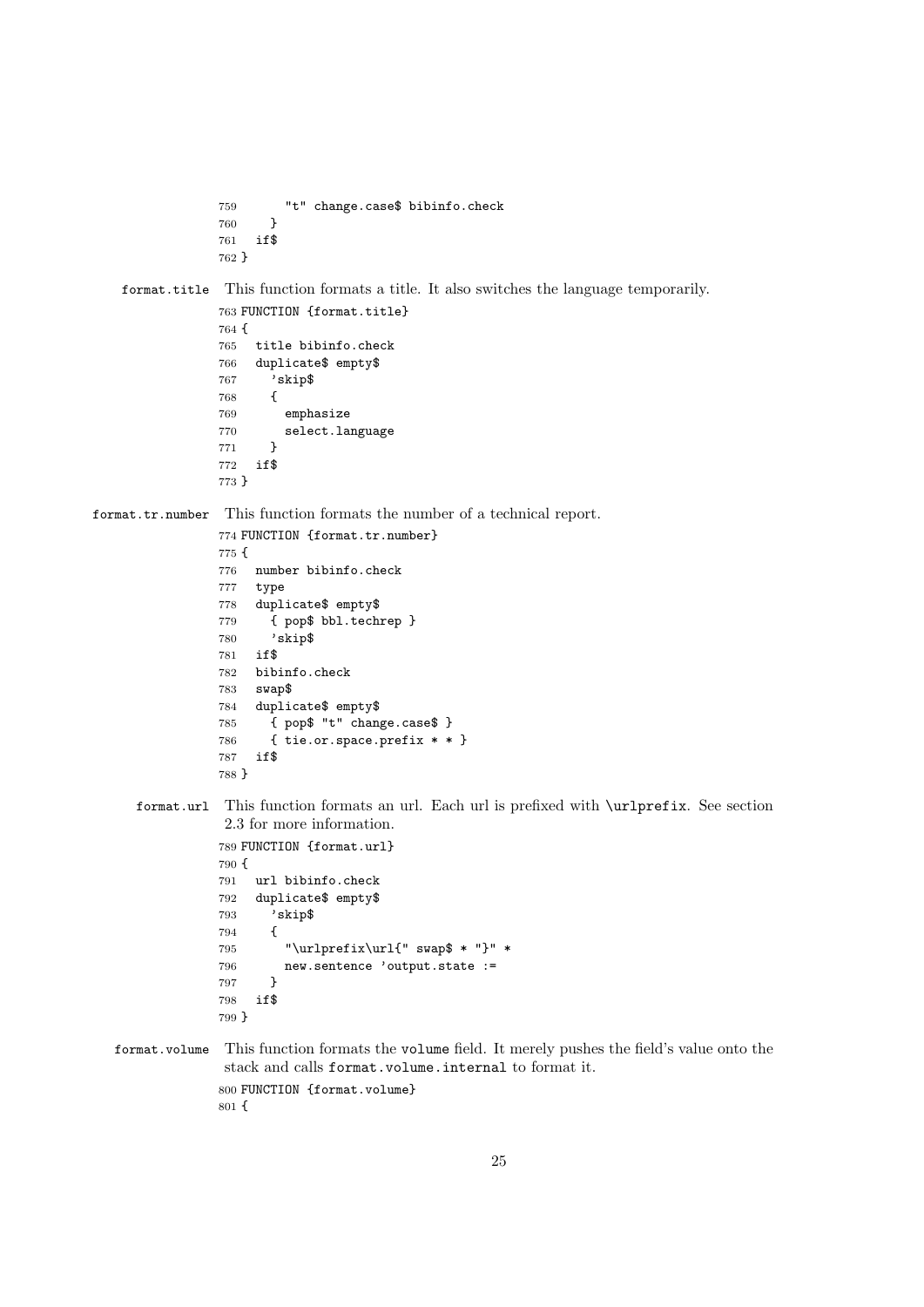```
759 "t" change.case$ bibinfo.check
760 }
761 if$
762 }
```
format.title This function formats a title. It also switches the language temporarily.

```
763 FUNCTION {format.title}
764 {
765 title bibinfo.check
766 duplicate$ empty$
767 'skip$
768 {
769 emphasize
770 select.language
771 }
772 if$
773 }
```
format.tr.number This function formats the number of a technical report.

```
774 FUNCTION {format.tr.number}
775 {
776 number bibinfo.check
777 type
778 duplicate$ empty$
779 { pop$ bbl.techrep }
780 'skip$
781 if$
782 bibinfo.check
783 swap$
784 duplicate$ empty$
785 { pop$ "t" change.case$ }
786 { tie.or.space.prefix * * }
787 if$
788 }
```
format.url This function formats an url. Each url is prefixed with \urlprefix. See section 2.3 for more information.

```
789 FUNCTION {format.url}
790 {
791 url bibinfo.check
792 duplicate$ empty$
793 'skip$
794 {
795 "\urlprefix\url{" swap$ * "}" *
796 new.sentence 'output.state :=
797 }
798 if$
799 }
```
format.volume This function formats the volume field. It merely pushes the field's value onto the stack and calls format.volume.internal to format it. FUNCTION {format.volume} {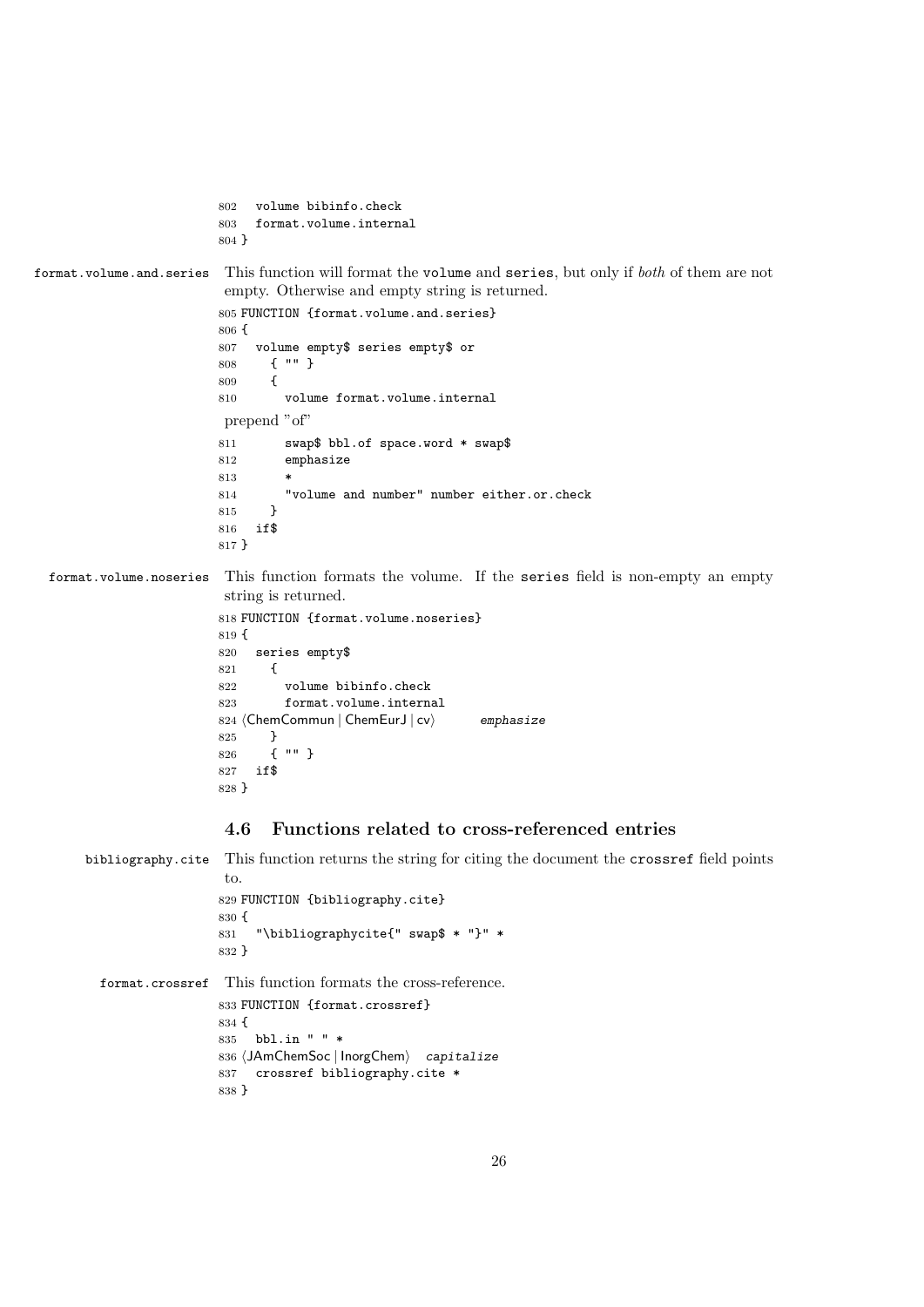```
802 volume bibinfo.check
                         803 format.volume.internal
                         804 }
format.volume.and.series This function will format the volume and series, but only if both of them are not
                         empty. Otherwise and empty string is returned.
                         805 FUNCTION {format.volume.and.series}
                         806 {
                         807 volume empty$ series empty$ or
                         808 { "" }
                         809 \sqrt{2}810 volume format.volume.internal
                         prepend "of"
                         811 swap$ bbl.of space.word * swap$
                         812 emphasize
                         813 *
                         814 "volume and number" number either.or.check
                         815 }
                         816 if$
                         817 }
 format.volume.noseries This function formats the volume. If the series field is non-empty an empty
                         string is returned.
                         818 FUNCTION {format.volume.noseries}
                         819 {
                         820 series empty$
                         821 {
                         822 volume bibinfo.check
                         823 format.volume.internal
                         824 (ChemCommun | ChemEurJ | cv\rangle emphasize
                         825 }
                         826 { "" }
                         827 if$
                         828 }
                         4.6 Functions related to cross-referenced entries
      bibliography.cite This function returns the string for citing the document the crossref field points
                         to.
                         829 FUNCTION {bibliography.cite}
                         830 {
                         831 "\bibliographycite{" swap$ * "}" *
                         832 }
         format.crossref This function formats the cross-reference.
                         833 FUNCTION {format.crossref}
                         834 {
                         835 bbl.in " " *
                         836 (JAmChemSoc | InorgChem) capitalize
                         837 crossref bibliography.cite *
                         838 }
```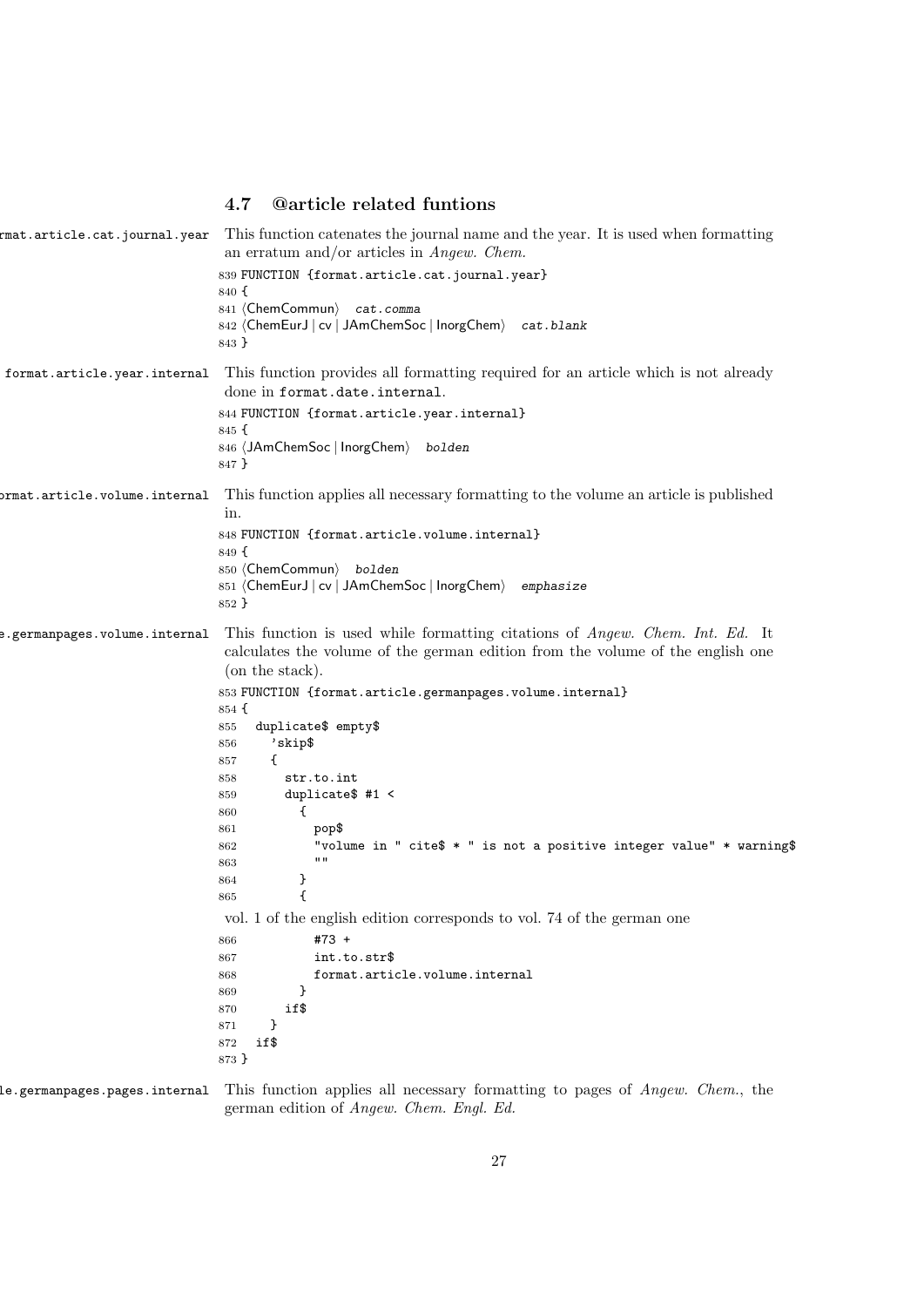## 4.7 @article related funtions

|                               | mat.article.cat.journal.year This function catenates the journal name and the year. It is used when formatting<br>an erratum and/or articles in $An gew.$ Chem.                          |
|-------------------------------|------------------------------------------------------------------------------------------------------------------------------------------------------------------------------------------|
|                               | 839 FUNCTION {format.article.cat.journal.year}                                                                                                                                           |
|                               | 840 f                                                                                                                                                                                    |
|                               | 841 (ChemCommun) cat.comma<br>842 (ChemEurJ   cv   JAmChemSoc   InorgChem) cat.blank                                                                                                     |
|                               | 843 }                                                                                                                                                                                    |
| format.article.year.internal  | This function provides all formatting required for an article which is not already<br>done in format.date.internal.                                                                      |
|                               | 844 FUNCTION {format.article.year.internal}                                                                                                                                              |
|                               | $845 \text{ } \{$                                                                                                                                                                        |
|                               | 846 (JAmChemSoc   InorgChem) bolden<br>847 }                                                                                                                                             |
| prmat.article.volume.internal | This function applies all necessary formatting to the volume an article is published<br>in.                                                                                              |
|                               | 848 FUNCTION {format.article.volume.internal}                                                                                                                                            |
|                               | 849 <sup>5</sup>                                                                                                                                                                         |
|                               | 850 (ChemCommun) bolden                                                                                                                                                                  |
|                               | 851 (ChemEurJ   cv   JAmChemSoc   InorgChem) emphasize<br>852 }                                                                                                                          |
|                               |                                                                                                                                                                                          |
| e.germanpages.volume.internal | This function is used while formatting citations of <i>Angew. Chem. Int. Ed.</i> It<br>calculates the volume of the german edition from the volume of the english one<br>(on the stack). |
|                               | 853 FUNCTION {format.article.germanpages.volume.internal}                                                                                                                                |
|                               | $854 \text{ }$ {                                                                                                                                                                         |
|                               | duplicate\$ empty\$<br>855                                                                                                                                                               |
|                               | 'skip\$<br>856                                                                                                                                                                           |
|                               | €<br>857<br>str.to.int                                                                                                                                                                   |
|                               | 858<br>duplicate $#1 <$<br>859                                                                                                                                                           |
|                               | $\mathcal{L}$<br>860                                                                                                                                                                     |
|                               |                                                                                                                                                                                          |
|                               | pop\$<br>861                                                                                                                                                                             |
|                               | 862                                                                                                                                                                                      |
|                               | $\mathbf{H}$<br>863                                                                                                                                                                      |
|                               | }<br>864                                                                                                                                                                                 |
|                               | €<br>865                                                                                                                                                                                 |
|                               | vol. 1 of the english edition corresponds to vol. 74 of the german one                                                                                                                   |
|                               | #73 +<br>866                                                                                                                                                                             |
|                               | int.to.str\$<br>867                                                                                                                                                                      |
|                               | format.article.volume.internal<br>868                                                                                                                                                    |
|                               | ł<br>869<br>870                                                                                                                                                                          |
|                               | "volume in " cite\$ * " is not a positive integer value" * warning\$<br>if\$<br>}<br>871                                                                                                 |
|                               | if\$<br>872                                                                                                                                                                              |

le.germanpages.pages.internal This function applies all necessary formatting to pages of Angew. Chem., the german edition of Angew. Chem. Engl. Ed.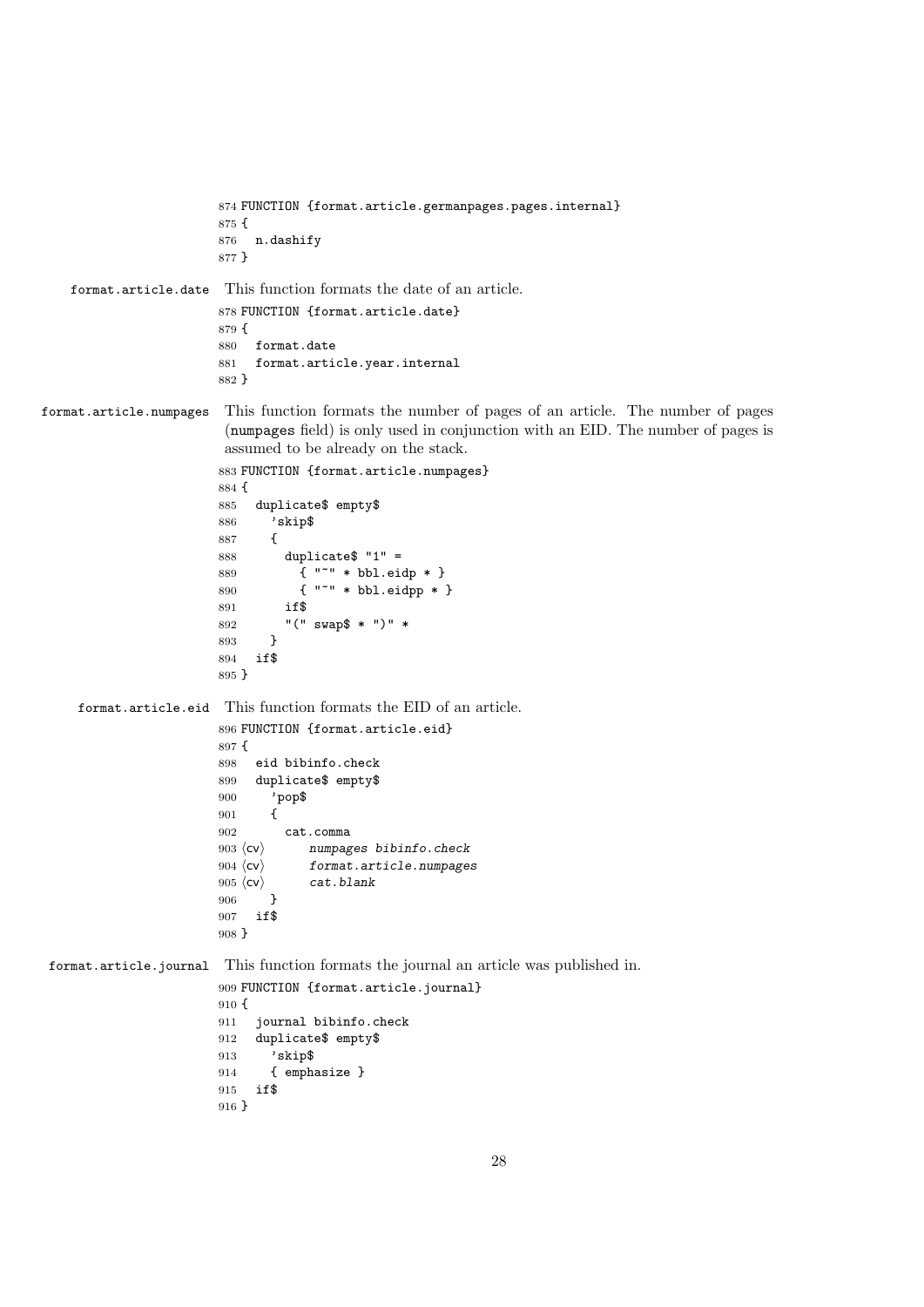```
874 FUNCTION {format.article.germanpages.pages.internal}
                        875 {
                        876 n.dashify
                        877 }
    format.article.date This function formats the date of an article.
                        878 FUNCTION {format.article.date}
                        879 {
                         880 format.date
                         881 format.article.year.internal
                         882 }
format.article.numpages This function formats the number of pages of an article. The number of pages
                          (numpages field) is only used in conjunction with an EID. The number of pages is
                         assumed to be already on the stack.
                         883 FUNCTION {format.article.numpages}
                         884 {
                         885 duplicate$ empty$
                         886 'skip$
                         887 {
                         888 duplicate$ "1" =
                         889 \frac{1}{3} "" * bbl.eidp * }
                         890 { "~" * bbl.eidpp * }
                         891 if$
                         892 "(" swap$ * ")" *
                         893 }
                         894 if$
                         895 }
     format.article.eid This function formats the EID of an article.
                        896 FUNCTION {format.article.eid}
                        897 {
                         898 eid bibinfo.check
                         899 duplicate$ empty$
                        900 'pop$
                         901 {
                         902 cat.comma
                         903 \langlecv\rangle numpages bibinfo.check
                        904 \langlecv\rangle format.article.numpages
                        905 \langle cv \rangle cat.blank<br>906 }
                         906907 if$
                        908 }
format.article.journal This function formats the journal an article was published in.
                         909 FUNCTION {format.article.journal}
                        910 {
                        911 journal bibinfo.check
                        912 duplicate$ empty$
                        913 'skip$
                        914 { emphasize }
                        915 if$
                        916 }
```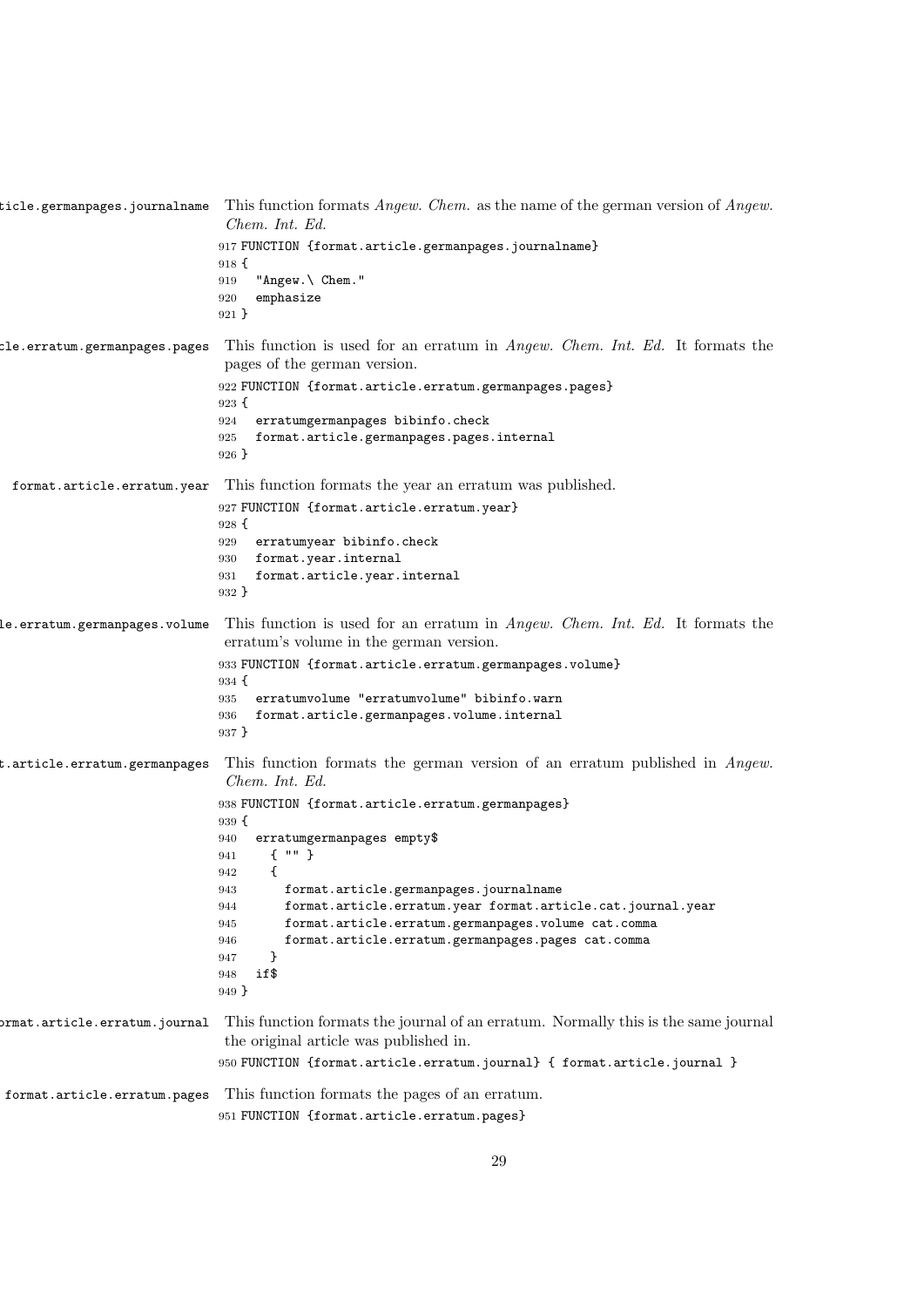ticle.germanpages.journalname This function formats  $\emph{Anglew}.$  Chem. as the name of the german version of  $\emph{Anglew}.$ Chem. Int. Ed. FUNCTION {format.article.germanpages.journalname} { "Angew.\ Chem." emphasize } cle.erratum.germanpages.pages This function is used for an erratum in  $An gew.$  Chem. Int. Ed. It formats the pages of the german version. FUNCTION {format.article.erratum.germanpages.pages} { erratumgermanpages bibinfo.check format.article.germanpages.pages.internal } format.article.erratum.year This function formats the year an erratum was published. FUNCTION {format.article.erratum.year} erratumyear bibinfo.check format.year.internal format.article.year.internal } Le.erratum.germanpages.volume This function is used for an erratum in  $Anqew$ . Chem. Int. Ed. It formats the erratum's volume in the german version. FUNCTION {format.article.erratum.germanpages.volume}  $934 \text{ }$  erratumvolume "erratumvolume" bibinfo.warn format.article.germanpages.volume.internal } t.article.erratum.germanpages This function formats the german version of an erratum published in  $\emph{Angew.}$ Chem. Int. Ed. FUNCTION {format.article.erratum.germanpages} { erratumgermanpages empty\$ { "" } { format.article.germanpages.journalname format.article.erratum.year format.article.cat.journal.year format.article.erratum.germanpages.volume cat.comma format.article.erratum.germanpages.pages cat.comma } if\$ } format.article.erratum.journal This function formats the journal of an erratum. Normally this is the same journal the original article was published in. FUNCTION {format.article.erratum.journal} { format.article.journal } format.article.erratum.pages This function formats the pages of an erratum. FUNCTION {format.article.erratum.pages}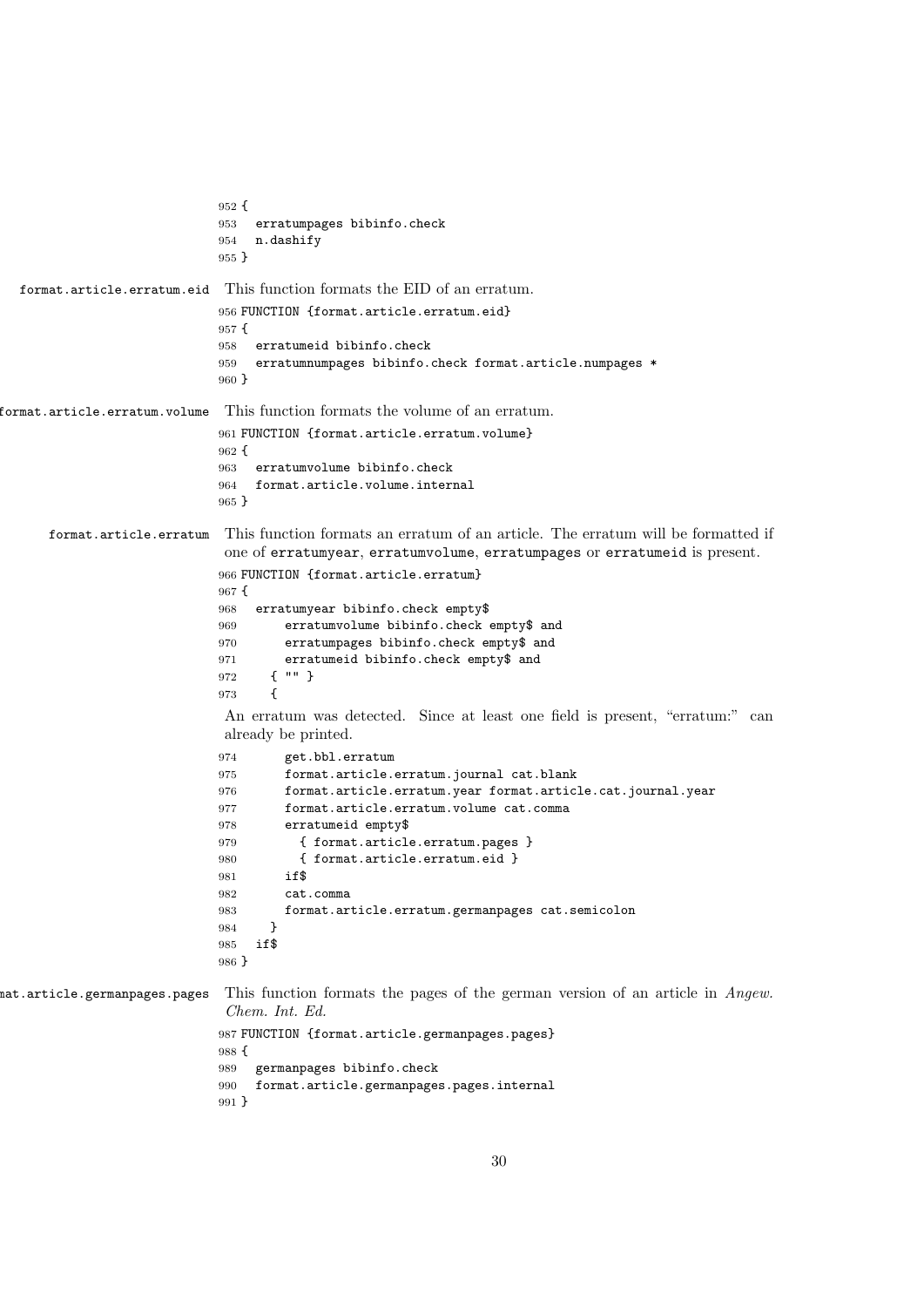```
952 {
                            953 erratumpages bibinfo.check
                            954 n.dashify
                            955 }
  format.article.erratum.eid This function formats the EID of an erratum.
                            956 FUNCTION {format.article.erratum.eid}
                            957 {
                            958 erratumeid bibinfo.check
                            959 erratumnumpages bibinfo.check format.article.numpages *
                            960 }
format.article.erratum.volume This function formats the volume of an erratum.
                            961 FUNCTION {format.article.erratum.volume}
                            962 {
                            963 erratumvolume bibinfo.check
                            964 format.article.volume.internal
                            965 }
      format.article.erratum This function formats an erratum of an article. The erratum will be formatted if
                             one of erratumyear, erratumvolume, erratumpages or erratumeid is present.
                            966 FUNCTION {format.article.erratum}
                            967 {
                            968 erratumyear bibinfo.check empty$
                            969 erratumvolume bibinfo.check empty$ and
                            970 erratumpages bibinfo.check empty$ and
                            971 erratumeid bibinfo.check empty$ and
                            972 { "" }
                            973 {
                             An erratum was detected. Since at least one field is present, "erratum:" can
                             already be printed.
                            974 get.bbl.erratum
                            975 format.article.erratum.journal cat.blank
                            976 format.article.erratum.year format.article.cat.journal.year
                            977 format.article.erratum.volume cat.comma
                            978 erratumeid empty$
                            979 { format.article.erratum.pages }
                            980 { format.article.erratum.eid }
                            981 if$
                            982 cat.comma
                            983 format.article.erratum.germanpages cat.semicolon
                            984 }
                            985 if$
                            986 }
mat.article.germanpages.pages This function formats the pages of the german version of an article in Angew.
                             Chem. Int. Ed.
                            987 FUNCTION {format.article.germanpages.pages}
                            988 {
                            989 germanpages bibinfo.check
                            990 format.article.germanpages.pages.internal
                            991 }
```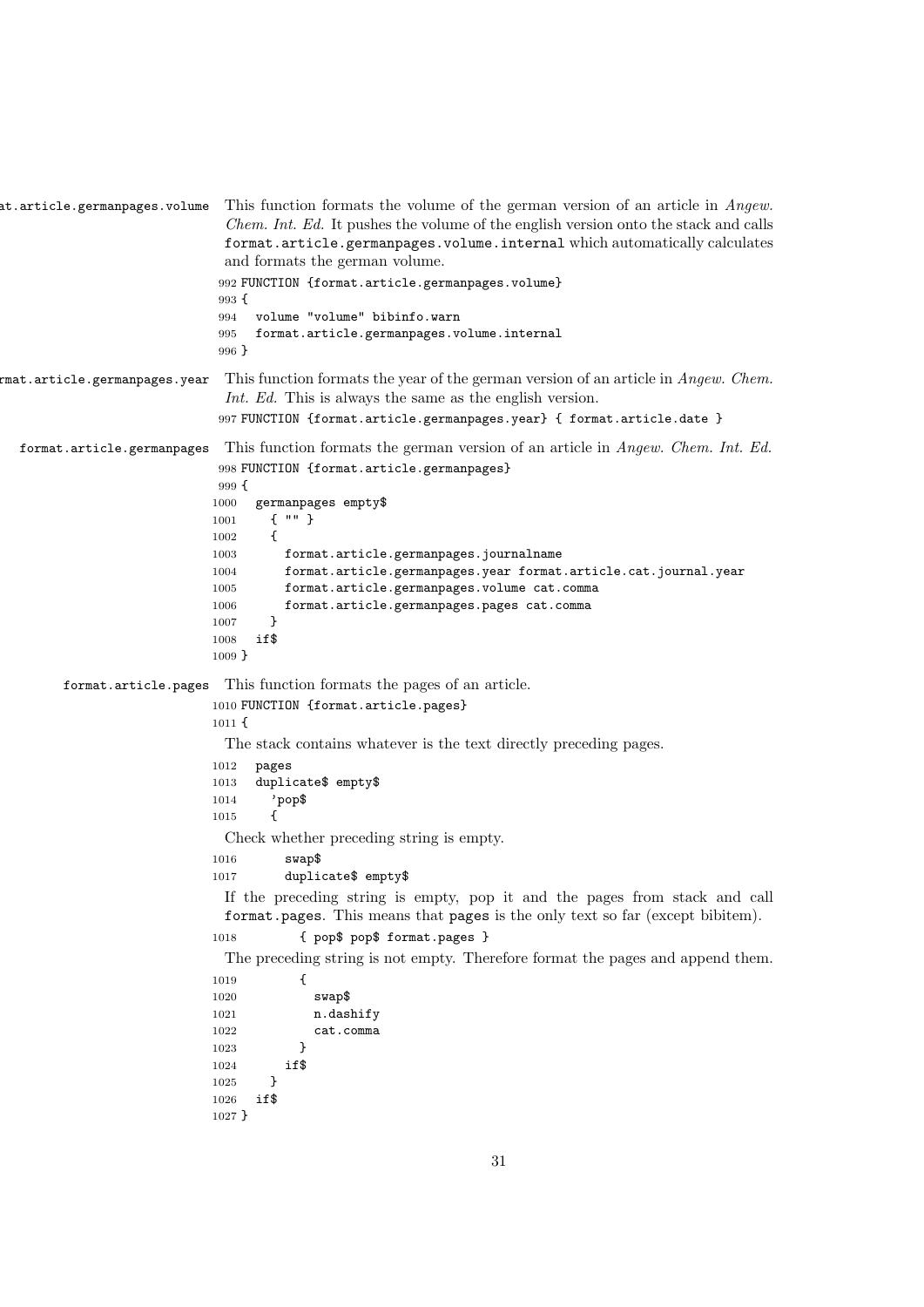```
at.article.germanpages.volume This function formats the volume of the german version of an article in Angew.
                              Chem. Int. Ed. It pushes the volume of the english version onto the stack and calls
                              format.article.germanpages.volume.internal which automatically calculates
                              and formats the german volume.
                             992 FUNCTION {format.article.germanpages.volume}
                             993 {
                             994 volume "volume" bibinfo.warn
                             995 format.article.germanpages.volume.internal
                             996 }
f(x) from the extendance f(x) are f(x) and f(x) formats the year of the german version of an article in Angew. Chem.
                              Int. Ed. This is always the same as the english version.
                             997 FUNCTION {format.article.germanpages.year} { format.article.date }
  format.article.germanpages This function formats the german version of an article in Angew. Chem. Int. Ed.
                             998 FUNCTION {format.article.germanpages}
                             999 {
                            1000 germanpages empty$
                            1001 { "" }
                            1002 {
                            1003 format.article.germanpages.journalname
                            1004 format.article.germanpages.year format.article.cat.journal.year
                            1005 format.article.germanpages.volume cat.comma
                            1006 format.article.germanpages.pages cat.comma
                            1007 }
                            1008 if$
                            1009 }
        format.article.pages This function formats the pages of an article.
                            1010 FUNCTION {format.article.pages}
                            1011 {
                              The stack contains whatever is the text directly preceding pages.
                            1012 pages
                            1013 duplicate$ empty$
                            1014 'pop$
                            1015 {
                              Check whether preceding string is empty.
                            1016 swap$
                            1017 duplicate$ empty$
                              If the preceding string is empty, pop it and the pages from stack and call
                              format.pages. This means that pages is the only text so far (except bibitem).
                            1018 { pop$ pop$ format.pages }
                              The preceding string is not empty. Therefore format the pages and append them.
                            1019 {
                            1020 swap$
                            1021 n.dashify
                            1022 cat.comma
                            1023 }
                            1024 if$
                            1025 }
                            1026 if$
                            1027 }
```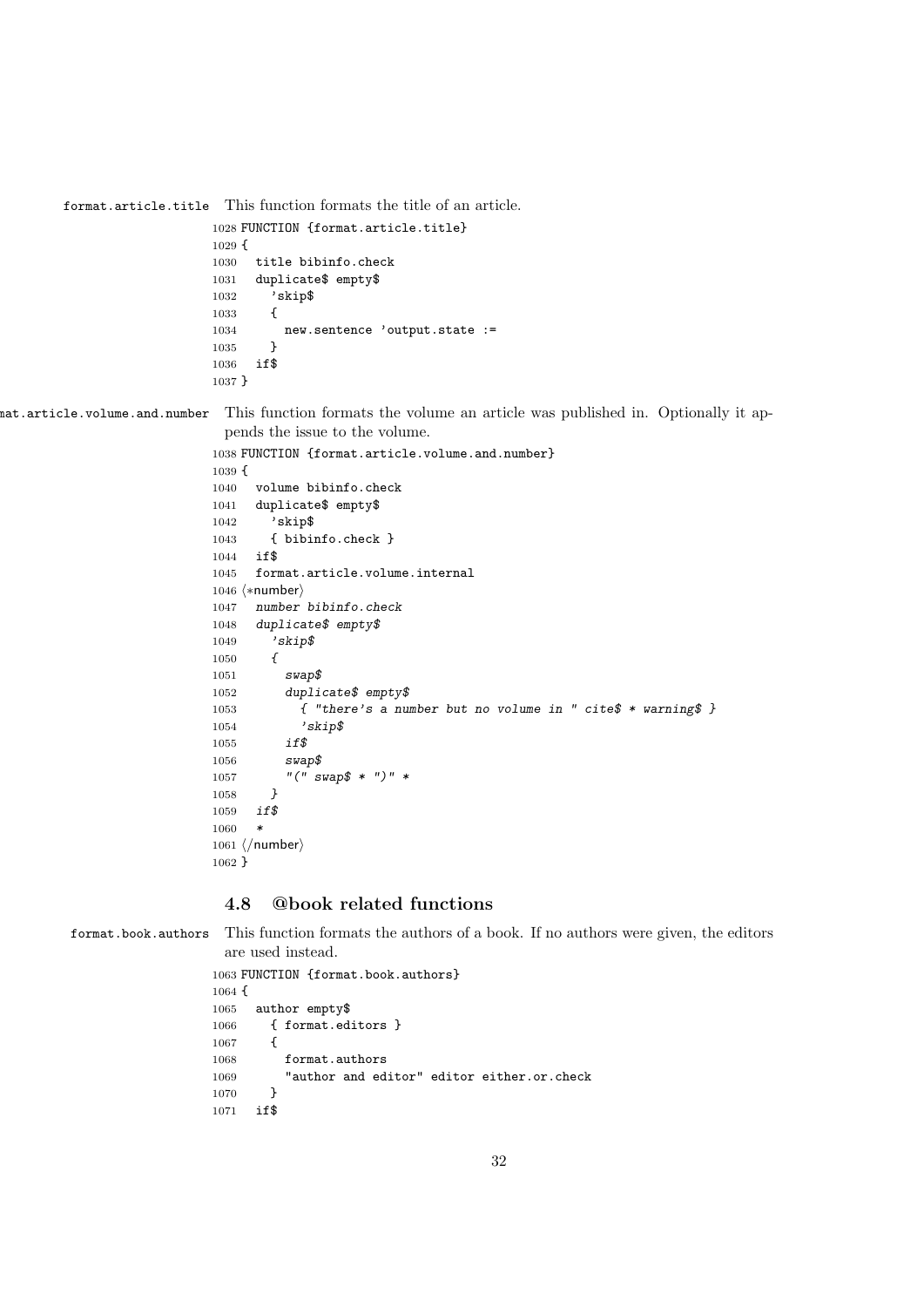```
format.article.title This function formats the title of an article.
                    1028 FUNCTION {format.article.title}
                    1029 {
                    1030 title bibinfo.check
                    1031 duplicate$ empty$
                    1032 'skip$
                    1033 {
                    1034 new.sentence 'output.state :=
                    1035 }
                    1036 if$
                    1037 }
```
format.article.volume.and.number This function formats the volume an article was published in. Optionally it appends the issue to the volume.

```
1038 FUNCTION {format.article.volume.and.number}
1039 {
1040 volume bibinfo.check
1041 duplicate$ empty$
1042 'skip$
1043 { bibinfo.check }
1044 if$
1045 format.article.volume.internal
1046 \langle *number \rangle1047 number bibinfo.check
1048 duplicate$ empty$
1049 'skip$
1050 {
1051 swap$
1052 duplicate$ empty$
1053 \{ "there's a number but no volume in " cite$ * warning$ }
1054 'skip$
1055 if$
1056 swap$
1057 "(" swap$ * ")" *
1058 }
1059 if$
1060
1061 \; \langle /number \rangle1062 }
```
## 4.8 @book related functions

format.book.authors This function formats the authors of a book. If no authors were given, the editors are used instead.

```
1063 FUNCTION {format.book.authors}
1064 {
1065 author empty$
1066 { format.editors }
1067 {
1068 format.authors
1069 "author and editor" editor either.or.check
1070 }
1071 if$
```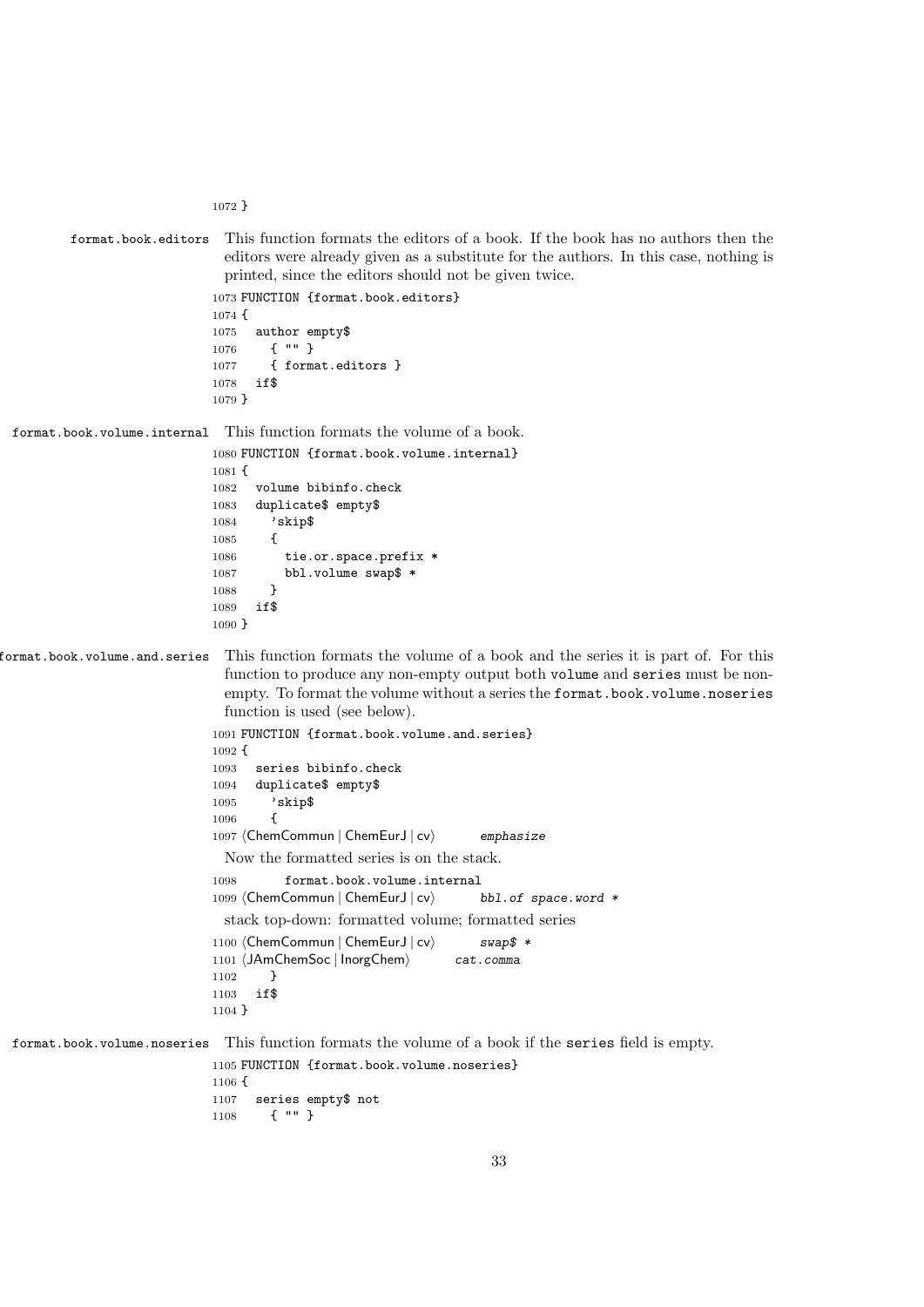}

```
format.book.editors This function formats the editors of a book. If the book has no authors then the
                              editors were already given as a substitute for the authors. In this case, nothing is
                              printed, since the editors should not be given twice.
                            1073 FUNCTION {format.book.editors}
                            1074 {
                            1075 author empty$
                            1076 { "" }
                            1077 { format.editors }
                            1078 if$
                            1079 }
format.book.volume.internal This function formats the volume of a book.
                            1080 FUNCTION {format.book.volume.internal}
```

```
1081 {
1082 volume bibinfo.check
1083 duplicate$ empty$
1084 'skip$
1085 {
1086 tie.or.space.prefix *
1087 bbl.volume swap$ *
1088 }
1089 if$
1090 }
```
format.book.volume.and.series This function formats the volume of a book and the series it is part of. For this function to produce any non-empty output both volume and series must be nonempty. To format the volume without a series the format.book.volume.noseries function is used (see below).

```
1091 FUNCTION {format.book.volume.and.series}
1092 {
1093 series bibinfo.check
1094 duplicate$ empty$
1095 'skip$
1096 {
1097 (ChemCommun | ChemEurJ | cv) emphasize
 Now the formatted series is on the stack.
1098 format.book.volume.internal
1099 (ChemCommun | ChemEurJ | cv\rangle bbl.of space.word *
 stack top-down: formatted volume; formatted series
1100 (ChemCommun | ChemEurJ | cv) swap$ *
1101 (JAmChemSoc | InorgChem) cat.comma
1102 }
```
format.book.volume.noseries This function formats the volume of a book if the series field is empty.

 if\$ }

```
1105 FUNCTION {format.book.volume.noseries}
1106 {
1107 series empty$ not
1108 { "" }
```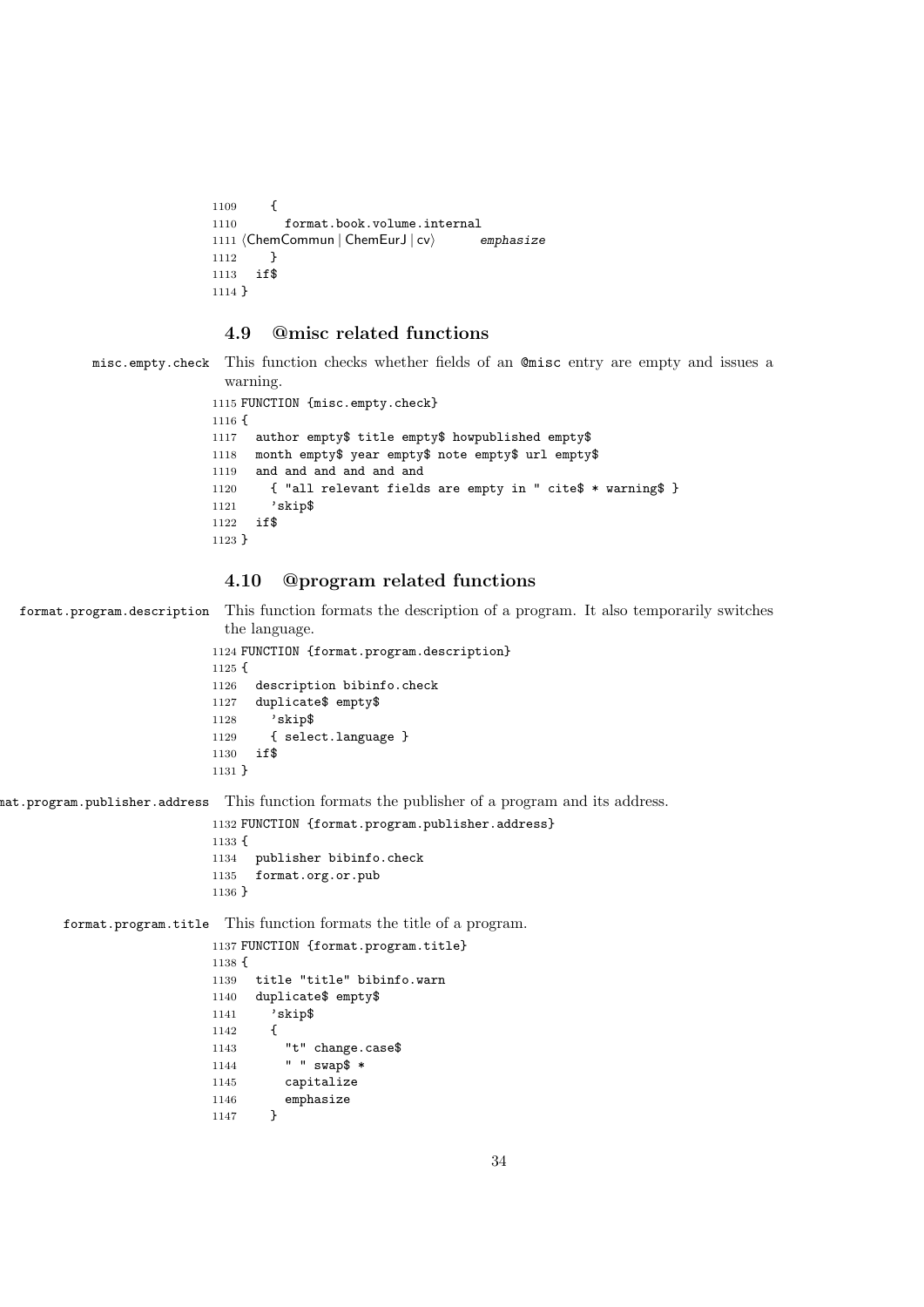```
1109 {
1110 format.book.volume.internal
1111 (ChemCommun | ChemEurJ | cv\rangle emphasize
1112 }
1113 if$
1114 }
```
## 4.9 @misc related functions

misc.empty.check This function checks whether fields of an @misc entry are empty and issues a warning.

```
1115 FUNCTION {misc.empty.check}
1116 {
1117 author empty$ title empty$ howpublished empty$
1118 month empty$ year empty$ note empty$ url empty$
1119 and and and and and and
1120 { "all relevant fields are empty in " cite$ * warning$ }
1121 'skip$
1122 if$
1123 }
```
## 4.10 @program related functions

format.program.description This function formats the description of a program. It also temporarily switches the language.

```
1124 FUNCTION {format.program.description}
1125 {
1126 description bibinfo.check
1127 duplicate$ empty$
1128 'skip$
1129 { select.language }
1130 if$
1131 }
```
format.program.publisher.address This function formats the publisher of a program and its address.

```
1132 FUNCTION {format.program.publisher.address}
1133 {
1134 publisher bibinfo.check
1135 format.org.or.pub
1136 }
```
format.program.title This function formats the title of a program.

```
1137 FUNCTION {format.program.title}
1138 {
1139 title "title" bibinfo.warn
1140 duplicate$ empty$
1141 'skip$
1142 {
1143 "t" change.case$
1144 " " swap$ *
1145 capitalize
1146 emphasize<br>1147 }
1147 }
```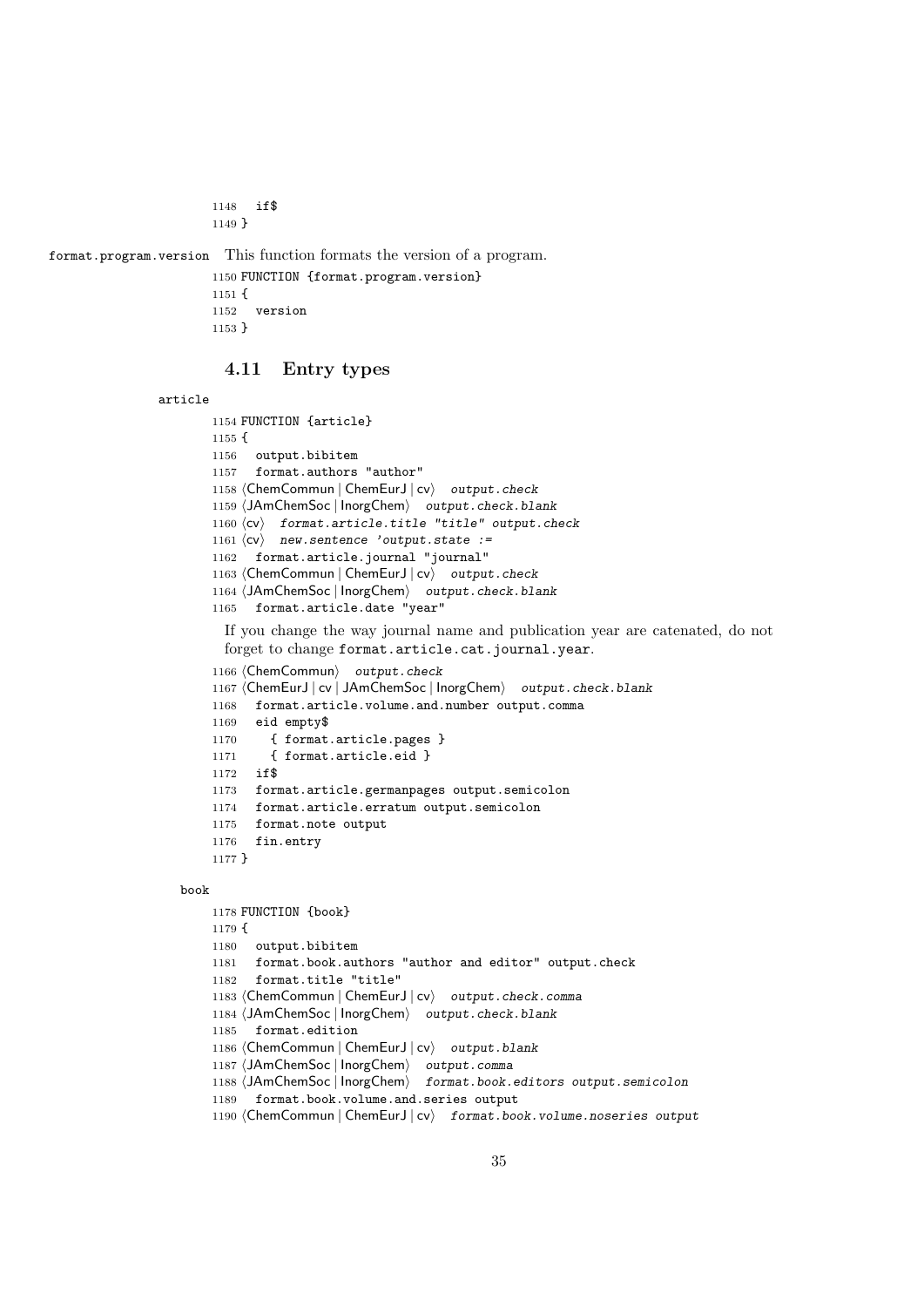```
1148 if$
1149 }
```
format.program.version This function formats the version of a program.

```
1150 FUNCTION {format.program.version}
1151 {
1152 version
1153 }
```
#### 4.11 Entry types

```
article
```

```
1154 FUNCTION {article}
    1155 {
    1156 output.bibitem
    1157 format.authors "author"
    1158 (ChemCommun | ChemEurJ | cv) output.check
    1159 (JAmChemSoc | InorgChem) output.check.blank
    1160 \langle cv \rangle format.article.title "title" output.check
    1161 \langle cv \rangle new.sentence 'output.state :=
    1162 format.article.journal "journal"
    1163 (ChemCommun | ChemEurJ | cv) output.check
    1164 (JAmChemSoc | InorgChem) output.check.blank
    1165 format.article.date "year"
      If you change the way journal name and publication year are catenated, do not
      forget to change format.article.cat.journal.year.
    1166 (ChemCommun) output.check
    1167 (ChemEurJ | cv | JAmChemSoc | InorgChem) output.check.blank
    1168 format.article.volume.and.number output.comma
    1169 eid empty$
    1170 { format.article.pages }
    1171 { format.article.eid }
    1172 if$
    1173 format.article.germanpages output.semicolon
    1174 format.article.erratum output.semicolon
    1175 format.note output
    1176 fin.entry
    1177 }
book
    1178 FUNCTION {book}
    1179 {
    1180 output.bibitem
    1181 format.book.authors "author and editor" output.check
    1182 format.title "title"
    1183 (ChemCommun | ChemEurJ | cv) output.check.comma
    1184 (JAmChemSoc | InorgChem) output.check.blank
    1185 format.edition
    1186 (ChemCommun | ChemEurJ | cv) output.blank
```

```
1187 \langleJAmChemSoc | InorgChem\rangle output.comma
```

```
1188 (JAmChemSoc | InorgChem) format.book.editors output.semicolon
```
1189 format.book.volume.and.series output

```
1190 (ChemCommun | ChemEurJ | cv) format.book.volume.noseries output
```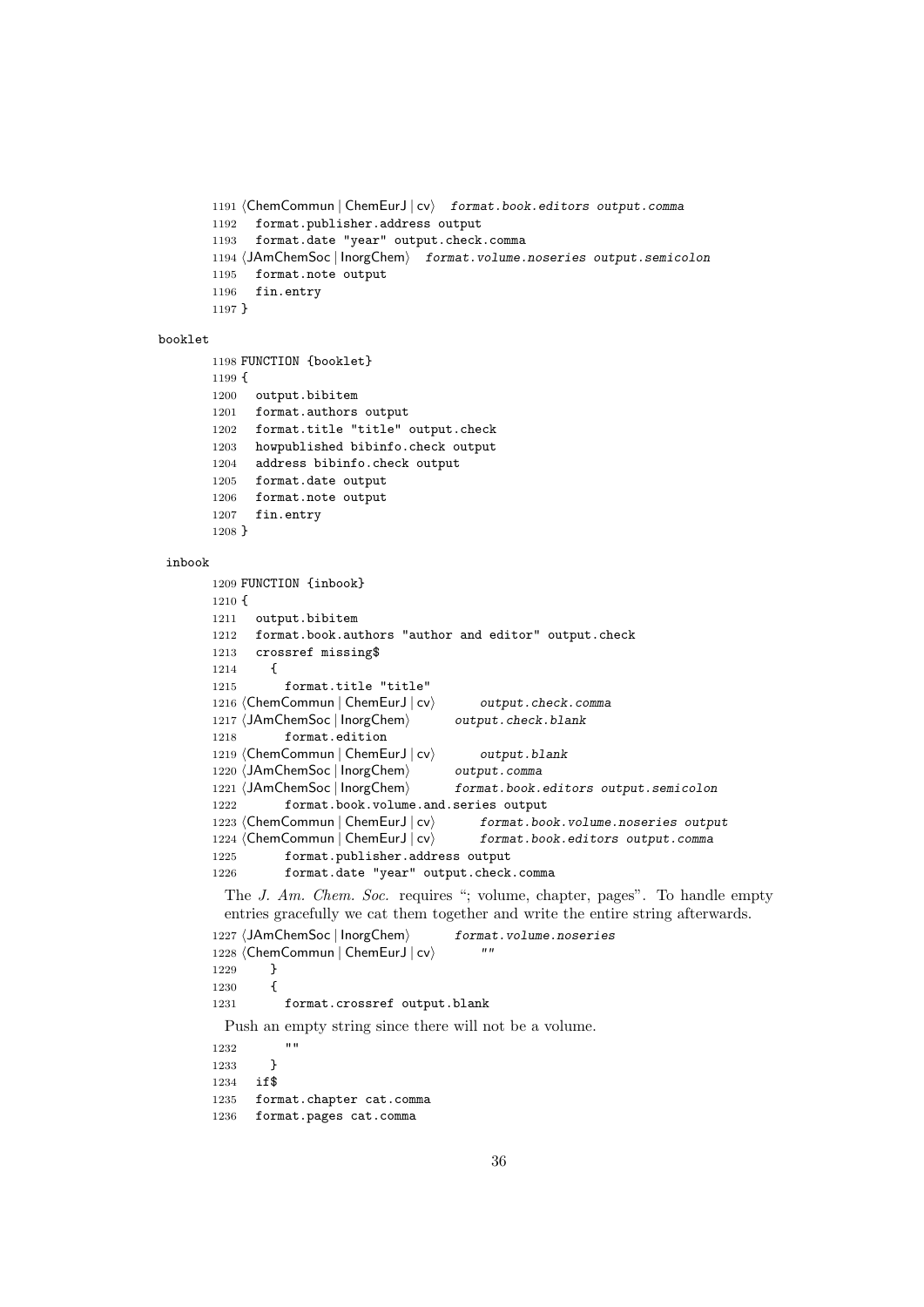```
1191 \langleChemCommun | ChemEurJ | cv\rangle format.book.editors output.comma
1192 format.publisher.address output
1193 format.date "year" output.check.comma
1194 (JAmChemSoc | InorgChem) format.volume.noseries output.semicolon
1195 format.note output
1196 fin.entry
1197 }
```
#### booklet

```
1198 FUNCTION {booklet}
1199 {
1200 output.bibitem
1201 format.authors output
1202 format.title "title" output.check
1203 howpublished bibinfo.check output
1204 address bibinfo.check output
1205 format.date output
1206 format.note output
1207 fin.entry
1208 }
```
#### inbook

```
1209 FUNCTION {inbook}
1210 {
1211 output.bibitem
1212 format.book.authors "author and editor" output.check
1213 crossref missing$
1214 {
1215 format.title "title"
1216 (ChemCommun | ChemEurJ | cv) output.check.comma
1217 (JAmChemSoc | InorgChem) output.check.blank
1218 format.edition
1219 (ChemCommun | ChemEurJ | cv) output.blank
1220 (JAmChemSoc | InorgChem) output.comma
1221 (JAmChemSoc | InorgChem) format.book.editors output.semicolon
1222 format.book.volume.and.series output
1223 \langleChemCommun | ChemEurJ | cv\rangle format.book.volume.noseries output
1224 \langleChemCommun | ChemEurJ | cv\rangle format.book.editors output.comma
1225 format.publisher.address output
1226 format.date "year" output.check.comma
 The J. Am. Chem. Soc. requires "; volume, chapter, pages". To handle empty
 entries gracefully we cat them together and write the entire string afterwards.
1227 (JAmChemSoc | InorgChem) format.volume.noseries
1228 (ChemCommun | ChemEurJ | cv)
1229 }
1230 {
1231 format.crossref output.blank
 Push an empty string since there will not be a volume.
1232 "
1233 }
1234 if$
1235 format.chapter cat.comma
1236 format.pages cat.comma
```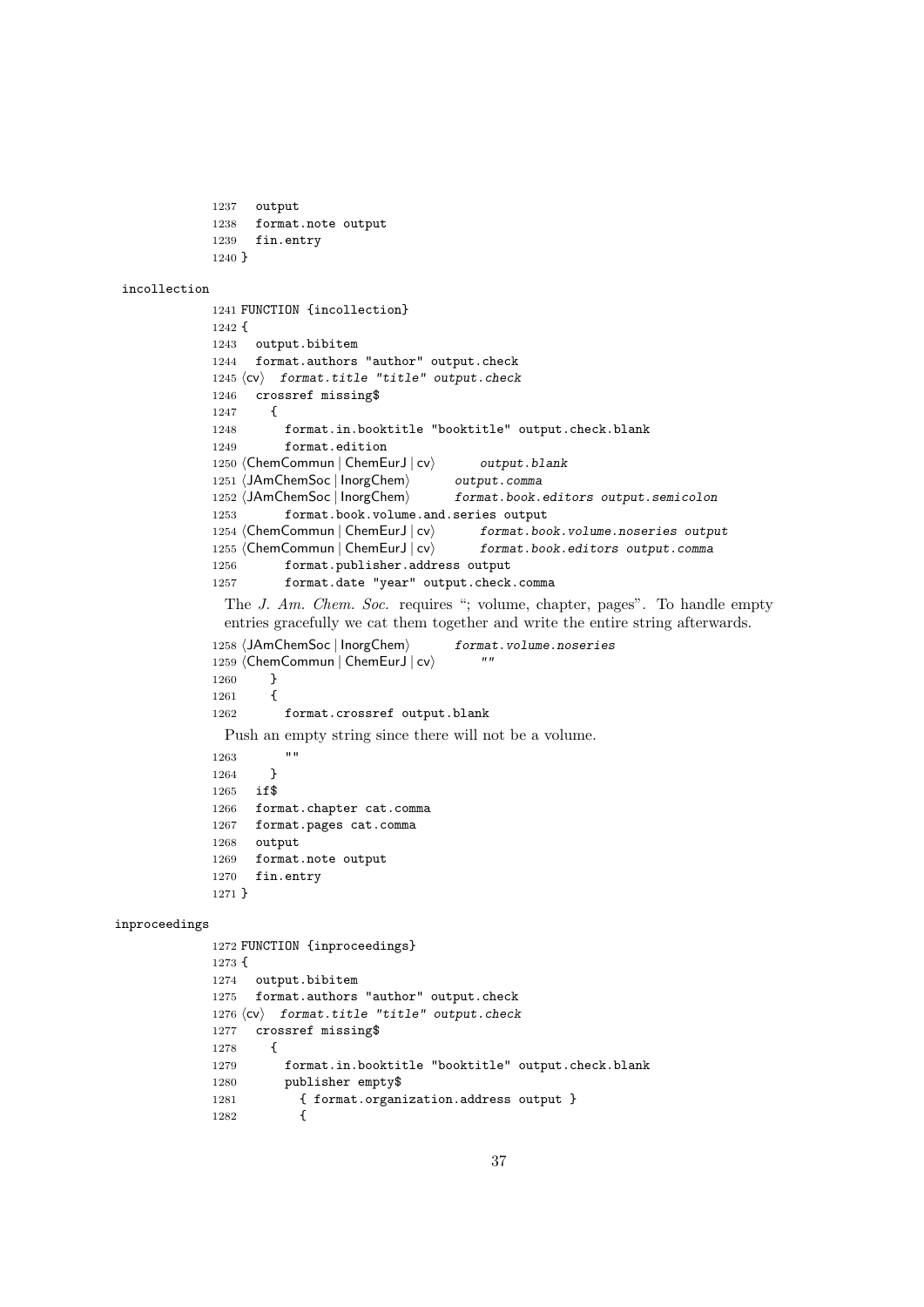```
1237 output
             1238 format.note output
             1239 fin.entry
             1240 }
incollection
             1241 FUNCTION {incollection}
            1242 {
             1243 output.bibitem
             1244 format.authors "author" output.check
             1245 \langle cv \rangle format.title "title" output.check
             1246 crossref missing$
             1247 {
             1248 format.in.booktitle "booktitle" output.check.blank
             1249 format.edition
             1250 \langleChemCommun | ChemEurJ | cv\rangle output.blank
             1251 (JAmChemSoc | InorgChem) output.comma
             1252 (JAmChemSoc | InorgChem) format.book.editors output.semicolon
             1253 format.book.volume.and.series output
             1254 (ChemCommun | ChemEurJ |cv\rangle format.book.volume.noseries output
             1255 (ChemCommun | ChemEurJ | cv\rangle format.book.editors output.comma
             1256 format.publisher.address output
             1257 format.date "year" output.check.comma
              The J. Am. Chem. Soc. requires "; volume, chapter, pages". To handle empty
              entries gracefully we cat them together and write the entire string afterwards.
             1258 (JAmChemSoc | InorgChem) format.volume.noseries
             1259 (ChemCommun | ChemEurJ | cv)
             1260 }
             1261 {
             1262 format.crossref output.blank
              Push an empty string since there will not be a volume.
             1263 "
             1264 }
             1265 if$
             1266 format.chapter cat.comma
             1267 format.pages cat.comma
            1268 output
            1269 format.note output
            1270 fin.entry
             1271 }
inproceedings
            1272 FUNCTION {inproceedings}
            1273 {
             1274 output.bibitem
             1275 format.authors "author" output.check
             1276 \langle cv \rangle format.title "title" output.check
             1277 crossref missing$
            1278 {
             1279 format.in.booktitle "booktitle" output.check.blank
             1280 publisher empty$
             1281 { format.organization.address output }
             1282 {
```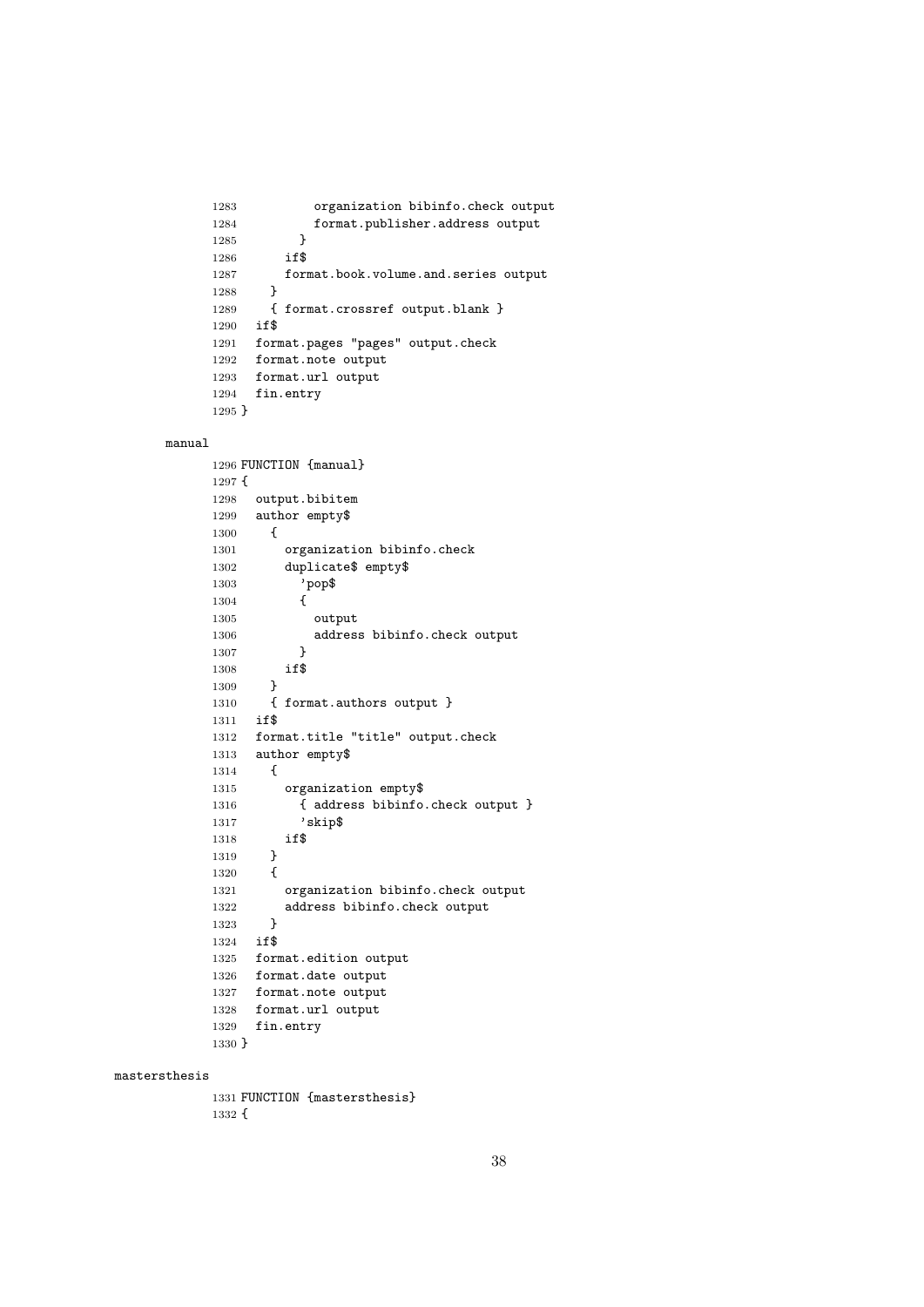```
1283 organization bibinfo.check output
1284 format.publisher.address output<br>1285 }
1285 }
1286 if$
1287 format.book.volume.and.series output
1288 }
1289 { format.crossref output.blank }
1290 if$
1291 format.pages "pages" output.check
1292 format.note output
1293 format.url output
1294 fin.entry
1295 }
```
#### manual

```
1296 FUNCTION {manual}
1297 {
1298 output.bibitem
1299 author empty$
1300 {
1301 organization bibinfo.check
1302 duplicate$ empty$<br>1303 <br>
'pop$
            1303 'pop$
1304 {
1305 output
1306 address bibinfo.check output
1307 }
1308 if$
1309 }
1310 { format.authors output }
1311 if$
1312 format.title "title" output.check
1313 author empty$
1314 {
1315 organization empty$
1316 { address bibinfo.check output }
1317 'skip$
1318 if$
1319 }
\begin{array}{cc} 1320 & \quad \{ \\ 1321 & \quad \end{array}1321 organization bibinfo.check output<br>1322 address bibinfo.check output
        address bibinfo.check output }
1323 }
1324 if$
1325 format.edition output
1326 format.date output
1327 format.note output
1328 format.url output
1329 fin.entry
1330 }
```
#### mastersthesis

 FUNCTION {mastersthesis} {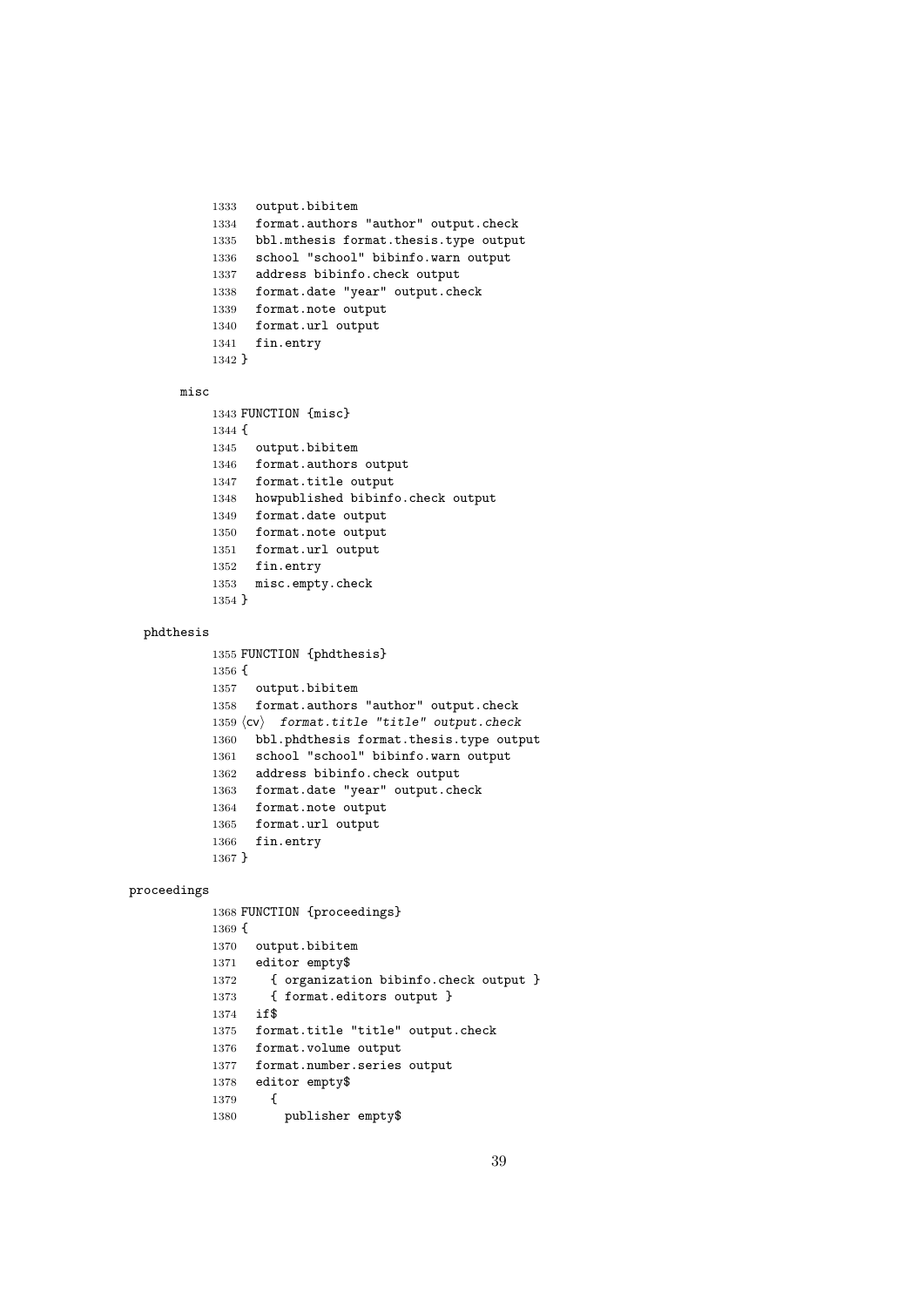```
1333 output.bibitem
1334 format.authors "author" output.check
1335 bbl.mthesis format.thesis.type output
1336 school "school" bibinfo.warn output
1337 address bibinfo.check output
1338 format.date "year" output.check
1339 format.note output
1340 format.url output
1341 fin.entry
1342 }
```
#### misc

```
1343 FUNCTION {misc}
1344 {
1345 output.bibitem
1346 format.authors output
1347 format.title output
1348 howpublished bibinfo.check output
1349 format.date output
1350 format.note output
1351 format.url output
1352 fin.entry
1353 misc.empty.check
1354 }
```
#### phdthesis

```
1355 FUNCTION {phdthesis}
1356 {
1357 output.bibitem
1358 format.authors "author" output.check
1359 \langle cv \rangle format.title "title" output.check
1360 bbl.phdthesis format.thesis.type output
1361 school "school" bibinfo.warn output
1362 address bibinfo.check output
1363 format.date "year" output.check
1364 format.note output
1365 format.url output
1366 fin.entry
1367 }
```
#### proceedings

```
1368 FUNCTION {proceedings}
1369 {
1370 output.bibitem
1371 editor empty$
1372 { organization bibinfo.check output }
1373 { format.editors output }
1374 if$
1375 format.title "title" output.check
1376 format.volume output
1377 format.number.series output
1378 editor empty$
\begin{array}{cc} 1379 & \textbf{\textit{f}}\\ 1380 & \end{array}publisher empty$
```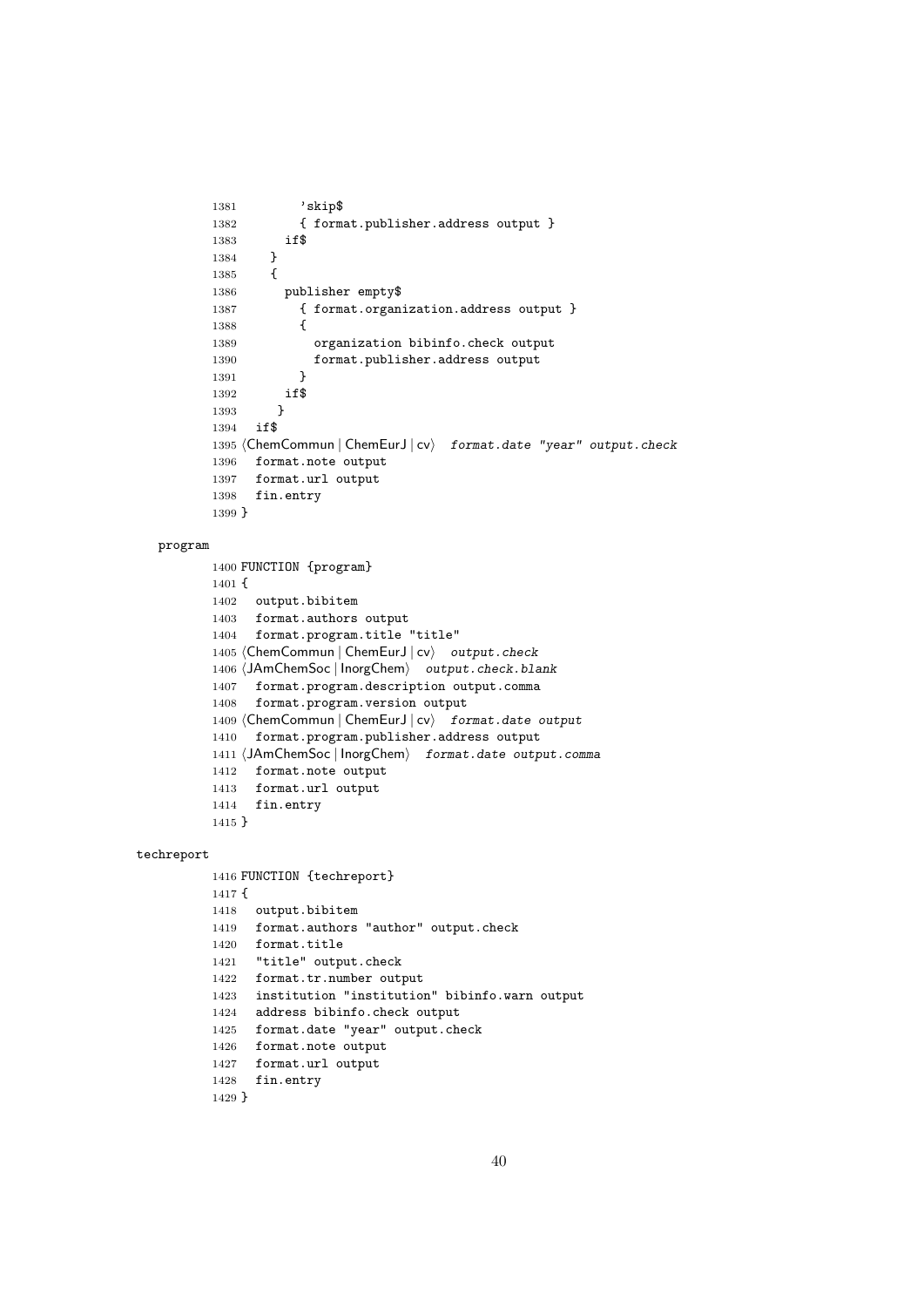```
1381 'skip$
1382 { format.publisher.address output }<br>1383 if$
1383
1384 }
1385 {
1386 publisher empty$
1387 { format.organization.address output }
1388 {
1389 organization bibinfo.check output
1390 format.publisher.address output
1391 }
1392 if$
1393 }
1394 if$
1395 (ChemCommun | ChemEurJ | cv) format.date "year" output.check
1396 format.note output
1397 format.url output
1398 fin.entry
1399 }
```
#### program

```
1400 FUNCTION {program}
1401 {
1402 output.bibitem
1403 format.authors output
1404 format.program.title "title"
1405 (ChemCommun | ChemEurJ | cv) output.check
1406 (JAmChemSoc | InorgChem) output.check.blank
1407 format.program.description output.comma
1408 format.program.version output
1409 (ChemCommun | ChemEurJ | cv\rangle format.date output
1410 format.program.publisher.address output
1411 (JAmChemSoc | InorgChem) format.date output.comma
1412 format.note output
1413 format.url output
1414 fin.entry
```
}

#### techreport

```
1416 FUNCTION {techreport}
1417 {
1418 output.bibitem
1419 format.authors "author" output.check
1420 format.title
1421 "title" output.check
1422 format.tr.number output
1423 institution "institution" bibinfo.warn output
1424 address bibinfo.check output
1425 format.date "year" output.check
1426 format.note output
1427 format.url output
1428 fin.entry
```

```
1429 }
```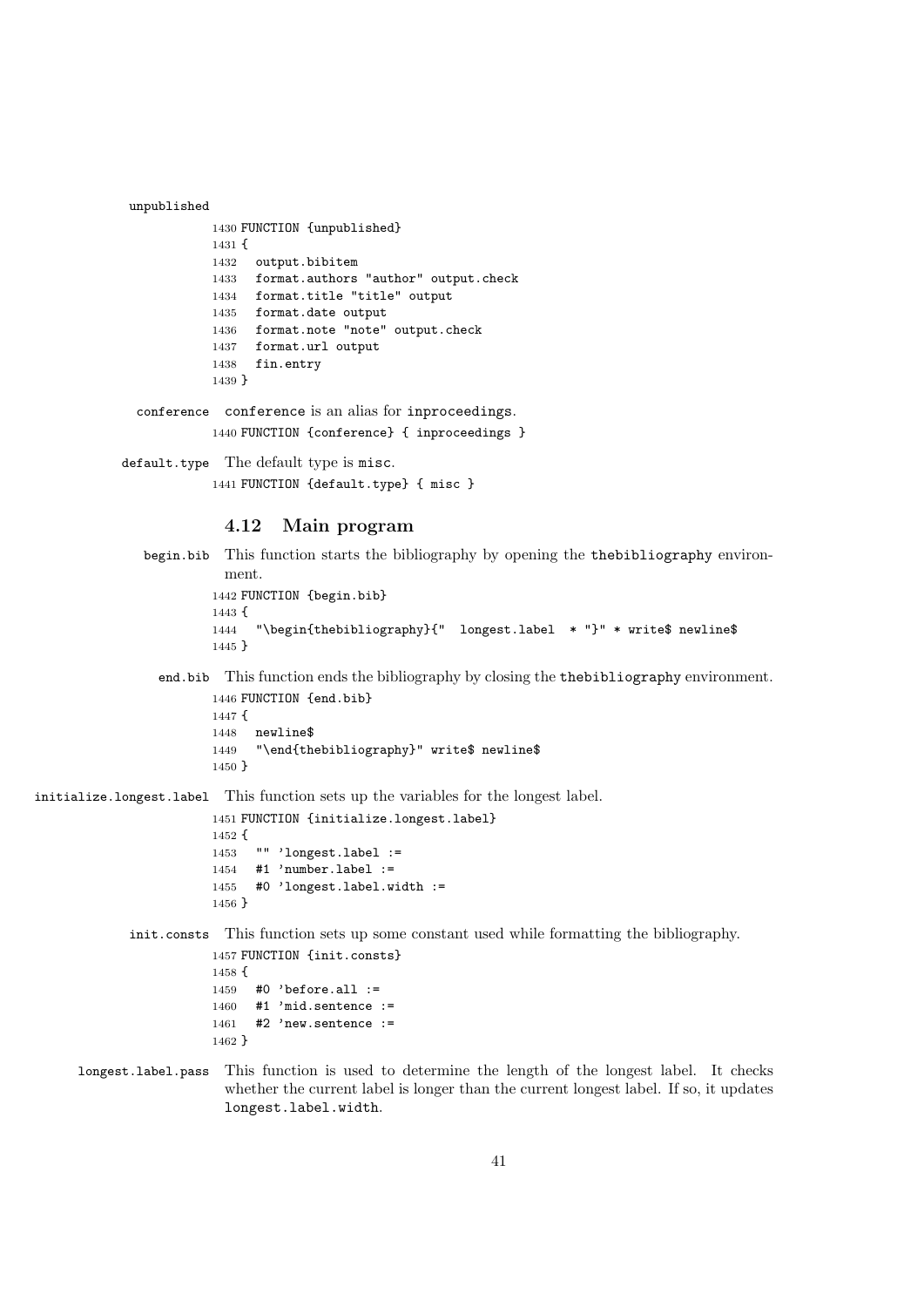```
unpublished
           1430 FUNCTION {unpublished}
           1431 {
           1432 output.bibitem
           1433 format.authors "author" output.check
           1434 format.title "title" output
           1435 format.date output
           1436 format.note "note" output.check
           1437 format.url output
           1438 fin.entry
           1439 }
```
conference conference is an alias for inproceedings.

```
1440 FUNCTION {conference} { inproceedings }
```
default.type The default type is misc. FUNCTION {default.type} { misc }

## 4.12 Main program

```
begin.bib This function starts the bibliography by opening the thebibliography environ-
           ment.
         1442 FUNCTION {begin.bib}
         1443 {
         1444 "\begin{thebibliography}{" longest.label * "}" * write$ newline$
         1445 }
```
end.bib This function ends the bibliography by closing the thebibliography environment. FUNCTION {end.bib}

```
1447 {
1448 newline$
1449 "\end{thebibliography}" write$ newline$
1450 }
```
initialize.longest.label This function sets up the variables for the longest label.

```
1451 FUNCTION {initialize.longest.label}
1452 {
1453 "" 'longest.label :=
1454 #1 'number.label :=
1455 #0 'longest.label.width :=
1456 }
```
init.consts This function sets up some constant used while formatting the bibliography.

```
1457 FUNCTION {init.consts}
1458 {
1459 #0 'before.all :=
1460 #1 'mid.sentence :=
1461 #2 'new.sentence :=
1462 }
```
longest.label.pass This function is used to determine the length of the longest label. It checks whether the current label is longer than the current longest label. If so, it updates longest.label.width.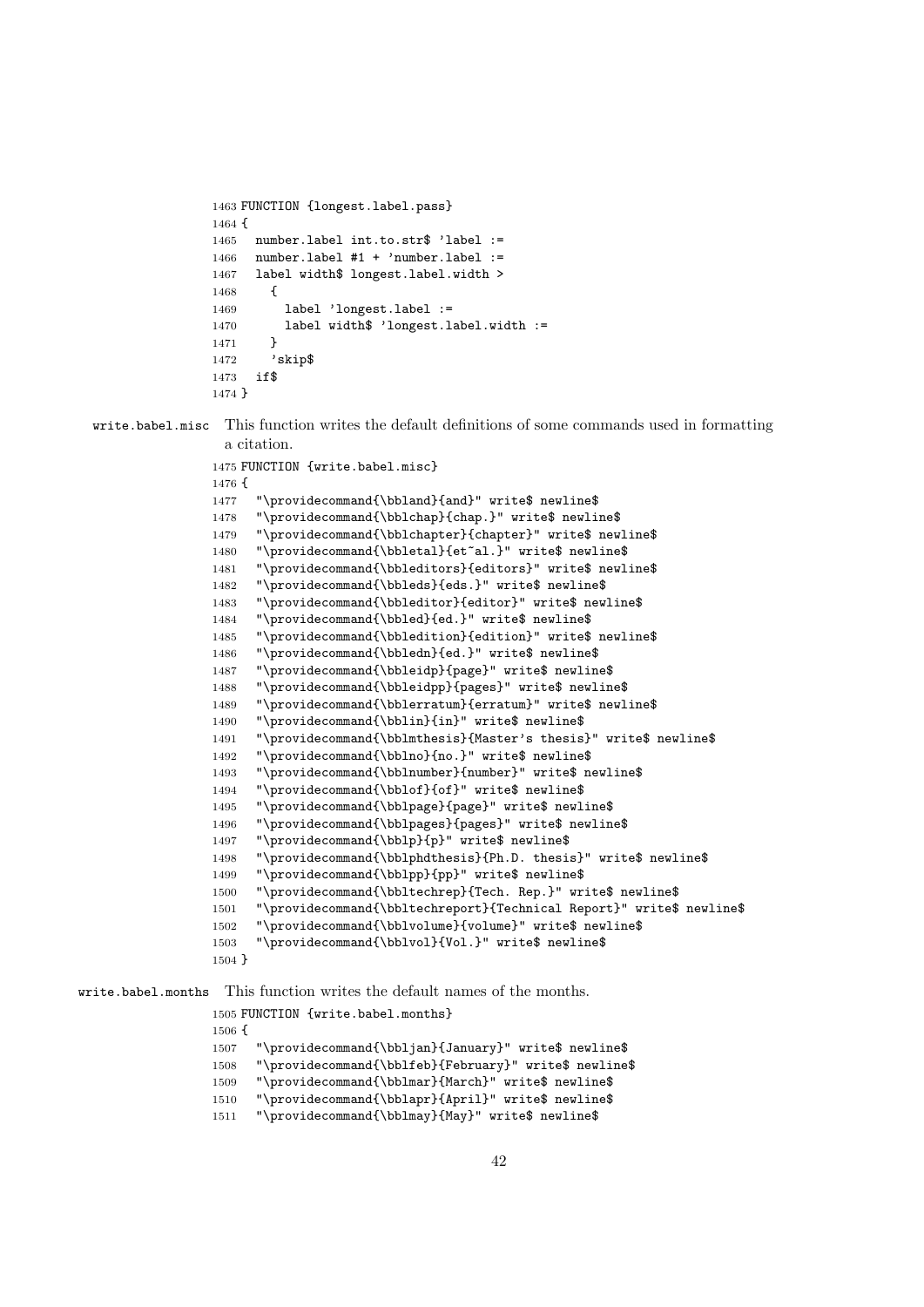```
1463 FUNCTION {longest.label.pass}
1464 {
1465 number.label int.to.str$ 'label :=
1466 number.label #1 + 'number.label :=
1467 label width$ longest.label.width >
1468 {
1469 label 'longest.label :=
1470 label width$ 'longest.label.width :=
1471 }
1472 'skip$
1473 if$
1474 }
```
write.babel.misc This function writes the default definitions of some commands used in formatting a citation.

```
1475 FUNCTION {write.babel.misc}
1476 {
1477 "\providecommand{\bbland}{and}" write$ newline$
1478 "\providecommand{\bblchap}{chap.}" write$ newline$
1479 "\providecommand{\bblchapter}{chapter}" write$ newline$
1480 "\providecommand{\bbletal}{et~al.}" write$ newline$
1481 "\providecommand{\bbleditors}{editors}" write$ newline$
1482 "\providecommand{\bbleds}{eds.}" write$ newline$
1483 "\providecommand{\bbleditor}{editor}" write$ newline$
1484 "\providecommand{\bbled}{ed.}" write$ newline$
1485 "\providecommand{\bbledition}{edition}" write$ newline$
1486 "\providecommand{\bbledn}{ed.}" write$ newline$
1487 "\providecommand{\bbleidp}{page}" write$ newline$
1488 "\providecommand{\bbleidpp}{pages}" write$ newline$
1489 "\providecommand{\bblerratum}{erratum}" write$ newline$
1490 "\providecommand{\bblin}{in}" write$ newline$
1491 "\providecommand{\bblmthesis}{Master's thesis}" write$ newline$
1492 "\providecommand{\bblno}{no.}" write$ newline$
1493 "\providecommand{\bblnumber}{number}" write$ newline$
1494 "\providecommand{\bblof}{of}" write$ newline$
1495 "\providecommand{\bblpage}{page}" write$ newline$
1496 "\providecommand{\bblpages}{pages}" write$ newline$
1497 "\providecommand{\bblp}{p}" write$ newline$
1498 "\providecommand{\bblphdthesis}{Ph.D. thesis}" write$ newline$
1499 "\providecommand{\bblpp}{pp}" write$ newline$
1500 "\providecommand{\bbltechrep}{Tech. Rep.}" write$ newline$
1501 "\providecommand{\bbltechreport}{Technical Report}" write$ newline$
1502 "\providecommand{\bblvolume}{volume}" write$ newline$
1503 "\providecommand{\bblvol}{Vol.}" write$ newline$
1504 }
```
write.babel.months This function writes the default names of the months.

 FUNCTION {write.babel.months} { "\providecommand{\bbljan}{January}" write\$ newline\$ "\providecommand{\bblfeb}{February}" write\$ newline\$ "\providecommand{\bblmar}{March}" write\$ newline\$ "\providecommand{\bblapr}{April}" write\$ newline\$ "\providecommand{\bblmay}{May}" write\$ newline\$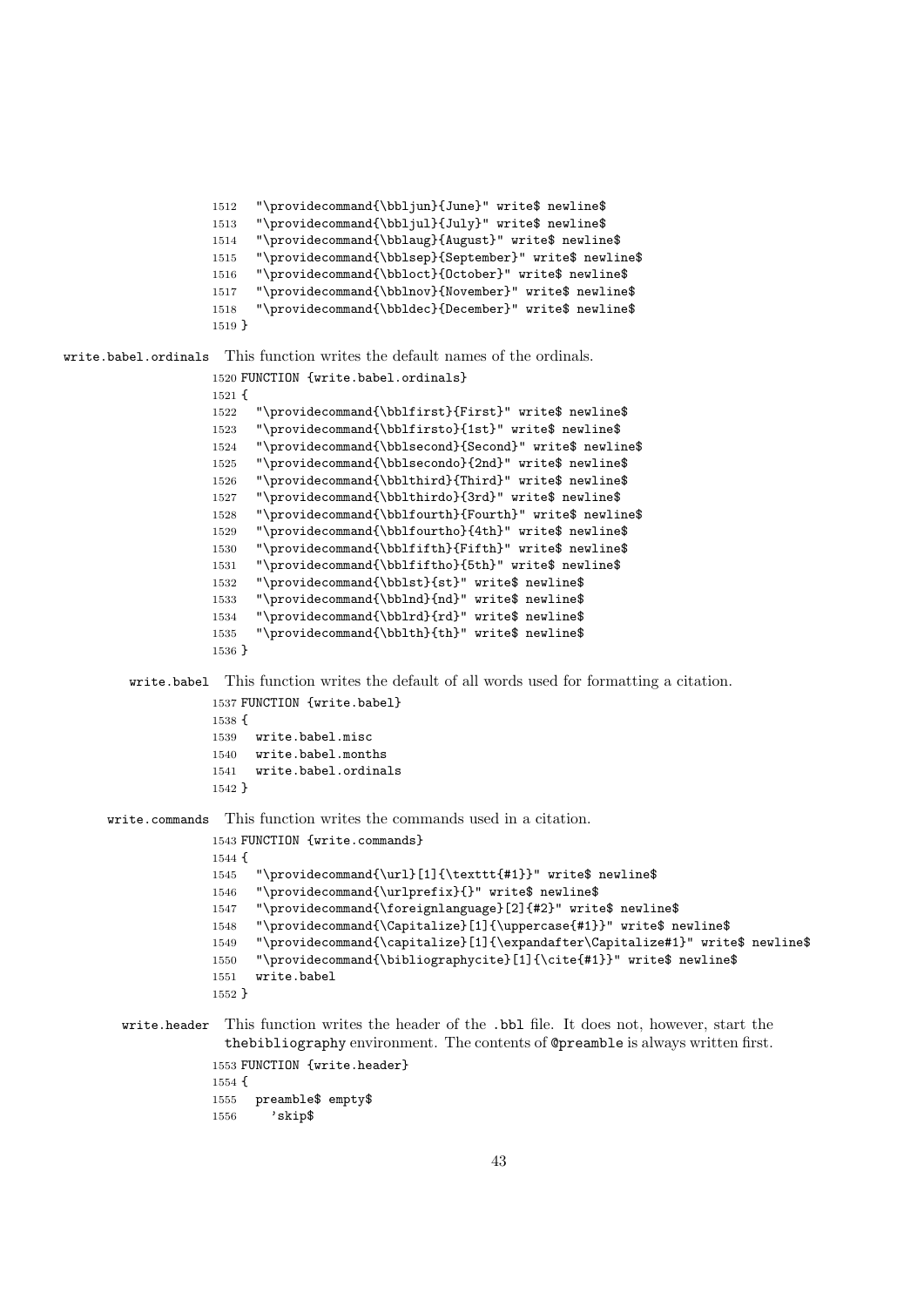```
1512 "\providecommand{\bbljun}{June}" write$ newline$
1513 "\providecommand{\bbljul}{July}" write$ newline$
1514 "\providecommand{\bblaug}{August}" write$ newline$
1515 "\providecommand{\bblsep}{September}" write$ newline$
1516 "\providecommand{\bbloct}{October}" write$ newline$
1517 "\providecommand{\bblnov}{November}" write$ newline$
1518 "\providecommand{\bbldec}{December}" write$ newline$
1519 }
```
write.babel.ordinals This function writes the default names of the ordinals.

```
1520 FUNCTION {write.babel.ordinals}
1521 {
1522 "\providecommand{\bblfirst}{First}" write$ newline$
1523 "\providecommand{\bblfirsto}{1st}" write$ newline$
1524 "\providecommand{\bblsecond}{Second}" write$ newline$
1525 "\providecommand{\bblsecondo}{2nd}" write$ newline$
1526 "\providecommand{\bblthird}{Third}" write$ newline$
1527 "\providecommand{\bblthirdo}{3rd}" write$ newline$
1528 "\providecommand{\bblfourth}{Fourth}" write$ newline$
1529 "\providecommand{\bblfourtho}{4th}" write$ newline$
1530 "\providecommand{\bblfifth}{Fifth}" write$ newline$
1531 "\providecommand{\bblfiftho}{5th}" write$ newline$
1532 "\providecommand{\bblst}{st}" write$ newline$
1533 "\providecommand{\bblnd}{nd}" write$ newline$
1534 "\providecommand{\bblrd}{rd}" write$ newline$
1535 "\providecommand{\bblth}{th}" write$ newline$
1536 }
```
write.babel This function writes the default of all words used for formatting a citation.

```
1537 FUNCTION {write.babel}
1538 {
1539 write.babel.misc
1540 write.babel.months
1541 write.babel.ordinals
1542 }
```
write.commands This function writes the commands used in a citation.

```
1543 FUNCTION {write.commands}
1544 {
1545 "\providecommand{\url}[1]{\texttt{#1}}" write$ newline$
1546 "\providecommand{\urlprefix}{}" write$ newline$
1547 "\providecommand{\foreignlanguage}[2]{#2}" write$ newline$
1548 "\providecommand{\Capitalize}[1]{\uppercase{#1}}" write$ newline$
1549 "\providecommand{\capitalize}[1]{\expandafter\Capitalize#1}" write$ newline$
1550 "\providecommand{\bibliographycite}[1]{\cite{#1}}" write$ newline$
1551 write.babel
1552 }
```
## write.header This function writes the header of the .bbl file. It does not, however, start the thebibliography environment. The contents of @preamble is always written first.

```
1553 FUNCTION {write.header}
1554 {
1555 preamble$ empty$
1556 'skip$
```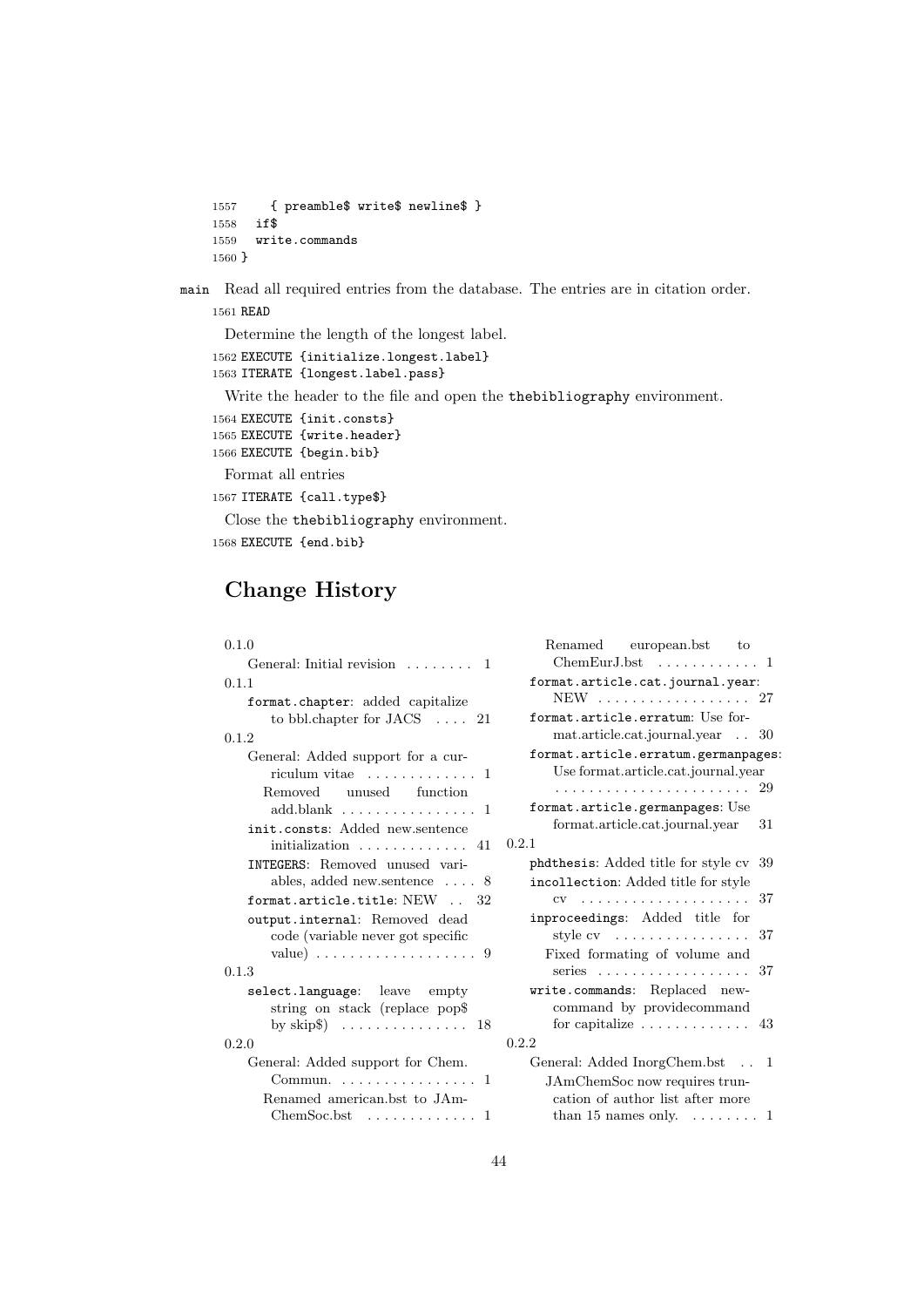1557 { preamble\$ write\$ newline\$ } 1558 if\$ 1559 write.commands 1560 }

main Read all required entries from the database. The entries are in citation order. 1561 READ

Determine the length of the longest label.

1562 EXECUTE {initialize.longest.label} 1563 ITERATE {longest.label.pass}

Write the header to the file and open the thebibliography environment.

```
1564 EXECUTE {init.consts}
1565 EXECUTE {write.header}
1566 EXECUTE {begin.bib}
```
Format all entries

1567 ITERATE {call.type\$}

Close the thebibliography environment. 1568 EXECUTE {end.bib}

# Change History

#### 0.1.0

| General: Initial revision  1                                                       |
|------------------------------------------------------------------------------------|
| 0.1.1                                                                              |
| format.chapter: added capitalize<br>to bbl.chapter for $JACS$ 21                   |
| 0.1.2                                                                              |
| General: Added support for a cur-                                                  |
| riculum vitae $\dots\dots\dots\dots$ 1                                             |
| Removed unused function                                                            |
| $add.blank$ 1                                                                      |
| init.consts: Added new.sentence                                                    |
| initialization $\dots\dots\dots\dots$ 41                                           |
| INTEGERS: Removed unused vari-                                                     |
| ables, added new sentence $\ldots$ 8                                               |
| format.article.title: $NEW$ $32$                                                   |
| output.internal: Removed dead                                                      |
| code (variable never got specific                                                  |
| value) $\ldots \ldots \ldots \ldots \ldots \ldots 9$                               |
| 0.1.3                                                                              |
| select.language: leave empty                                                       |
| string on stack (replace pop\$                                                     |
| by $skip\$ $\ldots \ldots \ldots \ldots \ldots$ 18                                 |
| 0.2.0                                                                              |
| General: Added support for Chem.<br>Commun. $\ldots \ldots \ldots \ldots \ldots 1$ |
| Renamed american.bst to JAm-                                                       |
| 1                                                                                  |

| Renamed european.bst to<br>$ChemEurJ.bst$ 1                                |     |
|----------------------------------------------------------------------------|-----|
| format.article.cat.journal.year:<br>NEW 27                                 |     |
| format.article.erratum: Use for-                                           |     |
| mat.article.cat.journal.year 30                                            |     |
| format.article.erratum.germanpages:<br>Use format.article.cat.journal.year |     |
|                                                                            |     |
| format.article.germanpages: Use                                            |     |
| format.article.cat.journal.year                                            | 31  |
| 0.2.1                                                                      |     |
| phdthesis: Added title for style cv                                        | -39 |
| incollection: Added title for style                                        |     |
| $CV \rightarrow \ldots \ldots \ldots \ldots \ldots \ldots \ldots$          | 37  |
| inproceedings: Added title for                                             |     |
| style $cv \dots \dots \dots \dots \dots$                                   | 37  |
| Fixed formating of volume and<br>series                                    | 37  |
| write.commands: Replaced new-                                              |     |
| command by providecommand                                                  |     |
| for capitalize $\dots \dots \dots$                                         | 43  |
| 0.2.2                                                                      |     |
| General: Added InorgChem.bst                                               | 1   |
| JAmChemSoc now requires trun-                                              |     |
| cation of author list after more                                           |     |
| than 15 names only. $\dots \dots 1$                                        |     |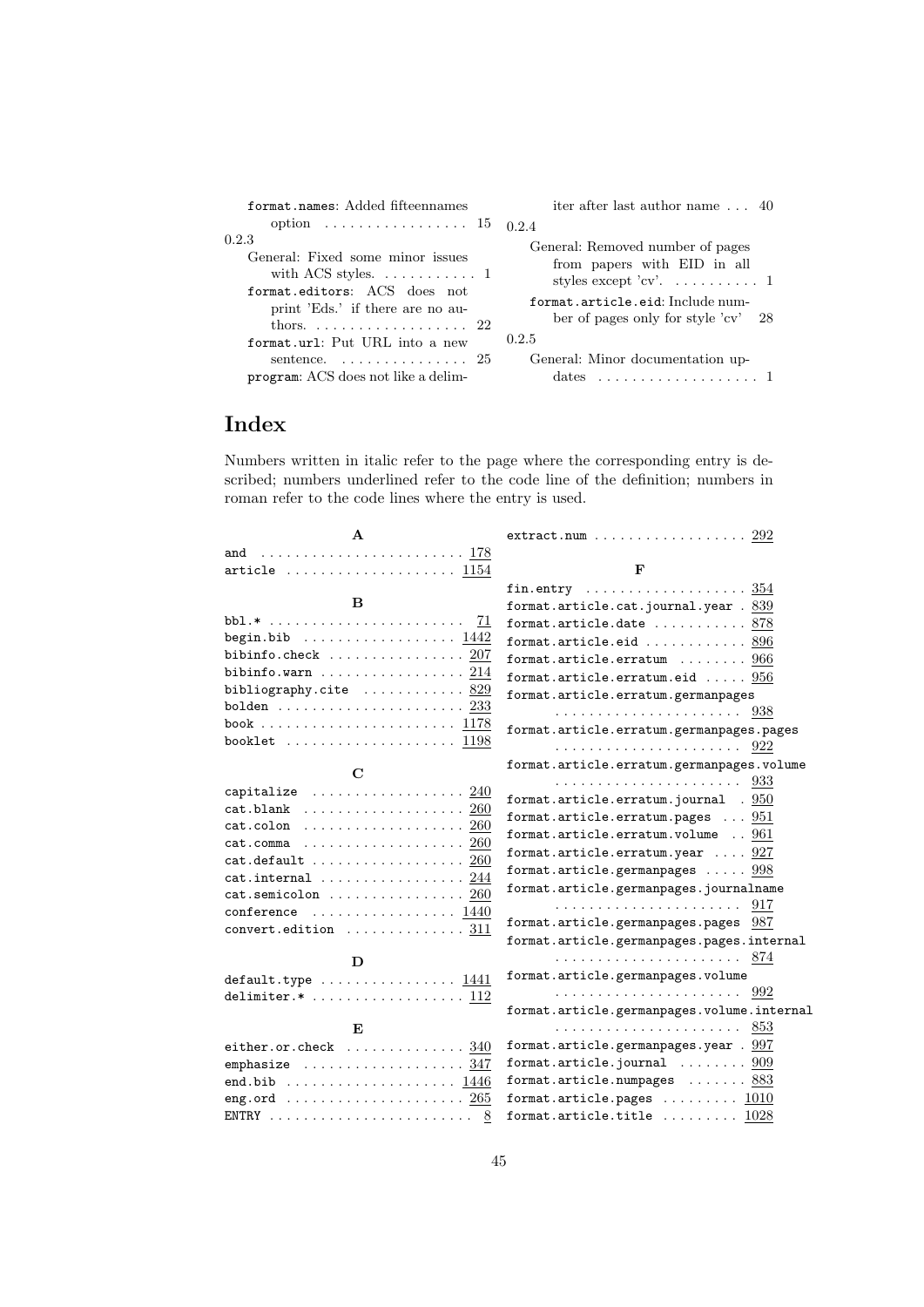| format.names: Added fifteennames                                                                                                                                                                                                                                                                | iter after last author name $\ldots$ 40                                                                                                                                                                                                |
|-------------------------------------------------------------------------------------------------------------------------------------------------------------------------------------------------------------------------------------------------------------------------------------------------|----------------------------------------------------------------------------------------------------------------------------------------------------------------------------------------------------------------------------------------|
| option $\ldots \ldots \ldots \ldots \ldots \ldots 15$ 0.2.4                                                                                                                                                                                                                                     |                                                                                                                                                                                                                                        |
| 0.2.3<br>General: Fixed some minor issues<br>with ACS styles. $\dots \dots \dots \dots 1$<br>format.editors: ACS does not<br>print 'Eds.' if there are no au-<br>thors. $\ldots \ldots \ldots \ldots \ldots 22$<br>format.url: Put URL into a new<br>sentence. $\ldots \ldots \ldots \ldots 25$ | General: Removed number of pages<br>from papers with EID in all<br>styles except 'cv'. $\dots \dots \dots 1$<br>format.article.eid: Include num-<br>ber of pages only for style $'cv'$ 28<br>0.2.5<br>General: Minor documentation up- |
| program: ACS does not like a delim-                                                                                                                                                                                                                                                             | dates                                                                                                                                                                                                                                  |

# Index

Numbers written in italic refer to the page where the corresponding entry is described; numbers underlined refer to the code line of the definition; numbers in roman refer to the code lines where the entry is used.

| A                                                                      | $extract.num \ldots \ldots \ldots \ldots \ldots \ldots 292$ |
|------------------------------------------------------------------------|-------------------------------------------------------------|
| and  178                                                               |                                                             |
| article $\ldots \ldots \ldots \ldots \ldots \ldots \ldots$ 1154        | F                                                           |
|                                                                        | fin.entry $354$                                             |
| B.                                                                     | format.article.cat.journal.year . 839                       |
| 71                                                                     | format.article.date $\ldots \ldots \ldots 878$              |
| begin.bib $\ldots \ldots \ldots \ldots \ldots \ldots$ 1442             | format.article.eid $\ldots \ldots \ldots \ldots 896$        |
| bibinfo.check $\ldots \ldots \ldots \ldots \ldots 207$                 | format.article.erratum $\ldots \ldots \ldots$ 966           |
| ${\tt bibinfo.warn}$ $214$                                             | format.article.erratum.eid $\ldots$ . $956$                 |
| bibliography.cite $\ldots \ldots \ldots \cdot 829$                     | format.article.erratum.germanpages                          |
| $b$ olden $\ldots \ldots \ldots \ldots \ldots \ldots \ldots \cdot 233$ |                                                             |
|                                                                        | format.article.erratum.germanpages.pages                    |
| booklet $\ldots \ldots \ldots \ldots \ldots \ldots \ 1198$             |                                                             |
| $\mathbf C$                                                            | format.article.erratum.germanpages.volume                   |
|                                                                        |                                                             |
| capitalize $\ldots \ldots \ldots \ldots \ldots 240$<br>$cat.blank$ 260 | format.article.erratum.journal . 950                        |
| $cat.colon$ $260$                                                      | format.article.erratum.pages $\ldots$ 951                   |
| $cat.$ comma $\ldots \ldots \ldots \ldots \ldots \ldots 260$           | format.article.erratum.volume  961                          |
| cat. default      260                                                  | format.article.erratum.year $\ldots$ 927                    |
| $cat.internal$ $244$                                                   | format.article.germanpages $\ldots$ . $998$                 |
| $cat.semicolon$ $260$                                                  | format.article.germanpages.journalname                      |
| conference $\ldots \ldots \ldots \ldots \ldots 1440$                   | 917                                                         |
| $convert.edition$ 311                                                  | format.article.germanpages.pages 987                        |
|                                                                        | format.article.germanpages.pages.internal                   |
| D                                                                      |                                                             |
| default.type $\ldots \ldots \ldots \ldots 1441$                        | format.article.germanpages.volume                           |
| delimiter. $*$ 112                                                     |                                                             |
|                                                                        | format.article.germanpages.volume.internal                  |
| $\mathbf{E}$                                                           | 853                                                         |
| either.or.check $\ldots \ldots \ldots \ldots 340$                      | format.article.germanpages.year $.997$                      |
| emphasize $\ldots \ldots \ldots \ldots \ldots 347$                     | format.article.journal $\ldots \ldots \ldots 909$           |
| end.bib $\ldots \ldots \ldots \ldots \ldots \ldots 1446$               | format.article.numpages $\ldots \ldots$ 883                 |
| eng.ord $\ldots \ldots \ldots \ldots \ldots \ldots \ldots 265$         | format.article.pages $\ldots \ldots \ldots 1010$            |
|                                                                        | format.article.title $\ldots \ldots \ldots 1028$            |